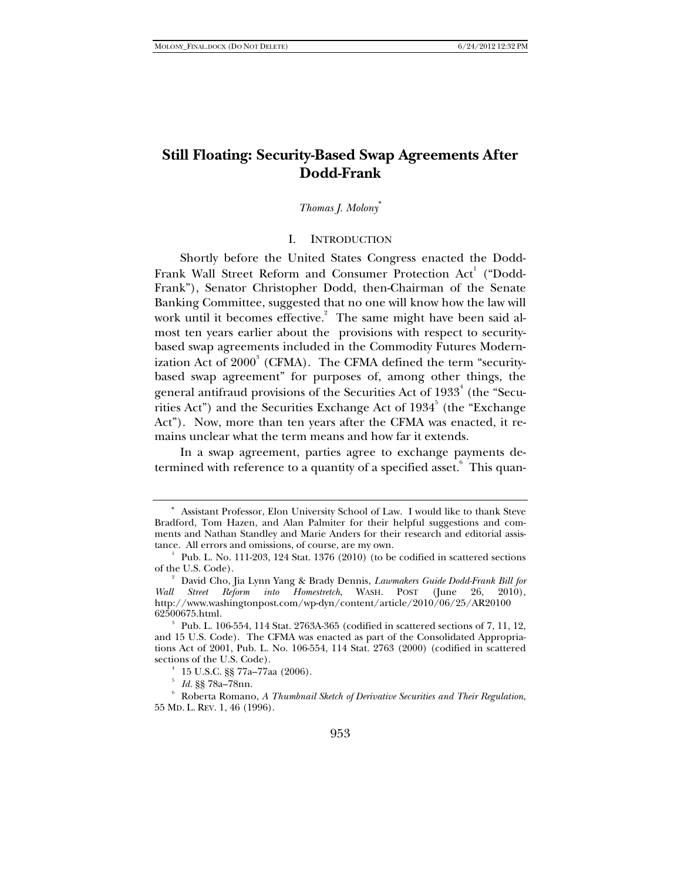# **Still Floating: Security-Based Swap Agreements After Dodd-Frank**

### *Thomas J. Molony*<sup>∗</sup>

### I. INTRODUCTION

Shortly before the United States Congress enacted the Dodd-Frank Wall Street Reform and Consumer Protection  $\operatorname{Act}^1$  ("Dodd-Frank"), Senator Christopher Dodd, then-Chairman of the Senate Banking Committee, suggested that no one will know how the law will work until it becomes effective. The same might have been said almost ten years earlier about the provisions with respect to securitybased swap agreements included in the Commodity Futures Modernization Act of  $2000^3$  (CFMA). The CFMA defined the term "securitybased swap agreement" for purposes of, among other things, the general antifraud provisions of the Securities Act of  $1933^4$  (the "Securities Act") and the Securities Exchange Act of  $1934^5$  (the "Exchange Act"). Now, more than ten years after the CFMA was enacted, it remains unclear what the term means and how far it extends.

In a swap agreement, parties agree to exchange payments determined with reference to a quantity of a specified asset. $\degree$  This quan-

<sup>∗</sup> Assistant Professor, Elon University School of Law. I would like to thank Steve Bradford, Tom Hazen, and Alan Palmiter for their helpful suggestions and comments and Nathan Standley and Marie Anders for their research and editorial assistance. All errors and omissions, of course, are my own.

 $^1$  Pub. L. No. 111-203, 124 Stat. 1376 (2010) (to be codified in scattered sections of the U.S. Code).

David Cho, Jia Lynn Yang & Brady Dennis, *Lawmakers Guide Dodd-Frank Bill for Wall Street Reform into Homestretch*, WASH. POST (June 26, 2010), http://www.washingtonpost.com/wp-dyn/content/article/2010/06/25/AR20100 62500675.html. 3

Pub. L. 106-554, 114 Stat. 2763A-365 (codified in scattered sections of 7, 11, 12, and 15 U.S. Code). The CFMA was enacted as part of the Consolidated Appropriations Act of 2001, Pub. L. No. 106-554, 114 Stat. 2763 (2000) (codified in scattered sections of the U.S. Code).

 $15$  U.S.C. §§ 77a–77aa (2006).

<sup>&</sup>lt;sup>5</sup> Id. §§ 78a–78nn.<br><sup>6</sup> Pakanta Bawana

Roberta Romano, *A Thumbnail Sketch of Derivative Securities and Their Regulation*, 55 MD. L. REV. 1, 46 (1996).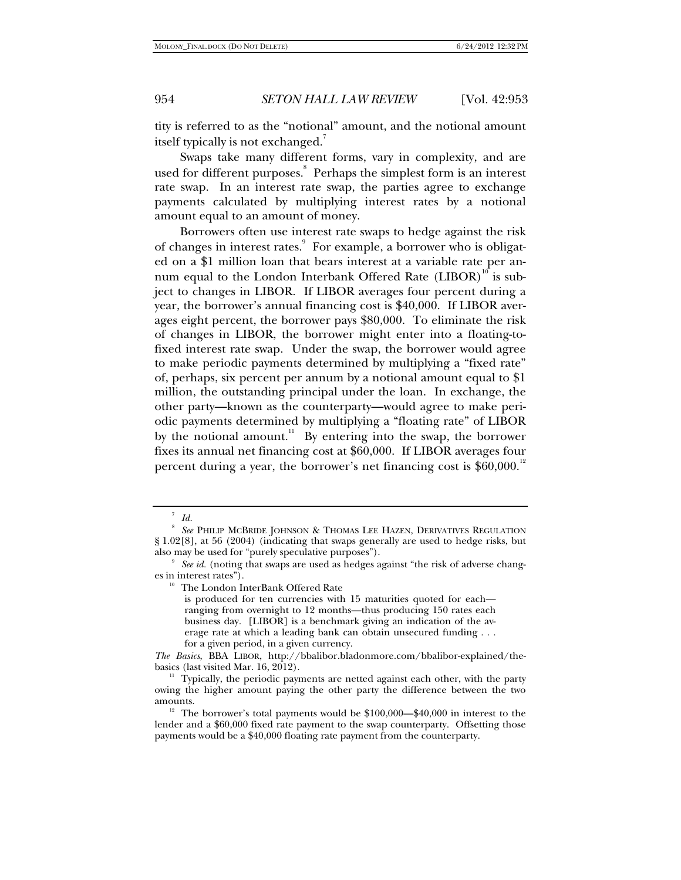tity is referred to as the "notional" amount, and the notional amount itself typically is not exchanged.<sup>7</sup>

Swaps take many different forms, vary in complexity, and are used for different purposes.<sup>8</sup> Perhaps the simplest form is an interest rate swap. In an interest rate swap, the parties agree to exchange payments calculated by multiplying interest rates by a notional amount equal to an amount of money.

Borrowers often use interest rate swaps to hedge against the risk of changes in interest rates. For example, a borrower who is obligated on a \$1 million loan that bears interest at a variable rate per annum equal to the London Interbank Offered Rate  $(LIBOR)^{10}$  is subject to changes in LIBOR. If LIBOR averages four percent during a year, the borrower's annual financing cost is \$40,000. If LIBOR averages eight percent, the borrower pays \$80,000. To eliminate the risk of changes in LIBOR, the borrower might enter into a floating-tofixed interest rate swap. Under the swap, the borrower would agree to make periodic payments determined by multiplying a "fixed rate" of, perhaps, six percent per annum by a notional amount equal to \$1 million, the outstanding principal under the loan. In exchange, the other party—known as the counterparty—would agree to make periodic payments determined by multiplying a "floating rate" of LIBOR by the notional amount.<sup>11</sup> By entering into the swap, the borrower fixes its annual net financing cost at \$60,000. If LIBOR averages four percent during a year, the borrower's net financing cost is  $$60,000.<sup>12</sup>$ 

is produced for ten currencies with 15 maturities quoted for each ranging from overnight to 12 months—thus producing 150 rates each business day. [LIBOR] is a benchmark giving an indication of the average rate at which a leading bank can obtain unsecured funding . . . for a given period, in a given currency.

<sup>7</sup>  *Id.*

<sup>8</sup>  *See* PHILIP MCBRIDE JOHNSON & THOMAS LEE HAZEN, DERIVATIVES REGULATION § 1.02[8], at 56 (2004) (indicating that swaps generally are used to hedge risks, but also may be used for "purely speculative purposes").

*See id.* (noting that swaps are used as hedges against "the risk of adverse changes in interest rates"). 10 The London InterBank Offered Rate

*The Basics*, BBA LIBOR, http://bbalibor.bladonmore.com/bbalibor-explained/the-

 $11$  Typically, the periodic payments are netted against each other, with the party owing the higher amount paying the other party the difference between the two

<sup>&</sup>lt;sup>12</sup> The borrower's total payments would be  $$100,000$ — $$40,000$  in interest to the lender and a \$60,000 fixed rate payment to the swap counterparty. Offsetting those payments would be a \$40,000 floating rate payment from the counterparty.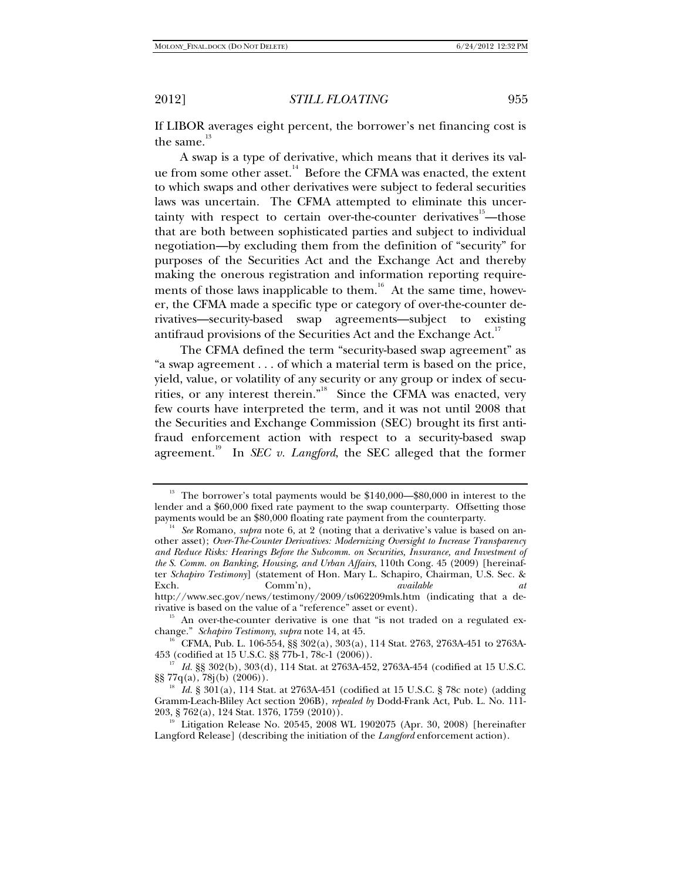If LIBOR averages eight percent, the borrower's net financing cost is the same.<sup>13</sup>

A swap is a type of derivative, which means that it derives its value from some other asset.<sup>14</sup> Before the CFMA was enacted, the extent to which swaps and other derivatives were subject to federal securities laws was uncertain. The CFMA attempted to eliminate this uncertainty with respect to certain over-the-counter derivatives $15$ —those that are both between sophisticated parties and subject to individual negotiation—by excluding them from the definition of "security" for purposes of the Securities Act and the Exchange Act and thereby making the onerous registration and information reporting requirements of those laws inapplicable to them.<sup>16</sup> At the same time, however, the CFMA made a specific type or category of over-the-counter derivatives—security-based swap agreements—subject to existing antifraud provisions of the Securities Act and the Exchange Act.<sup>17</sup>

The CFMA defined the term "security-based swap agreement" as "a swap agreement . . . of which a material term is based on the price, yield, value, or volatility of any security or any group or index of securities, or any interest therein.<sup>"18</sup> Since the CFMA was enacted, very few courts have interpreted the term, and it was not until 2008 that the Securities and Exchange Commission (SEC) brought its first antifraud enforcement action with respect to a security-based swap agreement.<sup>19</sup> In *SEC v. Langford*, the SEC alleged that the former

<sup>&</sup>lt;sup>13</sup> The borrower's total payments would be  $$140,000$ — $$80,000$  in interest to the lender and a \$60,000 fixed rate payment to the swap counterparty. Offsetting those payments would be an \$80,000 floating rate payment from the counterparty.

<sup>&</sup>lt;sup>14</sup> See Romano, *supra* note 6, at 2 (noting that a derivative's value is based on another asset); *Over-The-Counter Derivatives: Modernizing Oversight to Increase Transparency and Reduce Risks: Hearings Before the Subcomm. on Securities, Insurance, and Investment of the S. Comm. on Banking, Housing, and Urban Affairs*, 110th Cong. 45 (2009) [hereinafter *Schapiro Testimony*] (statement of Hon. Mary L. Schapiro, Chairman, U.S. Sec. & Exch. Comm'n), *available at*

http://www.sec.gov/news/testimony/2009/ts062209mls.htm (indicating that a de-<br>rivative is based on the value of a "reference" asset or event).

<sup>&</sup>lt;sup>15</sup> An over-the-counter derivative is one that "is not traded on a regulated ex-<br>change." *Schapiro Testimony*, *supra* note 14, at 45.

<sup>&</sup>lt;sup>16</sup> CFMA, Pub. L. 106-554, §§ 302(a), 303(a), 114 Stat. 2763, 2763A-451 to 2763A-453 (codified at 15 U.S.C. §§ 77b-1, 78c-1 (2006)).

<sup>&</sup>lt;sup>17</sup> Id. §§ 302(b), 303(d), 114 Stat. at 2763A-452, 2763A-454 (codified at 15 U.S.C. §§ 77q(a), 78j(b) (2006)).

<sup>&</sup>lt;sup>18</sup> *Id.* § 301(a), 114 Stat. at 2763A-451 (codified at 15 U.S.C. § 78c note) (adding Gramm-Leach-Bliley Act section 206B), *repealed by* Dodd-Frank Act, Pub. L. No. 111- 203, § 762(a), 124 Stat. 1376, 1759 (2010)).<br><sup>19</sup> Litigation Release No. 20545, 2008 WL 1902075 (Apr. 30, 2008) [hereinafter

Langford Release] (describing the initiation of the *Langford* enforcement action).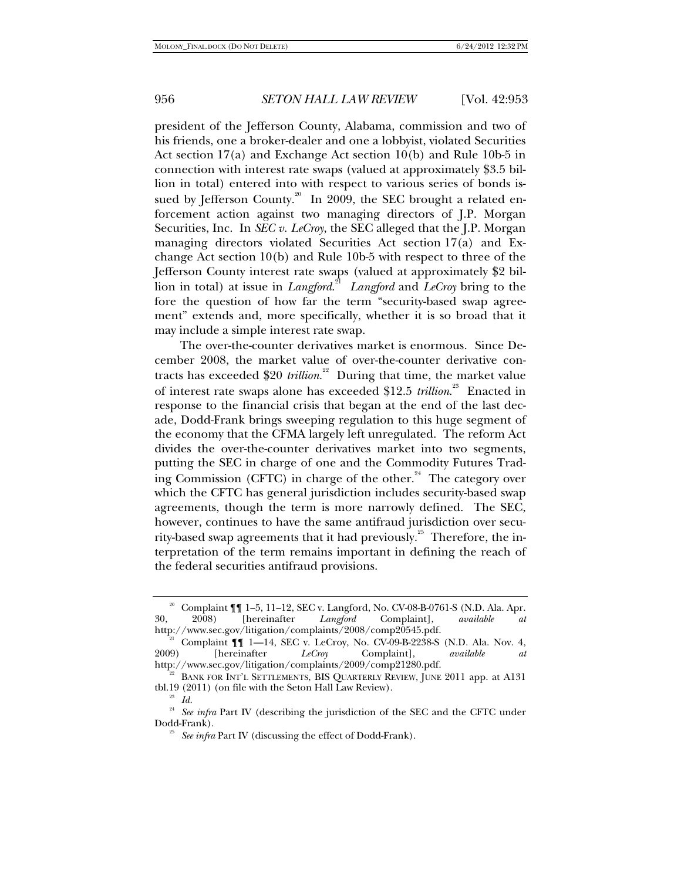president of the Jefferson County, Alabama, commission and two of his friends, one a broker-dealer and one a lobbyist, violated Securities Act section 17(a) and Exchange Act section 10(b) and Rule 10b-5 in connection with interest rate swaps (valued at approximately \$3.5 billion in total) entered into with respect to various series of bonds issued by Jefferson County.<sup>20</sup> In 2009, the SEC brought a related enforcement action against two managing directors of J.P. Morgan Securities, Inc. In *SEC v. LeCroy*, the SEC alleged that the J.P. Morgan managing directors violated Securities Act section 17(a) and Exchange Act section 10(b) and Rule 10b-5 with respect to three of the Jefferson County interest rate swaps (valued at approximately \$2 billion in total) at issue in *Langford*. 21 *Langford* and *LeCroy* bring to the fore the question of how far the term "security-based swap agreement" extends and, more specifically, whether it is so broad that it may include a simple interest rate swap.

The over-the-counter derivatives market is enormous. Since December 2008, the market value of over-the-counter derivative contracts has exceeded \$20 *trillion*. 22 During that time, the market value of interest rate swaps alone has exceeded \$12.5 *trillion*.<sup>23</sup> Enacted in response to the financial crisis that began at the end of the last decade, Dodd-Frank brings sweeping regulation to this huge segment of the economy that the CFMA largely left unregulated. The reform Act divides the over-the-counter derivatives market into two segments, putting the SEC in charge of one and the Commodity Futures Trading Commission (CFTC) in charge of the other.<sup>24</sup> The category over which the CFTC has general jurisdiction includes security-based swap agreements, though the term is more narrowly defined. The SEC, however, continues to have the same antifraud jurisdiction over security-based swap agreements that it had previously.<sup>25</sup> Therefore, the interpretation of the term remains important in defining the reach of the federal securities antifraud provisions.

<sup>20</sup> Complaint ¶¶ 1–5, 11–12, SEC v. Langford, No. CV-08-B-0761-S (N.D. Ala. Apr. 30, 2008) [hereinafter *Langford* Complaint], *available at*

<sup>&</sup>lt;sup>21</sup> Complaint  $\P\P$  1—14, SEC v. LeCroy, No. CV-09-B-2238-S (N.D. Ala. Nov. 4, 2009) [hereinafter *LeCroy* Complaint], *available at* 2009) [hereinafter *LeCroy* Complaint], *available at*

 $n^{22}$  BANK FOR INT'L SETTLEMENTS, BIS QUARTERLY REVIEW, JUNE 2011 app. at A131 tbl.19 (2011) (on file with the Seton Hall Law Review). 23 *Id.*

<sup>&</sup>lt;sup>24</sup> See infra Part IV (describing the jurisdiction of the SEC and the CFTC under Dodd-Frank). 25 *See infra* Part IV (discussing the effect of Dodd-Frank).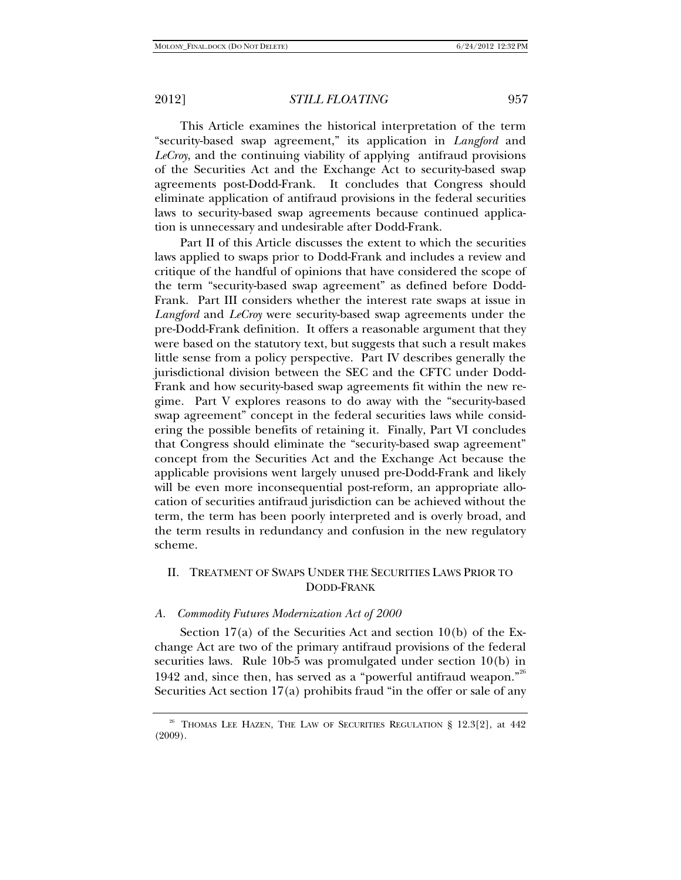This Article examines the historical interpretation of the term "security-based swap agreement," its application in *Langford* and *LeCroy*, and the continuing viability of applying antifraud provisions of the Securities Act and the Exchange Act to security-based swap agreements post-Dodd-Frank. It concludes that Congress should eliminate application of antifraud provisions in the federal securities laws to security-based swap agreements because continued application is unnecessary and undesirable after Dodd-Frank.

Part II of this Article discusses the extent to which the securities laws applied to swaps prior to Dodd-Frank and includes a review and critique of the handful of opinions that have considered the scope of the term "security-based swap agreement" as defined before Dodd-Frank. Part III considers whether the interest rate swaps at issue in *Langford* and *LeCroy* were security-based swap agreements under the pre-Dodd-Frank definition. It offers a reasonable argument that they were based on the statutory text, but suggests that such a result makes little sense from a policy perspective. Part IV describes generally the jurisdictional division between the SEC and the CFTC under Dodd-Frank and how security-based swap agreements fit within the new regime. Part V explores reasons to do away with the "security-based swap agreement" concept in the federal securities laws while considering the possible benefits of retaining it. Finally, Part VI concludes that Congress should eliminate the "security-based swap agreement" concept from the Securities Act and the Exchange Act because the applicable provisions went largely unused pre-Dodd-Frank and likely will be even more inconsequential post-reform, an appropriate allocation of securities antifraud jurisdiction can be achieved without the term, the term has been poorly interpreted and is overly broad, and the term results in redundancy and confusion in the new regulatory scheme.

# II. TREATMENT OF SWAPS UNDER THE SECURITIES LAWS PRIOR TO DODD-FRANK

#### *A. Commodity Futures Modernization Act of 2000*

Section 17(a) of the Securities Act and section 10(b) of the Exchange Act are two of the primary antifraud provisions of the federal securities laws. Rule 10b-5 was promulgated under section 10(b) in 1942 and, since then, has served as a "powerful antifraud weapon."<sup>26</sup> Securities Act section 17(a) prohibits fraud "in the offer or sale of any

<sup>&</sup>lt;sup>26</sup> THOMAS LEE HAZEN, THE LAW OF SECURITIES REGULATION § 12.3[2], at 442 (2009).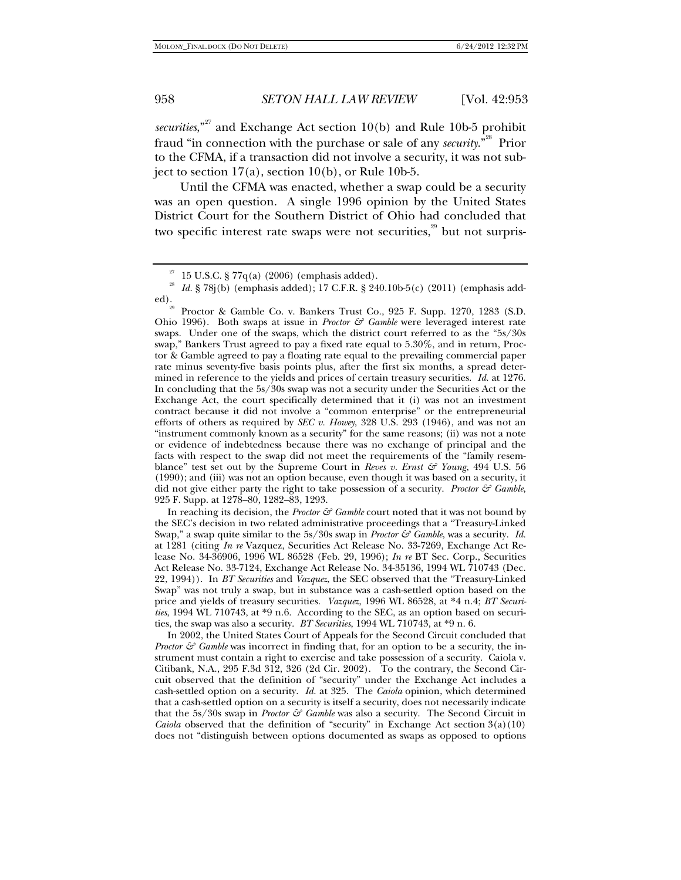*securities*,"<sup>27</sup> and Exchange Act section 10(b) and Rule 10b-5 prohibit fraud "in connection with the purchase or sale of any *security*."28 Prior to the CFMA, if a transaction did not involve a security, it was not subject to section  $17(a)$ , section  $10(b)$ , or Rule 10b-5.

Until the CFMA was enacted, whether a swap could be a security was an open question. A single 1996 opinion by the United States District Court for the Southern District of Ohio had concluded that two specific interest rate swaps were not securities, $\frac{29}{3}$  but not surpris-

In reaching its decision, the *Proctor*  $\mathcal{F}$  *Gamble* court noted that it was not bound by the SEC's decision in two related administrative proceedings that a "Treasury-Linked Swap," a swap quite similar to the 5s/30s swap in *Proctor & Gamble*, was a security. *Id.* at 1281 (citing *In re* Vazquez, Securities Act Release No. 33-7269, Exchange Act Release No. 34-36906, 1996 WL 86528 (Feb. 29, 1996); *In re* BT Sec. Corp., Securities Act Release No. 33-7124, Exchange Act Release No. 34-35136, 1994 WL 710743 (Dec. 22, 1994)). In *BT Securities* and *Vazquez*, the SEC observed that the "Treasury-Linked Swap" was not truly a swap, but in substance was a cash-settled option based on the price and yields of treasury securities. *Vazquez*, 1996 WL 86528, at \*4 n.4; *BT Securities*, 1994 WL 710743, at \*9 n.6. According to the SEC, as an option based on securities, the swap was also a security. *BT Securities*, 1994 WL 710743, at \*9 n. 6.

 In 2002, the United States Court of Appeals for the Second Circuit concluded that *Proctor & Gamble was incorrect in finding that, for an option to be a security, the in*strument must contain a right to exercise and take possession of a security. Caiola v. Citibank, N.A., 295 F.3d 312, 326 (2d Cir. 2002). To the contrary, the Second Circuit observed that the definition of "security" under the Exchange Act includes a cash-settled option on a security. *Id.* at 325. The *Caiola* opinion, which determined that a cash-settled option on a security is itself a security, does not necessarily indicate that the 5s/30s swap in *Proctor & Gamble* was also a security. The Second Circuit in *Caiola* observed that the definition of "security" in Exchange Act section 3(a)(10) does not "distinguish between options documented as swaps as opposed to options

 $27$  15 U.S.C. § 77q(a) (2006) (emphasis added).

<sup>&</sup>lt;sup>28</sup> *Id.* § 78j(b) (emphasis added); 17 C.F.R. § 240.10b-5(c) (2011) (emphasis added).

Proctor & Gamble Co. v. Bankers Trust Co., 925 F. Supp. 1270, 1283 (S.D. Ohio 1996). Both swaps at issue in *Proctor & Gamble* were leveraged interest rate swaps. Under one of the swaps, which the district court referred to as the "5s/30s swap," Bankers Trust agreed to pay a fixed rate equal to 5.30%, and in return, Proctor & Gamble agreed to pay a floating rate equal to the prevailing commercial paper rate minus seventy-five basis points plus, after the first six months, a spread determined in reference to the yields and prices of certain treasury securities. *Id.* at 1276. In concluding that the 5s/30s swap was not a security under the Securities Act or the Exchange Act, the court specifically determined that it (i) was not an investment contract because it did not involve a "common enterprise" or the entrepreneurial efforts of others as required by *SEC v. Howey*, 328 U.S. 293 (1946), and was not an "instrument commonly known as a security" for the same reasons; (ii) was not a note or evidence of indebtedness because there was no exchange of principal and the facts with respect to the swap did not meet the requirements of the "family resemblance" test set out by the Supreme Court in *Reves v. Ernst & Young*, 494 U.S. 56 (1990); and (iii) was not an option because, even though it was based on a security, it did not give either party the right to take possession of a security. *Proctor & Gamble*, 925 F. Supp. at 1278–80, 1282–83, 1293.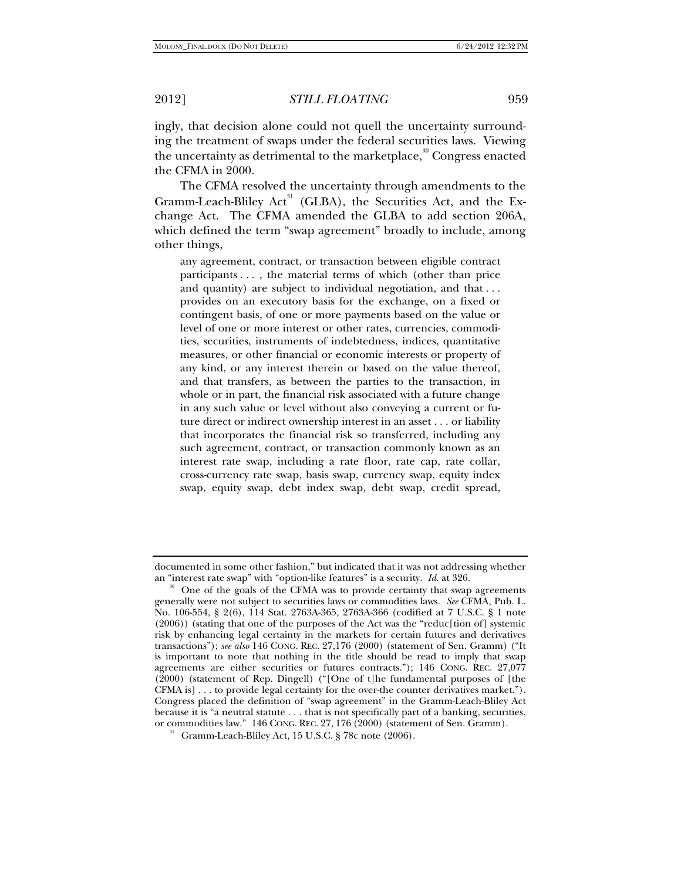ingly, that decision alone could not quell the uncertainty surrounding the treatment of swaps under the federal securities laws. Viewing the uncertainty as detrimental to the marketplace, $\frac{30}{30}$  Congress enacted the CFMA in 2000.

The CFMA resolved the uncertainty through amendments to the Gramm-Leach-Bliley Act<sup>31</sup> (GLBA), the Securities Act, and the Exchange Act. The CFMA amended the GLBA to add section 206A, which defined the term "swap agreement" broadly to include, among other things,

any agreement, contract, or transaction between eligible contract participants . . . , the material terms of which (other than price and quantity) are subject to individual negotiation, and that . . . provides on an executory basis for the exchange, on a fixed or contingent basis, of one or more payments based on the value or level of one or more interest or other rates, currencies, commodities, securities, instruments of indebtedness, indices, quantitative measures, or other financial or economic interests or property of any kind, or any interest therein or based on the value thereof, and that transfers, as between the parties to the transaction, in whole or in part, the financial risk associated with a future change in any such value or level without also conveying a current or future direct or indirect ownership interest in an asset . . . or liability that incorporates the financial risk so transferred, including any such agreement, contract, or transaction commonly known as an interest rate swap, including a rate floor, rate cap, rate collar, cross-currency rate swap, basis swap, currency swap, equity index swap, equity swap, debt index swap, debt swap, credit spread,

documented in some other fashion," but indicated that it was not addressing whether

an "interest rate swap" with "option-like features" is a security. *Id.* at 326.<br><sup>30</sup> One of the goals of the CFMA was to provide certainty that swap agreements generally were not subject to securities laws or commodities laws. *See* CFMA, Pub. L. No. 106-554, § 2(6), 114 Stat. 2763A-365, 2763A-366 (codified at 7 U.S.C. § 1 note (2006)) (stating that one of the purposes of the Act was the "reduc[tion of] systemic risk by enhancing legal certainty in the markets for certain futures and derivatives transactions"); *see also* 146 CONG. REC. 27,176 (2000) (statement of Sen. Gramm) ("It is important to note that nothing in the title should be read to imply that swap agreements are either securities or futures contracts."); 146 CONG. REC. 27,077 (2000) (statement of Rep. Dingell) ("[One of t]he fundamental purposes of [the CFMA is] . . . to provide legal certainty for the over-the counter derivatives market."). Congress placed the definition of "swap agreement" in the Gramm-Leach-Bliley Act because it is "a neutral statute . . . that is not specifically part of a banking, securities, or commodities law." 146 CONG. REC. 27, 176 (2000) (statement of Sen. Gramm).

 $31$  Gramm-Leach-Bliley Act, 15 U.S.C. § 78c note (2006).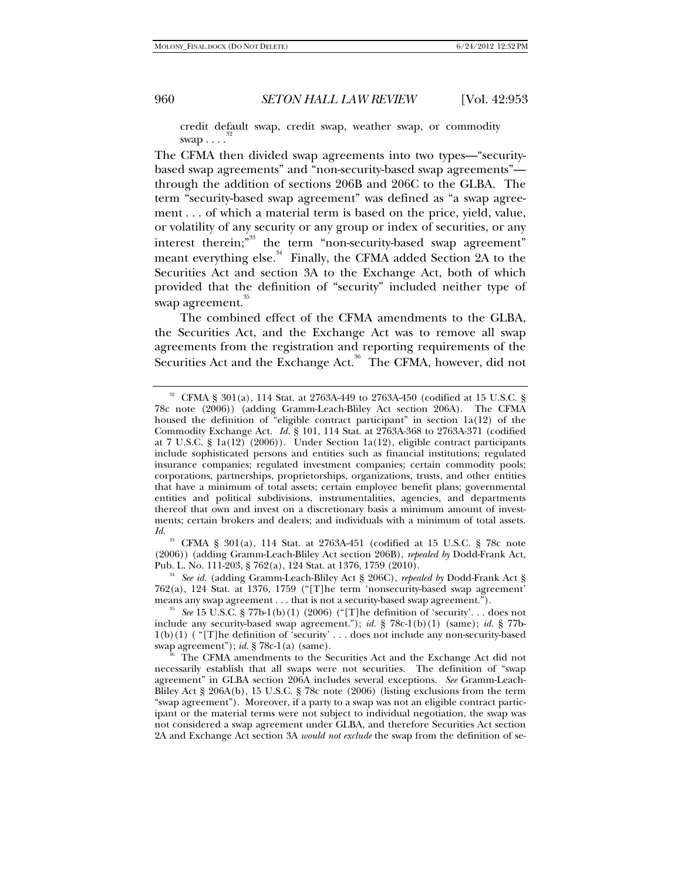credit default swap, credit swap, weather swap, or commodity swap  $\dots$ 

The CFMA then divided swap agreements into two types—"securitybased swap agreements" and "non-security-based swap agreements" through the addition of sections 206B and 206C to the GLBA. The term "security-based swap agreement" was defined as "a swap agreement . . . of which a material term is based on the price, yield, value, or volatility of any security or any group or index of securities, or any interest therein;<sup>33</sup> the term "non-security-based swap agreement" meant everything else.<sup>34</sup> Finally, the CFMA added Section 2A to the Securities Act and section 3A to the Exchange Act, both of which provided that the definition of "security" included neither type of swap agreement.<sup>35</sup>

The combined effect of the CFMA amendments to the GLBA, the Securities Act, and the Exchange Act was to remove all swap agreements from the registration and reporting requirements of the Securities Act and the Exchange Act.<sup>36</sup> The CFMA, however, did not

33 CFMA § 301(a), 114 Stat. at 2763A-451 (codified at 15 U.S.C. § 78c note (2006)) (adding Gramm-Leach-Bliley Act section 206B), *repealed by* Dodd-Frank Act, Pub. L. No. 111-203, § 762(a), 124 Stat. at 1376, 1759 (2010). 34 *See id.* (adding Gramm-Leach-Bliley Act § 206C), *repealed by* Dodd-Frank Act §

762(a), 124 Stat. at 1376, 1759 ("[T]he term 'nonsecurity-based swap agreement' means any swap agreement . . . that is not a security-based swap agreement.").<br><sup>35</sup> See 15 U.S.C. § 77b-1(b)(1) (2006) ("[T]he definition of 'security'. . . does not

<sup>32</sup> CFMA § 301(a), 114 Stat. at 2763A-449 to 2763A-450 (codified at 15 U.S.C. § 78c note (2006)) (adding Gramm-Leach-Bliley Act section 206A). The CFMA housed the definition of "eligible contract participant" in section 1a(12) of the Commodity Exchange Act. *Id.* § 101, 114 Stat. at 2763A-368 to 2763A-371 (codified at 7 U.S.C. § 1a(12) (2006)). Under Section 1a(12), eligible contract participants include sophisticated persons and entities such as financial institutions; regulated insurance companies; regulated investment companies; certain commodity pools; corporations, partnerships, proprietorships, organizations, trusts, and other entities that have a minimum of total assets; certain employee benefit plans; governmental entities and political subdivisions, instrumentalities, agencies, and departments thereof that own and invest on a discretionary basis a minimum amount of investments; certain brokers and dealers; and individuals with a minimum of total assets. *Id.*

include any security-based swap agreement."); *id.* § 78c-1(b)(1) (same); *id.* § 77b-1(b)(1) ( "[T]he definition of 'security' . . . does not include any non-security-based swap agreement"); *id.* § 78c-1(a) (same). Solution (see The CFMA amendments to the Securities Act and the Exchange Act did not

necessarily establish that all swaps were not securities. The definition of "swap agreement" in GLBA section 206A includes several exceptions. *See* Gramm-Leach-Bliley Act § 206A(b), 15 U.S.C. § 78c note (2006) (listing exclusions from the term "swap agreement"). Moreover, if a party to a swap was not an eligible contract participant or the material terms were not subject to individual negotiation, the swap was not considered a swap agreement under GLBA, and therefore Securities Act section 2A and Exchange Act section 3A *would not exclude* the swap from the definition of se-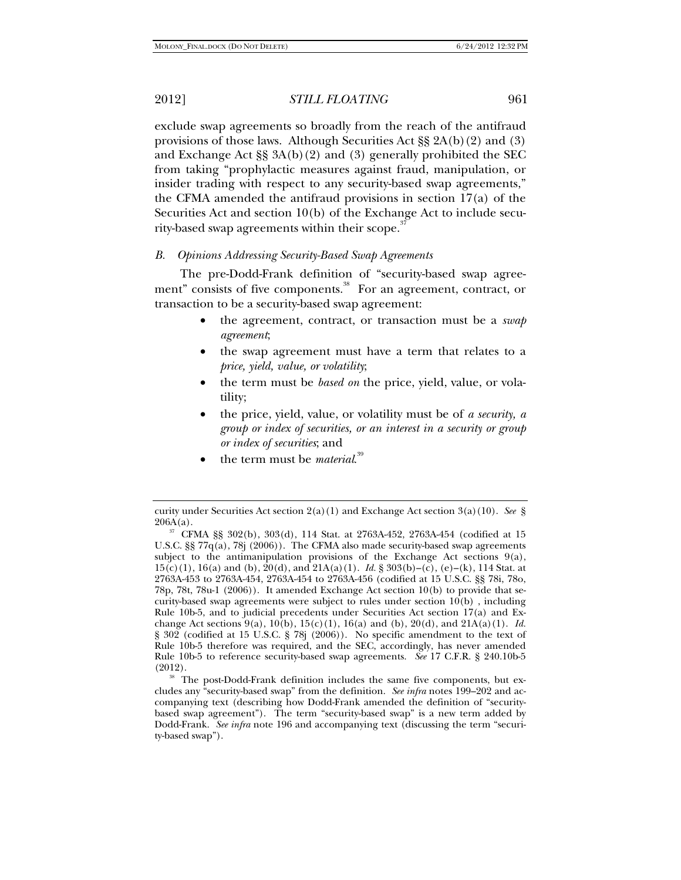exclude swap agreements so broadly from the reach of the antifraud provisions of those laws. Although Securities Act §§ 2A(b)(2) and (3) and Exchange Act §§ 3A(b)(2) and (3) generally prohibited the SEC from taking "prophylactic measures against fraud, manipulation, or insider trading with respect to any security-based swap agreements," the CFMA amended the antifraud provisions in section 17(a) of the Securities Act and section 10(b) of the Exchange Act to include security-based swap agreements within their scope.<sup>37</sup>

#### *B. Opinions Addressing Security-Based Swap Agreements*

The pre-Dodd-Frank definition of "security-based swap agreement" consists of five components.<sup>38</sup> For an agreement, contract, or transaction to be a security-based swap agreement:

- the agreement, contract, or transaction must be a *swap agreement*;
- the swap agreement must have a term that relates to a *price, yield, value, or volatility*;
- the term must be *based on* the price, yield, value, or volatility;
- the price, yield, value, or volatility must be of *a security, a group or index of securities, or an interest in a security or group or index of securities*; and
- the term must be *material*.<sup>39</sup>

 $(2012)$ .<br><sup>38</sup> The post-Dodd-Frank definition includes the same five components, but excludes any "security-based swap" from the definition. *See infra* notes 199–202 and accompanying text (describing how Dodd-Frank amended the definition of "securitybased swap agreement"). The term "security-based swap" is a new term added by Dodd-Frank. *See infra* note 196 and accompanying text (discussing the term "security-based swap").

curity under Securities Act section 2(a)(1) and Exchange Act section 3(a)(10). *See* §

<sup>&</sup>lt;sup>37</sup> CFMA §§ 302(b), 303(d), 114 Stat. at 2763A-452, 2763A-454 (codified at 15 U.S.C. §§ 77 $q(a)$ , 78 $(2006)$ . The CFMA also made security-based swap agreements subject to the antimanipulation provisions of the Exchange Act sections  $9(a)$ , 15(c)(1), 16(a) and (b), 20(d), and 21A(a)(1). *Id.* § 303(b)–(c), (e)–(k), 114 Stat. at 2763A-453 to 2763A-454, 2763A-454 to 2763A-456 (codified at 15 U.S.C. §§ 78i, 78o, 78p, 78t, 78u-1 (2006)). It amended Exchange Act section 10(b) to provide that security-based swap agreements were subject to rules under section 10(b) , including Rule 10b-5, and to judicial precedents under Securities Act section 17(a) and Exchange Act sections  $9(a)$ ,  $10(b)$ ,  $15(c)(1)$ ,  $16(a)$  and (b),  $20(d)$ , and  $21A(a)(1)$ . *Id.* § 302 (codified at 15 U.S.C. § 78j (2006)). No specific amendment to the text of Rule 10b-5 therefore was required, and the SEC, accordingly, has never amended Rule 10b-5 to reference security-based swap agreements. *See* 17 C.F.R. § 240.10b-5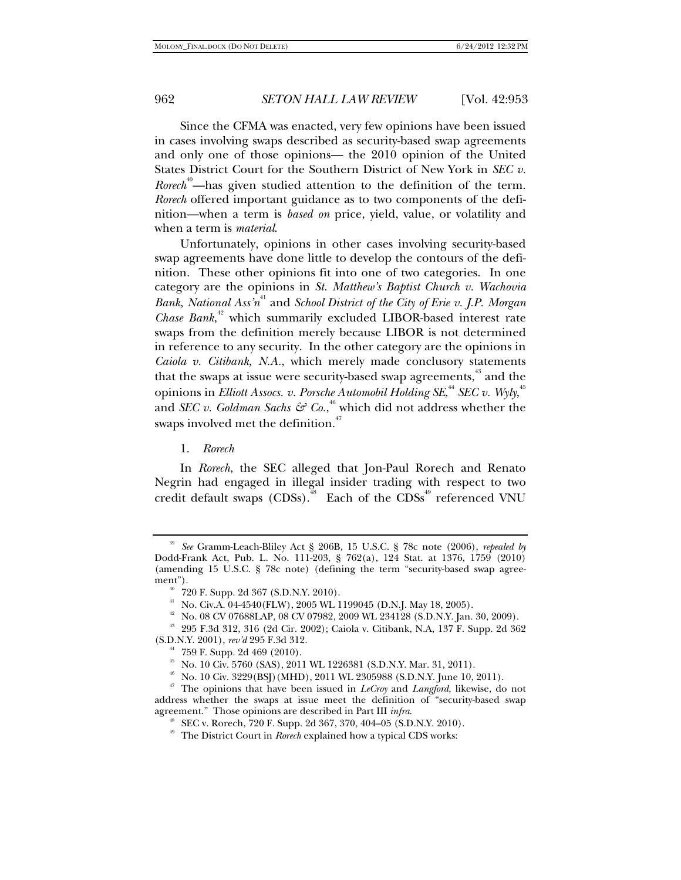Since the CFMA was enacted, very few opinions have been issued in cases involving swaps described as security-based swap agreements and only one of those opinions— the 2010 opinion of the United States District Court for the Southern District of New York in *SEC v. Rorech*<sup>40</sup>—has given studied attention to the definition of the term. *Rorech* offered important guidance as to two components of the definition—when a term is *based on* price, yield, value, or volatility and when a term is *material*.

Unfortunately, opinions in other cases involving security-based swap agreements have done little to develop the contours of the definition. These other opinions fit into one of two categories. In one category are the opinions in *St. Matthew's Baptist Church v. Wachovia Bank, National Ass'n*41 and *School District of the City of Erie v. J.P. Morgan*  Chase Bank,<sup>42</sup> which summarily excluded LIBOR-based interest rate swaps from the definition merely because LIBOR is not determined in reference to any security. In the other category are the opinions in *Caiola v. Citibank, N.A.*, which merely made conclusory statements that the swaps at issue were security-based swap agreements,<sup>43</sup> and the opinions in *Elliott Assocs. v. Porsche Automobil Holding SE*,<sup>44</sup> SEC v. Wyly,<sup>45</sup> and *SEC* v. *Goldman Sachs*  $\mathcal{G}^{\sigma}$  Co.,<sup>46</sup> which did not address whether the swaps involved met the definition.<sup>4</sup>

#### 1. *Rorech*

In *Rorech*, the SEC alleged that Jon-Paul Rorech and Renato Negrin had engaged in illegal insider trading with respect to two credit default swaps  $(CDSs)$ .<sup>48</sup> Each of the  $CDSs$ <sup>49</sup> referenced VNU

<sup>39</sup> *See* Gramm-Leach-Bliley Act § 206B, 15 U.S.C. § 78c note (2006), *repealed by* Dodd-Frank Act, Pub. L. No. 111-203, § 762(a), 124 Stat. at 1376, 1759 (2010) (amending 15 U.S.C. § 78c note) (defining the term "security-based swap agree-

<sup>&</sup>lt;sup>40</sup> 720 F. Supp. 2d 367 (S.D.N.Y. 2010).

<sup>41</sup> No. Civ.A. 04-4540(FLW), 2005 WL 1199045 (D.N.J. May 18, 2005).

 $^{42}\,$  No. 08 CV 07688LAP, 08 CV 07982, 2009 WL 234128 (S.D.N.Y. Jan. 30, 2009).

 $^{43}$  295 F.3d 312, 316 (2d Cir. 2002); Caiola v. Citibank, N.A, 137 F. Supp. 2d 362 (S.D.N.Y. 2001),  $revd$  295 F.3d 312.

<sup>759</sup> F. Supp. 2d 469 (2010).

<sup>45</sup> No. 10 Civ. 5760 (SAS), 2011 WL 1226381 (S.D.N.Y. Mar. 31, 2011).

<sup>46</sup> No. 10 Civ. 3229(BSJ)(MHD), 2011 WL 2305988 (S.D.N.Y. June 10, 2011).

<sup>47</sup> The opinions that have been issued in *LeCroy* and *Langford*, likewise, do not address whether the swaps at issue meet the definition of "security-based swap agreement." Those opinions are described in Part III  $\text{intra}$ .

<sup>&</sup>lt;sup>48</sup> SEC v. Rorech, 720 F. Supp. 2d 367, 370, 404–05 (S.D.N.Y. 2010).

<sup>49</sup> The District Court in *Rorech* explained how a typical CDS works: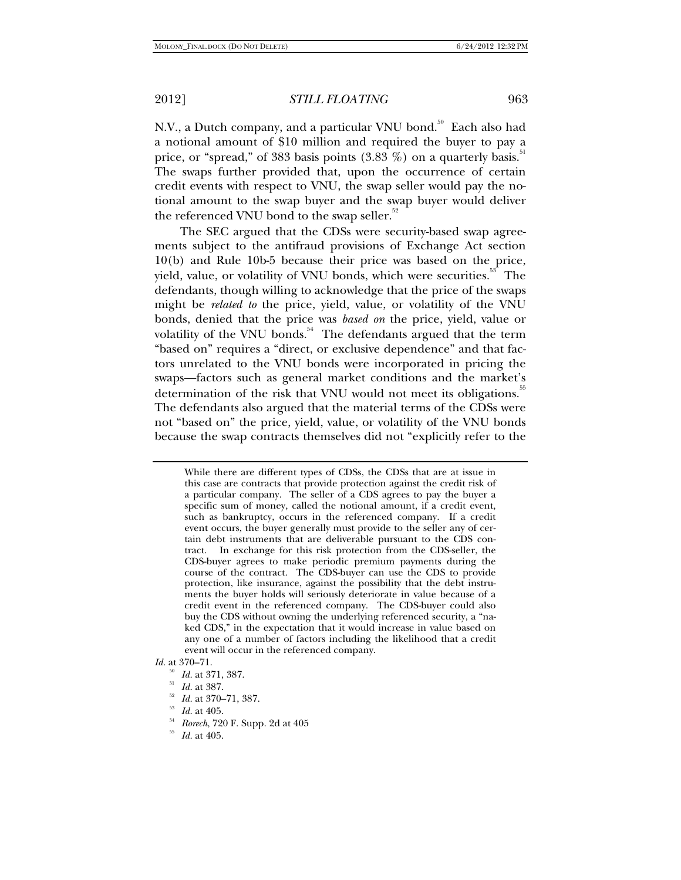N.V., a Dutch company, and a particular VNU bond.<sup>50</sup> Each also had a notional amount of \$10 million and required the buyer to pay a price, or "spread," of 383 basis points  $(3.83\%)$  on a quarterly basis.<sup>51</sup> The swaps further provided that, upon the occurrence of certain credit events with respect to VNU, the swap seller would pay the notional amount to the swap buyer and the swap buyer would deliver the referenced VNU bond to the swap seller.<sup>52</sup>

The SEC argued that the CDSs were security-based swap agreements subject to the antifraud provisions of Exchange Act section 10(b) and Rule 10b-5 because their price was based on the price, yield, value, or volatility of VNU bonds, which were securities.<sup>53</sup> The defendants, though willing to acknowledge that the price of the swaps might be *related to* the price, yield, value, or volatility of the VNU bonds, denied that the price was *based on* the price, yield, value or volatility of the VNU bonds.<sup>54</sup> The defendants argued that the term "based on" requires a "direct, or exclusive dependence" and that factors unrelated to the VNU bonds were incorporated in pricing the swaps—factors such as general market conditions and the market's determination of the risk that VNU would not meet its obligations.<sup>35</sup> The defendants also argued that the material terms of the CDSs were not "based on" the price, yield, value, or volatility of the VNU bonds because the swap contracts themselves did not "explicitly refer to the

- 
- <sup>50</sup> *Id.* at 371, 387. 51 *Id.* at 387. 52 *Id.* at 370–71, 387. 53 *Id.* at 405. 54 *Rorech*, 720 F. Supp. 2d at 405 55 *Id.* at 405.
- 

While there are different types of CDSs, the CDSs that are at issue in this case are contracts that provide protection against the credit risk of a particular company. The seller of a CDS agrees to pay the buyer a specific sum of money, called the notional amount, if a credit event, such as bankruptcy, occurs in the referenced company. If a credit event occurs, the buyer generally must provide to the seller any of certain debt instruments that are deliverable pursuant to the CDS contract. In exchange for this risk protection from the CDS-seller, the CDS-buyer agrees to make periodic premium payments during the course of the contract. The CDS-buyer can use the CDS to provide protection, like insurance, against the possibility that the debt instruments the buyer holds will seriously deteriorate in value because of a credit event in the referenced company. The CDS-buyer could also buy the CDS without owning the underlying referenced security, a "naked CDS," in the expectation that it would increase in value based on any one of a number of factors including the likelihood that a credit event will occur in the referenced company.

*Id.* at 370–71.<br><sup>50</sup> *Id.* at 371, 387.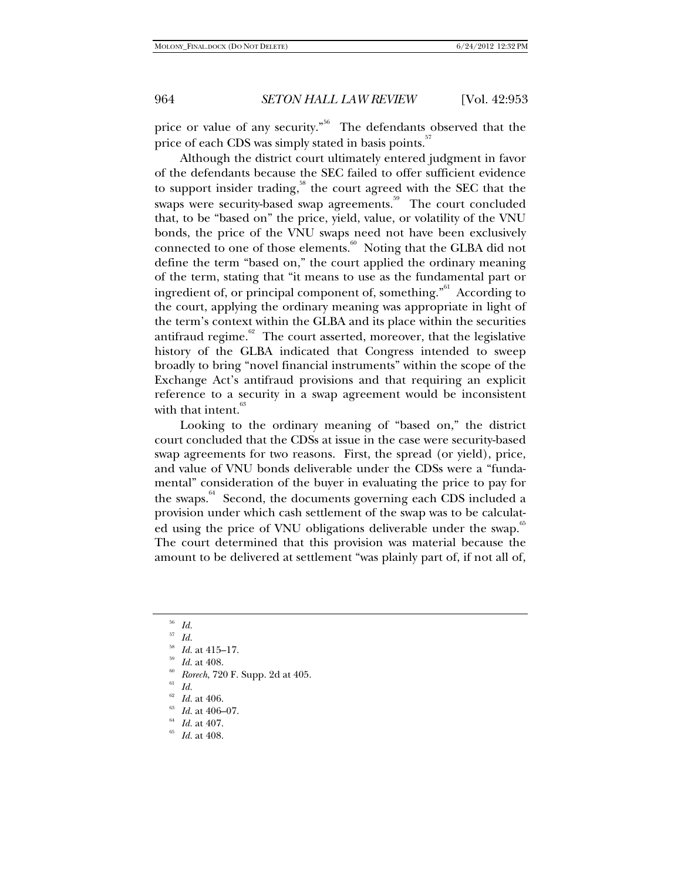price or value of any security."<sup>56</sup> The defendants observed that the price of each CDS was simply stated in basis points.<sup>57</sup>

Although the district court ultimately entered judgment in favor of the defendants because the SEC failed to offer sufficient evidence to support insider trading,<sup>58</sup> the court agreed with the SEC that the swaps were security-based swap agreements.<sup>59</sup> The court concluded that, to be "based on" the price, yield, value, or volatility of the VNU bonds, the price of the VNU swaps need not have been exclusively connected to one of those elements.<sup>60</sup> Noting that the GLBA did not define the term "based on," the court applied the ordinary meaning of the term, stating that "it means to use as the fundamental part or ingredient of, or principal component of, something.<sup>"61</sup> According to the court, applying the ordinary meaning was appropriate in light of the term's context within the GLBA and its place within the securities antifraud regime. $62$  The court asserted, moreover, that the legislative history of the GLBA indicated that Congress intended to sweep broadly to bring "novel financial instruments" within the scope of the Exchange Act's antifraud provisions and that requiring an explicit reference to a security in a swap agreement would be inconsistent with that intent.<sup>63</sup>

Looking to the ordinary meaning of "based on," the district court concluded that the CDSs at issue in the case were security-based swap agreements for two reasons. First, the spread (or yield), price, and value of VNU bonds deliverable under the CDSs were a "fundamental" consideration of the buyer in evaluating the price to pay for the swaps.<sup>64</sup> Second, the documents governing each CDS included a provision under which cash settlement of the swap was to be calculated using the price of VNU obligations deliverable under the swap.<sup>6</sup> The court determined that this provision was material because the amount to be delivered at settlement "was plainly part of, if not all of,

- <sup>56</sup> Id.<br><sup>58</sup> Id. at 415–17.<br><sup>59</sup> Id. at 408.<br><sup>60</sup> Rorech, 720 F. Supp. 2d at 405.<br><sup>61</sup> Id. at 406.<br><sup>62</sup> Id. at 406–07.<br><sup>64</sup> Id. at 407.<br><sup>64</sup> Id. at 408.
- 
- 
- 
-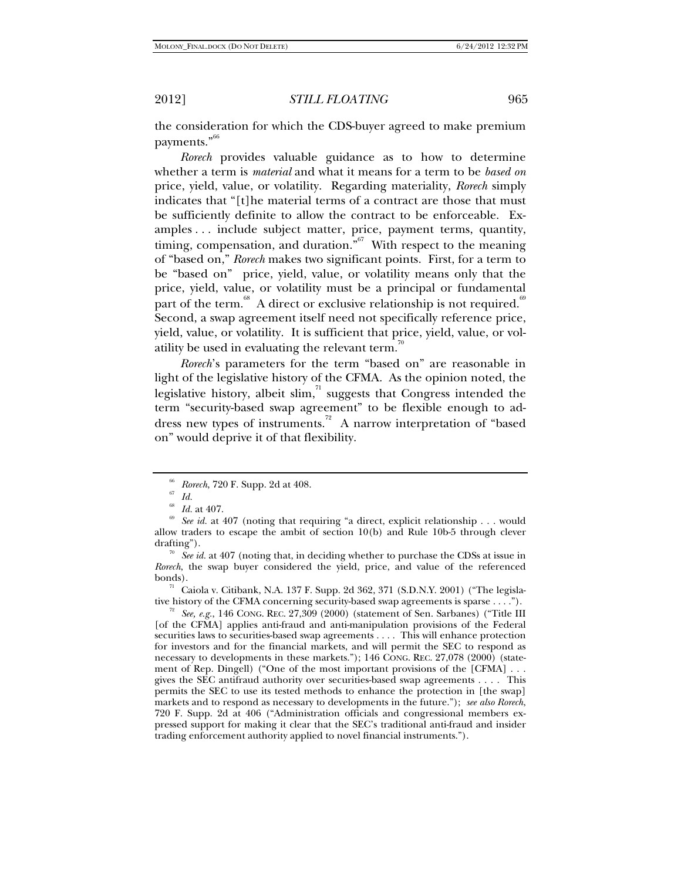the consideration for which the CDS-buyer agreed to make premium payments."<sup>66</sup>

*Rorech* provides valuable guidance as to how to determine whether a term is *material* and what it means for a term to be *based on* price, yield, value, or volatility. Regarding materiality, *Rorech* simply indicates that "[t]he material terms of a contract are those that must be sufficiently definite to allow the contract to be enforceable. Examples . . . include subject matter, price, payment terms, quantity, timing, compensation, and duration. $\frac{67}{100}$  With respect to the meaning of "based on," *Rorech* makes two significant points. First, for a term to be "based on" price, yield, value, or volatility means only that the price, yield, value, or volatility must be a principal or fundamental part of the term.<sup>68</sup> A direct or exclusive relationship is not required.<sup>19</sup> Second, a swap agreement itself need not specifically reference price, yield, value, or volatility. It is sufficient that price, yield, value, or volatility be used in evaluating the relevant term.<sup>70</sup>

*Rorech*'s parameters for the term "based on" are reasonable in light of the legislative history of the CFMA. As the opinion noted, the legislative history, albeit  $\operatorname{slim}^{\pi_1}$  suggests that Congress intended the term "security-based swap agreement" to be flexible enough to address new types of instruments.<sup>72</sup> A narrow interpretation of "based" on" would deprive it of that flexibility.

bonds).<br><sup>71</sup> Caiola v. Citibank, N.A. 137 F. Supp. 2d 362, 371 (S.D.N.Y. 2001) ("The legislative history of the CFMA concerning security-based swap agreements is sparse . . . .").

<sup>72</sup> See, e.g., 146 CONG. REC. 27,309 (2000) (statement of Sen. Sarbanes) ("Title III [of the CFMA] applies anti-fraud and anti-manipulation provisions of the Federal securities laws to securities-based swap agreements . . . . This will enhance protection for investors and for the financial markets, and will permit the SEC to respond as necessary to developments in these markets."); 146 CONG. REC. 27,078 (2000) (statement of Rep. Dingell) ("One of the most important provisions of the [CFMA] . . . gives the SEC antifraud authority over securities-based swap agreements . . . . This permits the SEC to use its tested methods to enhance the protection in [the swap] markets and to respond as necessary to developments in the future."); *see also Rorech*, 720 F. Supp. 2d at 406 ("Administration officials and congressional members expressed support for making it clear that the SEC's traditional anti-fraud and insider trading enforcement authority applied to novel financial instruments.").

<sup>&</sup>lt;sup>66</sup> *Rorech*, 720 F. Supp. 2d at 408.<br><sup>67</sup> *Id.* 68 *Id.* at 407.<br><sup>69</sup> *See id.* at 407 (noting that requiring "a direct, explicit relationship . . . would allow traders to escape the ambit of section 10(b) and Rule 10b-5 through clever drafting"). 70 *See id.* at 407 (noting that, in deciding whether to purchase the CDSs at issue in

*Rorech*, the swap buyer considered the yield, price, and value of the referenced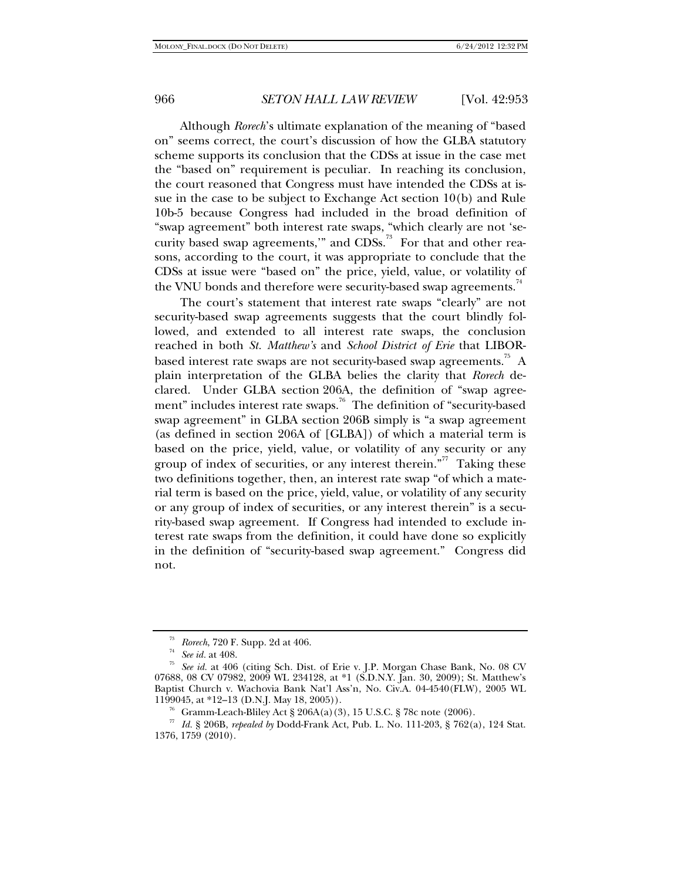Although *Rorech*'s ultimate explanation of the meaning of "based on" seems correct, the court's discussion of how the GLBA statutory scheme supports its conclusion that the CDSs at issue in the case met the "based on" requirement is peculiar. In reaching its conclusion, the court reasoned that Congress must have intended the CDSs at issue in the case to be subject to Exchange Act section 10(b) and Rule 10b-5 because Congress had included in the broad definition of "swap agreement" both interest rate swaps, "which clearly are not 'security based swap agreements," and  $CDSs$ <sup>73</sup> For that and other reasons, according to the court, it was appropriate to conclude that the CDSs at issue were "based on" the price, yield, value, or volatility of the VNU bonds and therefore were security-based swap agreements.<sup>74</sup>

The court's statement that interest rate swaps "clearly" are not security-based swap agreements suggests that the court blindly followed, and extended to all interest rate swaps, the conclusion reached in both *St. Matthew's* and *School District of Erie* that LIBORbased interest rate swaps are not security-based swap agreements.<sup>75</sup> A plain interpretation of the GLBA belies the clarity that *Rorech* declared. Under GLBA section 206A, the definition of "swap agreement" includes interest rate swaps.<sup>76</sup> The definition of "security-based" swap agreement" in GLBA section 206B simply is "a swap agreement (as defined in section 206A of [GLBA]) of which a material term is based on the price, yield, value, or volatility of any security or any group of index of securities, or any interest therein."<sup>77</sup> Taking these two definitions together, then, an interest rate swap "of which a material term is based on the price, yield, value, or volatility of any security or any group of index of securities, or any interest therein" is a security-based swap agreement. If Congress had intended to exclude interest rate swaps from the definition, it could have done so explicitly in the definition of "security-based swap agreement." Congress did not.

<sup>&</sup>lt;sup>73</sup> Rorech, 720 F. Supp. 2d at 406.<br><sup>74</sup> See id. at 408.<br><sup>75</sup> See id. at 406 (citing Sch. Dist. of Erie v. J.P. Morgan Chase Bank, No. 08 CV 07688, 08 CV 07982, 2009 WL 234128, at \*1 (S.D.N.Y. Jan. 30, 2009); St. Matthew's Baptist Church v. Wachovia Bank Nat'l Ass'n, No. Civ.A. 04-4540(FLW), 2005 WL 1199045, at \*12–13 (D.N.J. May 18, 2005)). 76 Gramm-Leach-Bliley Act § 206A(a)(3), 15 U.S.C. § 78c note (2006).

<sup>77</sup> *Id.* § 206B, *repealed by* Dodd-Frank Act, Pub. L. No. 111-203, § 762(a), 124 Stat. 1376, 1759 (2010).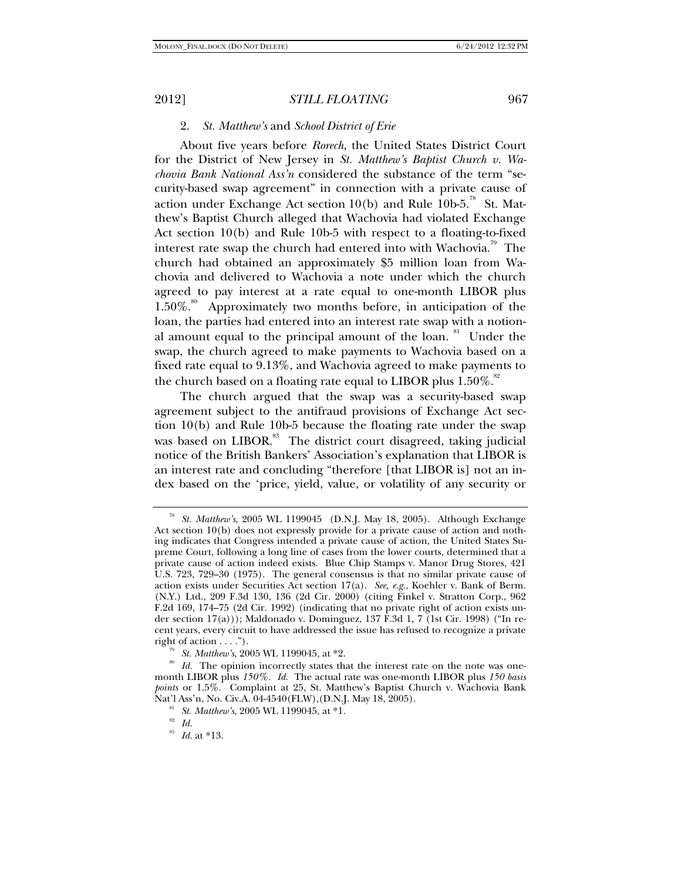#### 2. *St. Matthew's* and *School District of Erie*

About five years before *Rorech*, the United States District Court for the District of New Jersey in *St. Matthew's Baptist Church v. Wachovia Bank National Ass'n* considered the substance of the term "security-based swap agreement" in connection with a private cause of action under Exchange Act section 10(b) and Rule 10b-5.<sup>78</sup> St. Matthew's Baptist Church alleged that Wachovia had violated Exchange Act section 10(b) and Rule 10b-5 with respect to a floating-to-fixed interest rate swap the church had entered into with Wachovia.<sup>79</sup> The church had obtained an approximately \$5 million loan from Wachovia and delivered to Wachovia a note under which the church agreed to pay interest at a rate equal to one-month LIBOR plus  $1.50\%$ .<sup>80</sup> Approximately two months before, in anticipation of the loan, the parties had entered into an interest rate swap with a notional amount equal to the principal amount of the loan.<sup>81</sup> Under the swap, the church agreed to make payments to Wachovia based on a fixed rate equal to 9.13%, and Wachovia agreed to make payments to the church based on a floating rate equal to LIBOR plus  $1.50\%$ .<sup>82</sup>

The church argued that the swap was a security-based swap agreement subject to the antifraud provisions of Exchange Act section 10(b) and Rule 10b-5 because the floating rate under the swap was based on LIBOR.<sup>83</sup> The district court disagreed, taking judicial notice of the British Bankers' Association's explanation that LIBOR is an interest rate and concluding "therefore [that LIBOR is] not an index based on the 'price, yield, value, or volatility of any security or

<sup>78</sup> *St. Matthew's*, 2005 WL 1199045 (D.N.J. May 18, 2005). Although Exchange Act section 10(b) does not expressly provide for a private cause of action and nothing indicates that Congress intended a private cause of action, the United States Supreme Court, following a long line of cases from the lower courts, determined that a private cause of action indeed exists. Blue Chip Stamps v. Manor Drug Stores, 421 U.S. 723, 729–30 (1975). The general consensus is that no similar private cause of action exists under Securities Act section 17(a). *See, e.g.*, Koehler v. Bank of Berm. (N.Y.) Ltd., 209 F.3d 130, 136 (2d Cir. 2000) (citing Finkel v. Stratton Corp., 962 F.2d 169, 174–75 (2d Cir. 1992) (indicating that no private right of action exists under section  $17(a)$ )); Maldonado v. Dominguez,  $137$   $\hat{F}$ .3d 1,  $7$  (1st Cir. 1998) ("In recent years, every circuit to have addressed the issue has refused to recognize a private

right of action . . . .").<br><sup>79</sup> *St. Matthew's*, 2005 WL 1199045, at \*2.<br><sup>80</sup> *Id.* The opinion incorrectly states that the interest rate on the note was onemonth LIBOR plus *150%. Id.* The actual rate was one-month LIBOR plus *150 basis points* or 1.5%. Complaint at 25, St. Matthew's Baptist Church v. Wachovia Bank Nat'l Ass'n, No. Civ.A. 04-4540(FLW),(D.N.J. May 18, 2005).

<sup>&</sup>lt;sup>81</sup> St. Matthew's, 2005 WL 1199045, at \*1.<br><sup>82</sup> Id. at \*13.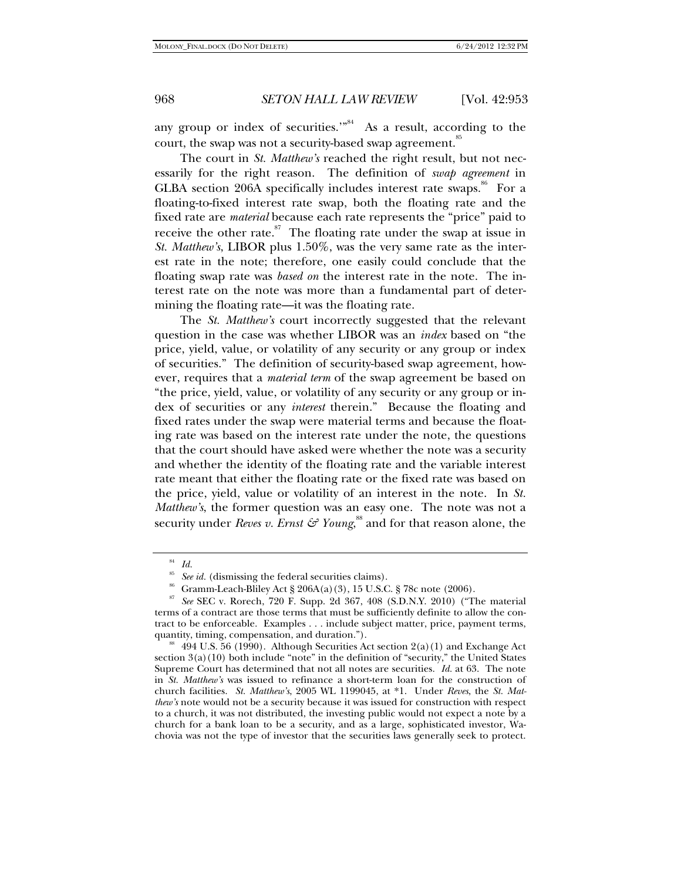any group or index of securities. $^{\cdot\cdot\cdot^{84}}$  As a result, according to the court, the swap was not a security-based swap agreement.<sup>85</sup>

The court in *St. Matthew's* reached the right result, but not necessarily for the right reason. The definition of *swap agreement* in GLBA section 206A specifically includes interest rate swaps. $\frac{8}{5}$  For a floating-to-fixed interest rate swap, both the floating rate and the fixed rate are *material* because each rate represents the "price" paid to receive the other rate.<sup>87</sup> The floating rate under the swap at issue in *St. Matthew's*, LIBOR plus 1.50%, was the very same rate as the interest rate in the note; therefore, one easily could conclude that the floating swap rate was *based on* the interest rate in the note. The interest rate on the note was more than a fundamental part of determining the floating rate—it was the floating rate.

The *St. Matthew's* court incorrectly suggested that the relevant question in the case was whether LIBOR was an *index* based on "the price, yield, value, or volatility of any security or any group or index of securities." The definition of security-based swap agreement, however, requires that a *material term* of the swap agreement be based on "the price, yield, value, or volatility of any security or any group or index of securities or any *interest* therein." Because the floating and fixed rates under the swap were material terms and because the floating rate was based on the interest rate under the note, the questions that the court should have asked were whether the note was a security and whether the identity of the floating rate and the variable interest rate meant that either the floating rate or the fixed rate was based on the price, yield, value or volatility of an interest in the note. In *St. Matthew's*, the former question was an easy one. The note was not a security under *Reves v. Ernst & Young,* $^{\rm ss}$  and for that reason alone, the

<sup>84</sup> *Id.* 

See id. (dismissing the federal securities claims).<br>Gramm-Leach-Bliley Act § 206A(a)(3), 15 U.S.C. § 78c note (2006).

<sup>87</sup> *See* SEC v. Rorech, 720 F. Supp. 2d 367, 408 (S.D.N.Y. 2010) ("The material terms of a contract are those terms that must be sufficiently definite to allow the contract to be enforceable. Examples . . . include subject matter, price, payment terms,

<sup>&</sup>lt;sup>88</sup> 494 U.S. 56 (1990). Although Securities Act section  $2(a)(1)$  and Exchange Act section  $3(a)(10)$  both include "note" in the definition of "security," the United States Supreme Court has determined that not all notes are securities. *Id.* at 63. The note in *St. Matthew's* was issued to refinance a short-term loan for the construction of church facilities. *St. Matthew's*, 2005 WL 1199045, at \*1. Under *Reves*, the *St. Matthew's* note would not be a security because it was issued for construction with respect to a church, it was not distributed, the investing public would not expect a note by a church for a bank loan to be a security, and as a large, sophisticated investor, Wachovia was not the type of investor that the securities laws generally seek to protect.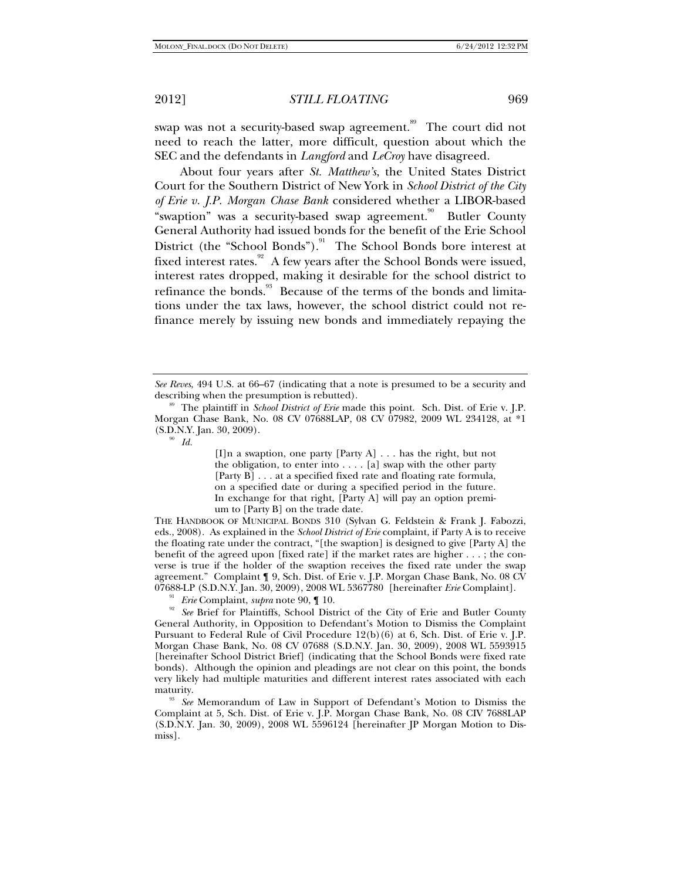swap was not a security-based swap agreement.<sup>89</sup> The court did not need to reach the latter, more difficult, question about which the SEC and the defendants in *Langford* and *LeCroy* have disagreed.

About four years after *St. Matthew's*, the United States District Court for the Southern District of New York in *School District of the City of Erie v. J.P. Morgan Chase Bank* considered whether a LIBOR-based "swaption" was a security-based swap agreement.<sup>90</sup> Butler County General Authority had issued bonds for the benefit of the Erie School District (the "School Bonds").<sup>91</sup> The School Bonds bore interest at fixed interest rates. $92$  A few years after the School Bonds were issued, interest rates dropped, making it desirable for the school district to refinance the bonds.<sup>93</sup> Because of the terms of the bonds and limitations under the tax laws, however, the school district could not refinance merely by issuing new bonds and immediately repaying the

[I]n a swaption, one party [Party A] . . . has the right, but not the obligation, to enter into . . . . [a] swap with the other party [Party B] . . . at a specified fixed rate and floating rate formula, on a specified date or during a specified period in the future. In exchange for that right, [Party A] will pay an option premium to [Party B] on the trade date.

THE HANDBOOK OF MUNICIPAL BONDS 310 (Sylvan G. Feldstein & Frank J. Fabozzi, eds., 2008). As explained in the *School District of Erie* complaint, if Party A is to receive the floating rate under the contract, "[the swaption] is designed to give [Party A] the benefit of the agreed upon [fixed rate] if the market rates are higher . . . ; the converse is true if the holder of the swaption receives the fixed rate under the swap agreement." Complaint ¶ 9, Sch. Dist. of Erie v. J.P. Morgan Chase Bank, No. 08 CV<br>07688-LP (S.D.N.Y. Jan. 30, 2009), 2008 WL 5367780 [hereinafter *Erie* Complaint].

<sup>91</sup> *Erie* Complaint, *supra* note 90,  $\P$  10.<br><sup>92</sup> *See* Brief for Plaintiffs, School District of the City of Erie and Butler County General Authority, in Opposition to Defendant's Motion to Dismiss the Complaint Pursuant to Federal Rule of Civil Procedure 12(b)(6) at 6, Sch. Dist. of Erie v. J.P. Morgan Chase Bank, No. 08 CV 07688 (S.D.N.Y. Jan. 30, 2009), 2008 WL 5593915 [hereinafter School District Brief] (indicating that the School Bonds were fixed rate bonds). Although the opinion and pleadings are not clear on this point, the bonds very likely had multiple maturities and different interest rates associated with each

<sup>93</sup> See Memorandum of Law in Support of Defendant's Motion to Dismiss the Complaint at 5, Sch. Dist. of Erie v. J.P. Morgan Chase Bank, No. 08 CIV 7688LAP (S.D.N.Y. Jan. 30, 2009), 2008 WL 5596124 [hereinafter JP Morgan Motion to Dismiss].

*See Reves*, 494 U.S. at 66–67 (indicating that a note is presumed to be a security and

describing when the presumption is rebutted).<br><sup>89</sup> The plaintiff in *School District of Erie* made this point. Sch. Dist. of Erie v. J.P. Morgan Chase Bank, No. 08 CV 07688LAP, 08 CV 07982, 2009 WL 234128, at \*1 (S.D.N.Y. Jan. 30, 2009).<br><sup>90</sup> *Id.*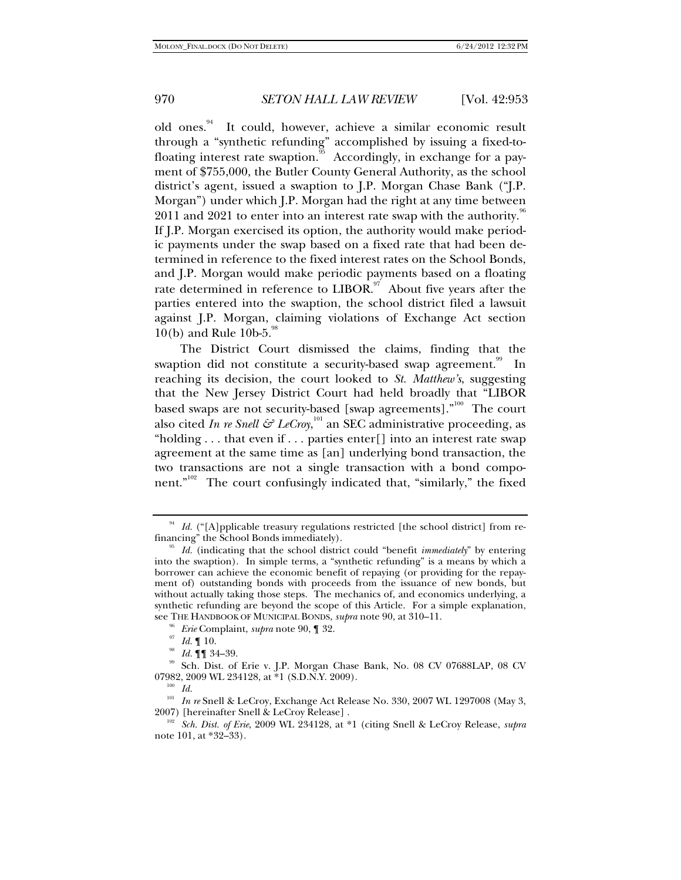old ones.<sup>94</sup> It could, however, achieve a similar economic result through a "synthetic refunding" accomplished by issuing a fixed-tofloating interest rate swaption.<sup>95</sup> Accordingly, in exchange for a payment of \$755,000, the Butler County General Authority, as the school district's agent, issued a swaption to J.P. Morgan Chase Bank ("J.P. Morgan") under which J.P. Morgan had the right at any time between 2011 and 2021 to enter into an interest rate swap with the authority.  $96$ If J.P. Morgan exercised its option, the authority would make periodic payments under the swap based on a fixed rate that had been determined in reference to the fixed interest rates on the School Bonds, and J.P. Morgan would make periodic payments based on a floating rate determined in reference to  $LIBOR$ .<sup>97</sup> About five years after the parties entered into the swaption, the school district filed a lawsuit against J.P. Morgan, claiming violations of Exchange Act section  $10(b)$  and Rule  $10b-5$ .

The District Court dismissed the claims, finding that the swaption did not constitute a security-based swap agreement.<sup>99</sup> In reaching its decision, the court looked to *St. Matthew's*, suggesting that the New Jersey District Court had held broadly that "LIBOR based swaps are not security-based [swap agreements]."<sup>100</sup> The court also cited *In re Snell & LeCroy*, $^{101}$  an SEC administrative proceeding, as "holding  $\dots$  that even if  $\dots$  parties enter [] into an interest rate swap agreement at the same time as [an] underlying bond transaction, the two transactions are not a single transaction with a bond component."<sup>102</sup> The court confusingly indicated that, "similarly," the fixed

<sup>&</sup>lt;sup>94</sup> *Id.* ("[A]pplicable treasury regulations restricted [the school district] from re-<br>financing" the School Bonds immediately).

<sup>&</sup>lt;sup>95</sup> Id. (indicating that the school district could "benefit *immediately*" by entering into the swaption). In simple terms, a "synthetic refunding" is a means by which a borrower can achieve the economic benefit of repaying (or providing for the repayment of) outstanding bonds with proceeds from the issuance of new bonds, but without actually taking those steps. The mechanics of, and economics underlying, a synthetic refunding are beyond the scope of this Article. For a simple explanation, see THE HANDBOOK OF MUNICIPAL BONDS, *supra* note 90, at 310–11.

<sup>&</sup>lt;sup>96</sup> *Erie* Complaint, *supra* note 90, ¶ 32.<br>
<sup>97</sup> *Id.* ¶ 10.<br>
<sup>98</sup> *Id.* ¶ 34–39.<br>
29 Sch. Dist. of Erie v. J.P. Morgan Chase Bank, No. 08 CV 07688LAP, 08 CV 07982, 2009 WL 234128, at \*1 (S.D.N.Y. 2009).

<sup>&</sup>lt;sup>100</sup> *Id.*<br><sup>101</sup> *In re* Snell & LeCroy, Exchange Act Release No. 330, 2007 WL 1297008 (May 3,

<sup>2007) [</sup>hereinafter Snell & LeCroy Release] . 102 *Sch. Dist. of Erie*, 2009 WL 234128, at \*1 (citing Snell & LeCroy Release, *supra* note 101, at \*32–33).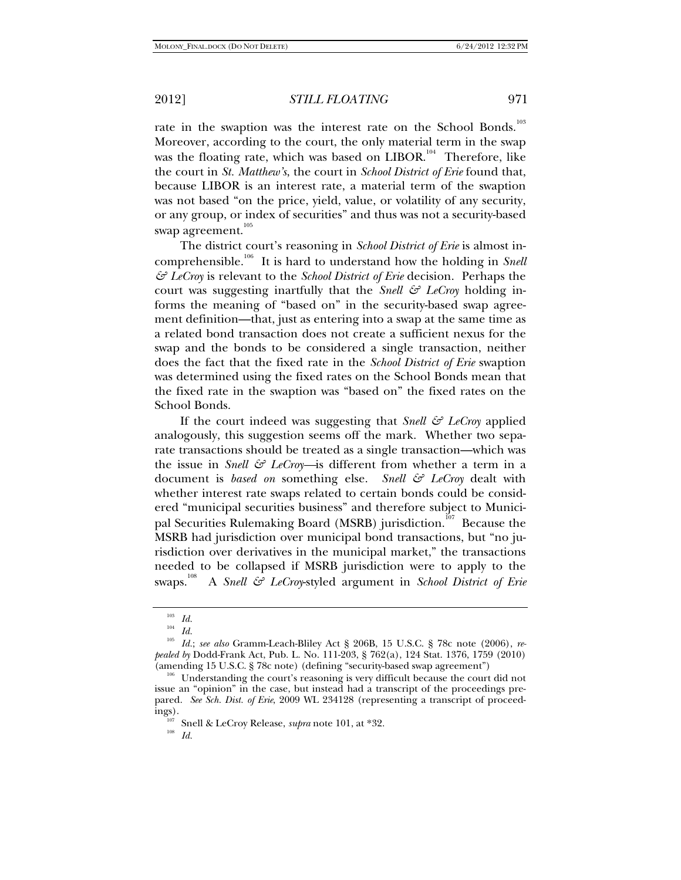rate in the swaption was the interest rate on the School Bonds.<sup>103</sup> Moreover, according to the court, the only material term in the swap was the floating rate, which was based on LIBOR.<sup>104</sup> Therefore, like the court in *St. Matthew's*, the court in *School District of Erie* found that, because LIBOR is an interest rate, a material term of the swaption was not based "on the price, yield, value, or volatility of any security, or any group, or index of securities" and thus was not a security-based swap agreement.<sup>105</sup>

The district court's reasoning in *School District of Erie* is almost incomprehensible.<sup>106</sup> It is hard to understand how the holding in *Snell & LeCroy* is relevant to the *School District of Erie* decision. Perhaps the court was suggesting inartfully that the *Snell & LeCroy* holding informs the meaning of "based on" in the security-based swap agreement definition—that, just as entering into a swap at the same time as a related bond transaction does not create a sufficient nexus for the swap and the bonds to be considered a single transaction, neither does the fact that the fixed rate in the *School District of Erie* swaption was determined using the fixed rates on the School Bonds mean that the fixed rate in the swaption was "based on" the fixed rates on the School Bonds.

If the court indeed was suggesting that *Snell & LeCroy* applied analogously, this suggestion seems off the mark. Whether two separate transactions should be treated as a single transaction—which was the issue in *Snell & LeCroy—*is different from whether a term in a document is *based on* something else. *Snell & LeCroy* dealt with whether interest rate swaps related to certain bonds could be considered "municipal securities business" and therefore subject to Municipal Securities Rulemaking Board (MSRB) jurisdiction.<sup>107</sup> Because the MSRB had jurisdiction over municipal bond transactions, but "no jurisdiction over derivatives in the municipal market," the transactions needed to be collapsed if MSRB jurisdiction were to apply to the swaps.<sup>108</sup> A *Snell & LeCroy*-styled argument in *School District of Erie* 

<sup>103</sup> *Id.* 104 *Id.* 105 *Id.*; *see also* Gramm-Leach-Bliley Act § 206B, 15 U.S.C. § 78c note (2006), *repealed by* Dodd-Frank Act, Pub. L. No. 111-203, § 762(a), 124 Stat. 1376, 1759 (2010) (amending 15 U.S.C. § 78c note) (defining "security-based swap agreement") 106 Understanding the court's reasoning is very difficult because the court did not

issue an "opinion" in the case, but instead had a transcript of the proceedings prepared. *See Sch. Dist. of Erie*, 2009 WL 234128 (representing a transcript of proceedings). 107 Snell & LeCroy Release, *supra* note 101, at \*32. 108 *Id.*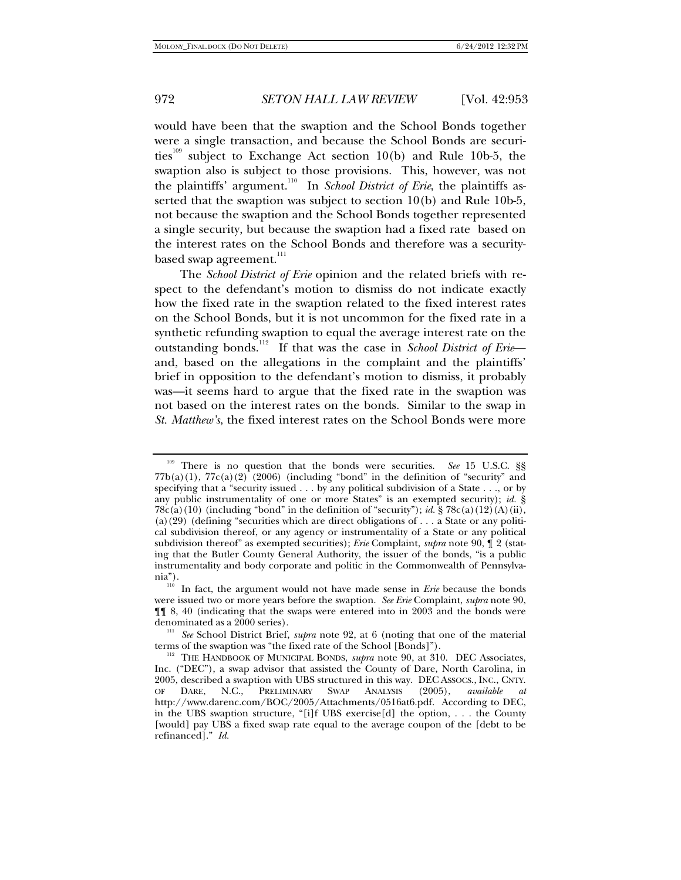would have been that the swaption and the School Bonds together were a single transaction, and because the School Bonds are securities<sup>109</sup> subject to Exchange Act section 10(b) and Rule 10b-5, the swaption also is subject to those provisions. This, however, was not the plaintiffs' argument.<sup>110</sup> In *School District of Erie*, the plaintiffs asserted that the swaption was subject to section 10(b) and Rule 10b-5, not because the swaption and the School Bonds together represented a single security, but because the swaption had a fixed rate based on the interest rates on the School Bonds and therefore was a securitybased swap agreement.<sup>111</sup>

The *School District of Erie* opinion and the related briefs with respect to the defendant's motion to dismiss do not indicate exactly how the fixed rate in the swaption related to the fixed interest rates on the School Bonds, but it is not uncommon for the fixed rate in a synthetic refunding swaption to equal the average interest rate on the outstanding bonds.112 If that was the case in *School District of Erie* and, based on the allegations in the complaint and the plaintiffs' brief in opposition to the defendant's motion to dismiss, it probably was—it seems hard to argue that the fixed rate in the swaption was not based on the interest rates on the bonds. Similar to the swap in *St. Matthew's*, the fixed interest rates on the School Bonds were more

<sup>&</sup>lt;sup>109</sup> There is no question that the bonds were securities. *See* 15 U.S.C. §§  $77b(a)(1)$ ,  $77c(a)(2)$  (2006) (including "bond" in the definition of "security" and specifying that a "security issued . . . by any political subdivision of a State . . ., or by any public instrumentality of one or more States" is an exempted security); *id.* § 78c(a)(10) (including "bond" in the definition of "security"); *id.* § 78c(a)(12)(A)(ii), (a)(29) (defining "securities which are direct obligations of  $\dots$  a State or any political subdivision thereof, or any agency or instrumentality of a State or any political subdivision thereof" as exempted securities); *Erie* Complaint, *supra* note 90, ¶ 2 (stating that the Butler County General Authority, the issuer of the bonds, "is a public instrumentality and body corporate and politic in the Commonwealth of Pennsylva-

<sup>&</sup>lt;sup>110</sup> In fact, the argument would not have made sense in *Erie* because the bonds were issued two or more years before the swaption. *See Erie* Complaint, *supra* note 90, ¶¶ 8, 40 (indicating that the swaps were entered into in 2003 and the bonds were denominated as a 2000 series). 111 *See* School District Brief, *supra* note 92, at 6 (noting that one of the material

terms of the swaption was "the fixed rate of the School [Bonds]"). 112 THE HANDBOOK OF MUNICIPAL BONDS, *supra* note 90, at 310. DEC Associates,

Inc. ("DEC"), a swap advisor that assisted the County of Dare, North Carolina, in 2005, described a swaption with UBS structured in this way. DEC ASSOCS., INC., CNTY. OF DARE, N.C., PRELIMINARY SWAP ANALYSIS (2005), *available* http://www.darenc.com/BOC/2005/Attachments/0516at6.pdf. According to DEC, in the UBS swaption structure, "[i]f UBS exercise[d] the option, . . . the County [would] pay UBS a fixed swap rate equal to the average coupon of the [debt to be refinanced]." *Id.*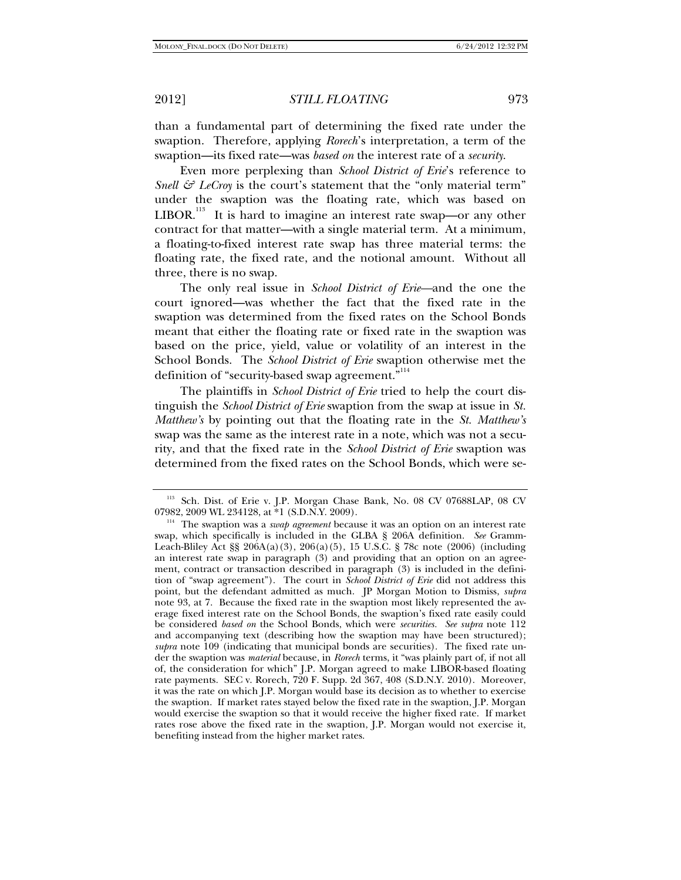than a fundamental part of determining the fixed rate under the swaption. Therefore, applying *Rorech*'s interpretation, a term of the swaption—its fixed rate—was *based on* the interest rate of a *security*.

Even more perplexing than *School District of Erie*'s reference to *Snell*  $\mathcal{F}$  *LeCroy* is the court's statement that the "only material term" under the swaption was the floating rate, which was based on  $LIBOR.<sup>113</sup>$  It is hard to imagine an interest rate swap—or any other contract for that matter—with a single material term. At a minimum, a floating-to-fixed interest rate swap has three material terms: the floating rate, the fixed rate, and the notional amount. Without all three, there is no swap.

The only real issue in *School District of Erie—*and the one the court ignored—was whether the fact that the fixed rate in the swaption was determined from the fixed rates on the School Bonds meant that either the floating rate or fixed rate in the swaption was based on the price, yield, value or volatility of an interest in the School Bonds. The *School District of Erie* swaption otherwise met the definition of "security-based swap agreement."<sup>114</sup>

The plaintiffs in *School District of Erie* tried to help the court distinguish the *School District of Erie* swaption from the swap at issue in *St. Matthew's* by pointing out that the floating rate in the *St. Matthew's* swap was the same as the interest rate in a note, which was not a security, and that the fixed rate in the *School District of Erie* swaption was determined from the fixed rates on the School Bonds, which were se-

<sup>113</sup> Sch. Dist. of Erie v. J.P. Morgan Chase Bank, No. 08 CV 07688LAP, 08 CV

<sup>07982, 2009</sup> WL 234128, at \*1 (S.D.N.Y. 2009).<br><sup>114</sup> The swaption was a *swap agreement* because it was an option on an interest rate swap, which specifically is included in the GLBA § 206A definition. *See* Gramm-Leach-Bliley Act §§ 206A(a)(3), 206(a)(5), 15 U.S.C. § 78c note (2006) (including an interest rate swap in paragraph (3) and providing that an option on an agreement, contract or transaction described in paragraph (3) is included in the definition of "swap agreement"). The court in *School District of Erie* did not address this point, but the defendant admitted as much. JP Morgan Motion to Dismiss, *supra* note 93, at 7. Because the fixed rate in the swaption most likely represented the average fixed interest rate on the School Bonds, the swaption's fixed rate easily could be considered *based on* the School Bonds, which were *securities. See supra* note 112 and accompanying text (describing how the swaption may have been structured); *supra* note 109 (indicating that municipal bonds are securities). The fixed rate under the swaption was *material* because, in *Rorech* terms, it "was plainly part of, if not all of, the consideration for which" J.P. Morgan agreed to make LIBOR-based floating rate payments. SEC v. Rorech, 720 F. Supp. 2d 367, 408 (S.D.N.Y. 2010). Moreover, it was the rate on which J.P. Morgan would base its decision as to whether to exercise the swaption. If market rates stayed below the fixed rate in the swaption, J.P. Morgan would exercise the swaption so that it would receive the higher fixed rate. If market rates rose above the fixed rate in the swaption, J.P. Morgan would not exercise it, benefiting instead from the higher market rates.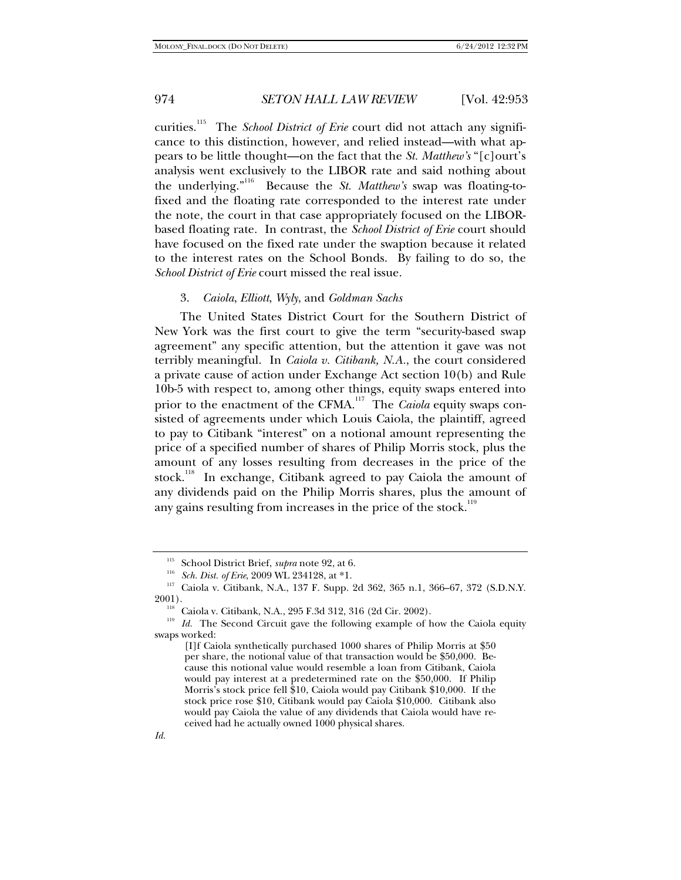curities.115 The *School District of Erie* court did not attach any significance to this distinction, however, and relied instead—with what appears to be little thought—on the fact that the *St. Matthew's* "[c]ourt's analysis went exclusively to the LIBOR rate and said nothing about the underlying."116 Because the *St. Matthew's* swap was floating-tofixed and the floating rate corresponded to the interest rate under the note, the court in that case appropriately focused on the LIBORbased floating rate. In contrast, the *School District of Erie* court should have focused on the fixed rate under the swaption because it related to the interest rates on the School Bonds. By failing to do so, the *School District of Erie* court missed the real issue.

### 3. *Caiola*, *Elliott*, *Wyly*, and *Goldman Sachs*

The United States District Court for the Southern District of New York was the first court to give the term "security-based swap agreement" any specific attention, but the attention it gave was not terribly meaningful. In *Caiola v. Citibank, N.A.*, the court considered a private cause of action under Exchange Act section 10(b) and Rule 10b-5 with respect to, among other things, equity swaps entered into prior to the enactment of the CFMA.<sup>117</sup> The *Caiola* equity swaps consisted of agreements under which Louis Caiola, the plaintiff, agreed to pay to Citibank "interest" on a notional amount representing the price of a specified number of shares of Philip Morris stock, plus the amount of any losses resulting from decreases in the price of the stock.<sup>118</sup> In exchange, Citibank agreed to pay Caiola the amount of any dividends paid on the Philip Morris shares, plus the amount of any gains resulting from increases in the price of the stock.<sup>119</sup>

<sup>&</sup>lt;sup>115</sup> School District Brief, *supra* note 92, at 6.<br><sup>116</sup> *Sch. Dist. of Erie*, 2009 WL 234128, at \*1.<br><sup>117</sup> Caiola v. Citibank, N.A., 137 F. Supp. 2d 362, 365 n.1, 366–67, 372 (S.D.N.Y.<br>2001).

<sup>&</sup>lt;sup>118</sup> Caiola v. Citibank, N.A., 295 F.3d 312, 316 (2d Cir. 2002).  $Id$ . The Second Circuit gave the following example of how the Caiola equity swaps worked:

<sup>[</sup>I]f Caiola synthetically purchased 1000 shares of Philip Morris at \$50 per share, the notional value of that transaction would be \$50,000. Because this notional value would resemble a loan from Citibank, Caiola would pay interest at a predetermined rate on the \$50,000. If Philip Morris's stock price fell \$10, Caiola would pay Citibank \$10,000. If the stock price rose \$10, Citibank would pay Caiola \$10,000. Citibank also would pay Caiola the value of any dividends that Caiola would have received had he actually owned 1000 physical shares.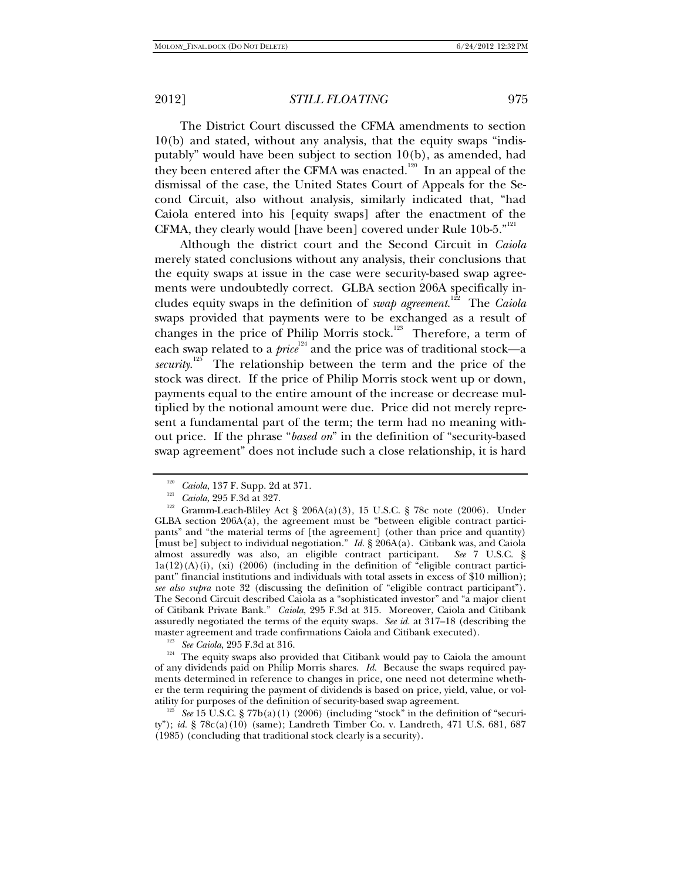The District Court discussed the CFMA amendments to section 10(b) and stated, without any analysis, that the equity swaps "indisputably" would have been subject to section 10(b), as amended, had they been entered after the CFMA was enacted.<sup>120</sup> In an appeal of the dismissal of the case, the United States Court of Appeals for the Second Circuit, also without analysis, similarly indicated that, "had Caiola entered into his [equity swaps] after the enactment of the CFMA, they clearly would [have been] covered under Rule 10b-5."<sup>121</sup>

Although the district court and the Second Circuit in *Caiola* merely stated conclusions without any analysis, their conclusions that the equity swaps at issue in the case were security-based swap agreements were undoubtedly correct. GLBA section 206A specifically includes equity swaps in the definition of *swap agreement*. 122 The *Caiola* swaps provided that payments were to be exchanged as a result of changes in the price of Philip Morris stock.<sup>123</sup> Therefore, a term of each swap related to a *price*<sup>124</sup> and the price was of traditional stock—a security.<sup>125</sup> The relationship between the term and the price of the stock was direct. If the price of Philip Morris stock went up or down, payments equal to the entire amount of the increase or decrease multiplied by the notional amount were due. Price did not merely represent a fundamental part of the term; the term had no meaning without price. If the phrase "*based on*" in the definition of "security-based swap agreement" does not include such a close relationship, it is hard

master agreement and trade confirmations Caiola and Citibank executed).<br><sup>123</sup> See Caiola, 295 F.3d at 316.<br><sup>124</sup> The equity swaps also provided that Citibank would pay to Caiola the amount of any dividends paid on Philip Morris shares. *Id.* Because the swaps required payments determined in reference to changes in price, one need not determine whether the term requiring the payment of dividends is based on price, yield, value, or vol-

<sup>125</sup> See 15 U.S.C. § 77b(a)(1) (2006) (including "stock" in the definition of "security"); *id.* § 78c(a)(10) (same); Landreth Timber Co. v. Landreth, 471 U.S. 681, 687 (1985) (concluding that traditional stock clearly is a security).

<sup>&</sup>lt;sup>120</sup> *Caiola*, 137 F. Supp. 2d at 371.

<sup>&</sup>lt;sup>121</sup> *Caiola*, 295 F.3d at 327.<br><sup>122</sup> Gramm-Leach-Bliley Act § 206A(a)(3), 15 U.S.C. § 78c note (2006). Under GLBA section 206A(a), the agreement must be "between eligible contract participants" and "the material terms of [the agreement] (other than price and quantity) [must be] subject to individual negotiation." *Id.* § 206A(a). Citibank was, and Caiola almost assuredly was also, an eligible contract participant. *See* 7 U.S.C. §  $1a(12)(A)(i)$ , (xi) (2006) (including in the definition of "eligible contract participant" financial institutions and individuals with total assets in excess of \$10 million); *see also supra* note 32 (discussing the definition of "eligible contract participant"). The Second Circuit described Caiola as a "sophisticated investor" and "a major client of Citibank Private Bank." *Caiola*, 295 F.3d at 315. Moreover, Caiola and Citibank assuredly negotiated the terms of the equity swaps. *See id.* at 317–18 (describing the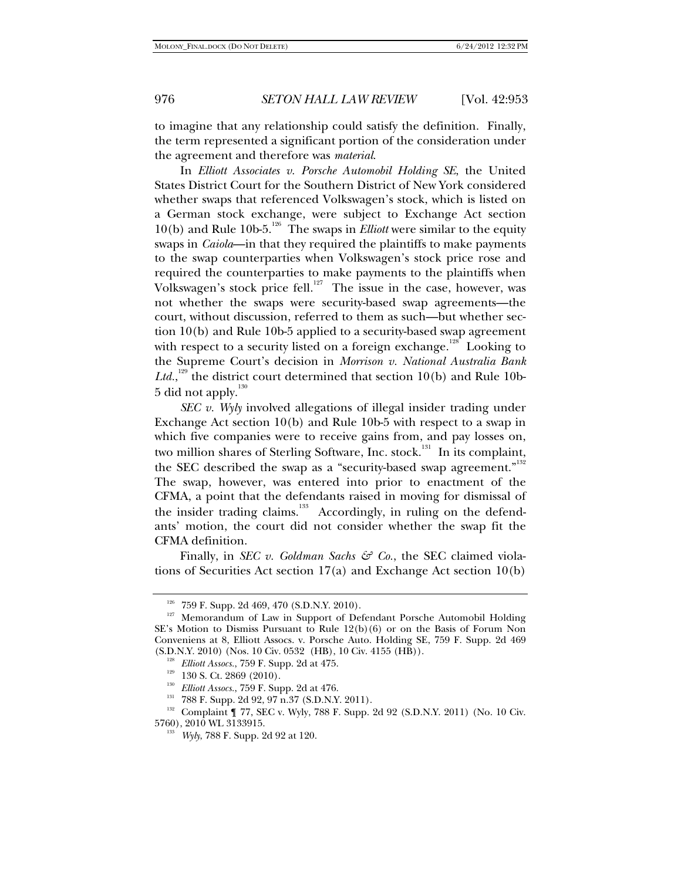to imagine that any relationship could satisfy the definition. Finally, the term represented a significant portion of the consideration under the agreement and therefore was *material*.

In *Elliott Associates v. Porsche Automobil Holding SE*, the United States District Court for the Southern District of New York considered whether swaps that referenced Volkswagen's stock, which is listed on a German stock exchange, were subject to Exchange Act section 10(b) and Rule 10b-5.<sup>126</sup> The swaps in *Elliott* were similar to the equity swaps in *Caiola*—in that they required the plaintiffs to make payments to the swap counterparties when Volkswagen's stock price rose and required the counterparties to make payments to the plaintiffs when Volkswagen's stock price fell.<sup>127</sup> The issue in the case, however, was not whether the swaps were security-based swap agreements—the court, without discussion, referred to them as such—but whether section 10(b) and Rule 10b-5 applied to a security-based swap agreement with respect to a security listed on a foreign exchange.<sup>128</sup> Looking to the Supreme Court's decision in *Morrison v. National Australia Bank*  Ltd.,<sup>129</sup> the district court determined that section 10(b) and Rule 10b- $5$  did not apply.<sup>130</sup>

*SEC v. Wyly* involved allegations of illegal insider trading under Exchange Act section 10(b) and Rule 10b-5 with respect to a swap in which five companies were to receive gains from, and pay losses on, two million shares of Sterling Software, Inc. stock.<sup>131</sup> In its complaint, the SEC described the swap as a "security-based swap agreement."<sup>132</sup> The swap, however, was entered into prior to enactment of the CFMA, a point that the defendants raised in moving for dismissal of the insider trading claims.<sup>133</sup> Accordingly, in ruling on the defendants' motion, the court did not consider whether the swap fit the CFMA definition.

Finally, in *SEC v. Goldman Sachs & Co.*, the SEC claimed violations of Securities Act section 17(a) and Exchange Act section 10(b)

<sup>&</sup>lt;sup>126</sup> 759 F. Supp. 2d 469, 470 (S.D.N.Y. 2010).<br><sup>127</sup> Memorandum of Law in Support of Defendant Porsche Automobil Holding SE's Motion to Dismiss Pursuant to Rule 12(b)(6) or on the Basis of Forum Non Conveniens at 8, Elliott Assocs. v. Porsche Auto. Holding SE, 759 F. Supp. 2d 469

<sup>&</sup>lt;sup>128</sup> Elliott Assocs., 759 F. Supp. 2d at 475.<br><sup>129</sup> 130 S. Ct. 2869 (2010).<br><sup>130</sup> Elliott Assocs., 759 F. Supp. 2d at 476.<br><sup>131</sup> 788 F. Supp. 2d 92, 97 n.37 (S.D.N.Y. 2011).<br><sup>132</sup> Complaint ¶ 77, SEC v. Wyly, 788 F. Supp

<sup>&</sup>lt;sup>133</sup> *Wyly*, 788 F. Supp. 2d 92 at 120.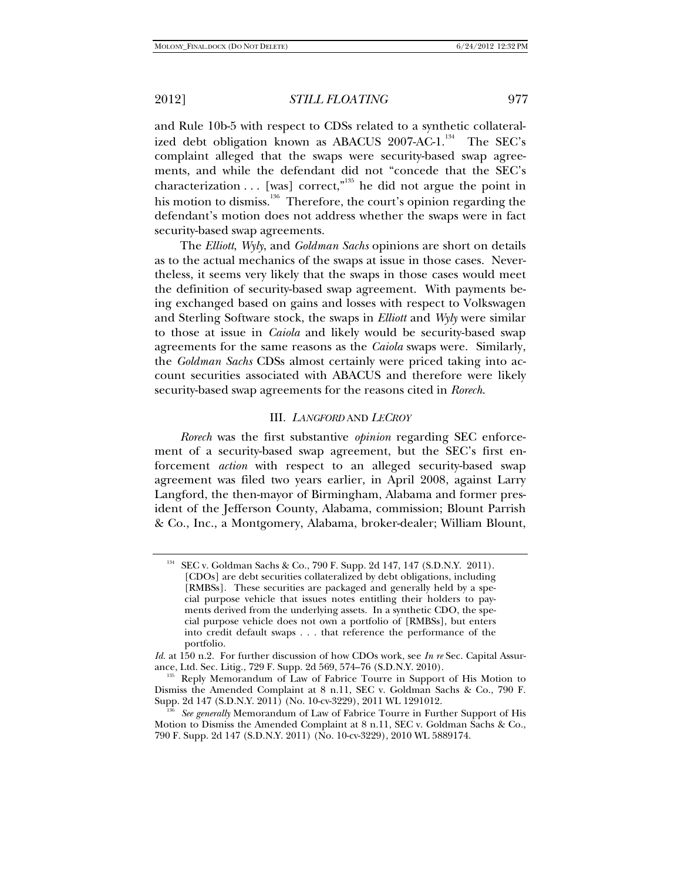and Rule 10b-5 with respect to CDSs related to a synthetic collateralized debt obligation known as ABACUS  $2007$ -AC-1.<sup>134</sup> The SEC's complaint alleged that the swaps were security-based swap agreements, and while the defendant did not "concede that the SEC's characterization  $\dots$  [was] correct,"<sup>135</sup> he did not argue the point in his motion to dismiss. $136$  Therefore, the court's opinion regarding the defendant's motion does not address whether the swaps were in fact security-based swap agreements.

The *Elliott*, *Wyly*, and *Goldman Sachs* opinions are short on details as to the actual mechanics of the swaps at issue in those cases. Nevertheless, it seems very likely that the swaps in those cases would meet the definition of security-based swap agreement. With payments being exchanged based on gains and losses with respect to Volkswagen and Sterling Software stock, the swaps in *Elliott* and *Wyly* were similar to those at issue in *Caiola* and likely would be security-based swap agreements for the same reasons as the *Caiola* swaps were. Similarly, the *Goldman Sachs* CDSs almost certainly were priced taking into account securities associated with ABACUS and therefore were likely security-based swap agreements for the reasons cited in *Rorech*.

### III. *LANGFORD* AND *LECROY*

*Rorech* was the first substantive *opinion* regarding SEC enforcement of a security-based swap agreement, but the SEC's first enforcement *action* with respect to an alleged security-based swap agreement was filed two years earlier, in April 2008, against Larry Langford, the then-mayor of Birmingham, Alabama and former president of the Jefferson County, Alabama, commission; Blount Parrish & Co., Inc., a Montgomery, Alabama, broker-dealer; William Blount,

SEC v. Goldman Sachs & Co., 790 F. Supp. 2d 147, 147 (S.D.N.Y. 2011). [CDOs] are debt securities collateralized by debt obligations, including [RMBSs]. These securities are packaged and generally held by a special purpose vehicle that issues notes entitling their holders to payments derived from the underlying assets. In a synthetic CDO, the special purpose vehicle does not own a portfolio of [RMBSs], but enters into credit default swaps . . . that reference the performance of the portfolio.

*Id.* at 150 n.2. For further discussion of how CDOs work, see *In re* Sec. Capital Assurance, Ltd. Sec. Litig., 729 F. Supp. 2d 569, 574–76 (S.D.N.Y. 2010).<br><sup>135</sup> Reply Memorandum of Law of Fabrice Tourre in Support of His Motion to

Dismiss the Amended Complaint at 8 n.11, SEC v. Goldman Sachs & Co., 790 F.<br>Supp. 2d 147 (S.D.N.Y. 2011) (No. 10-cv-3229), 2011 WL 1291012.

See generally Memorandum of Law of Fabrice Tourre in Further Support of His Motion to Dismiss the Amended Complaint at 8 n.11, SEC v. Goldman Sachs & Co., 790 F. Supp. 2d 147 (S.D.N.Y. 2011) (No. 10-cv-3229), 2010 WL 5889174.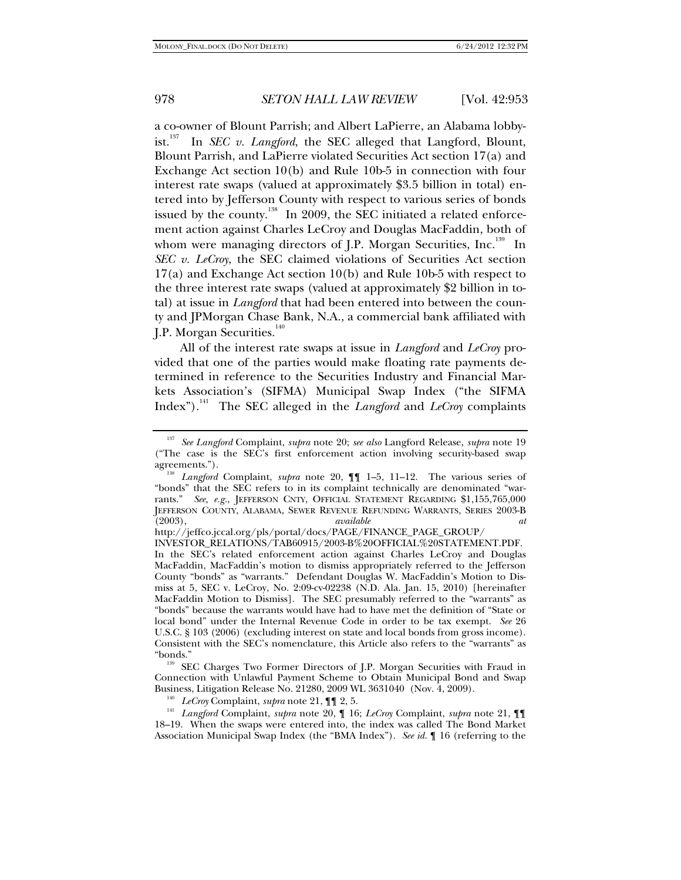a co-owner of Blount Parrish; and Albert LaPierre, an Alabama lobbyist.<sup>137</sup> In *SEC v. Langford*, the SEC alleged that Langford, Blount, Blount Parrish, and LaPierre violated Securities Act section 17(a) and Exchange Act section 10(b) and Rule 10b-5 in connection with four interest rate swaps (valued at approximately \$3.5 billion in total) entered into by Jefferson County with respect to various series of bonds issued by the county.<sup>138</sup> In 2009, the SEC initiated a related enforcement action against Charles LeCroy and Douglas MacFaddin, both of whom were managing directors of J.P. Morgan Securities, Inc.<sup>139</sup> In *SEC v. LeCroy*, the SEC claimed violations of Securities Act section 17(a) and Exchange Act section 10(b) and Rule 10b-5 with respect to the three interest rate swaps (valued at approximately \$2 billion in total) at issue in *Langford* that had been entered into between the county and JPMorgan Chase Bank, N.A., a commercial bank affiliated with J.P. Morgan Securities.<sup>140</sup>

All of the interest rate swaps at issue in *Langford* and *LeCroy* provided that one of the parties would make floating rate payments determined in reference to the Securities Industry and Financial Markets Association's (SIFMA) Municipal Swap Index ("the SIFMA Index").141 The SEC alleged in the *Langford* and *LeCroy* complaints

<sup>137</sup> *See Langford* Complaint, *supra* note 20; *see also* Langford Release, *supra* note 19 ("The case is the SEC's first enforcement action involving security-based swap

agreements."). 138 *Langford* Complaint, *supra* note 20, ¶¶ 1–5, 11–12. The various series of "bonds" that the SEC refers to in its complaint technically are denominated "warrants." *See, e.g.*, JEFFERSON CNTY, OFFICIAL STATEMENT REGARDING \$1,155,765,000 JEFFERSON COUNTY, ALABAMA, SEWER REVENUE REFUNDING WARRANTS, SERIES 2003-B (2003), *available at* 

http://jeffco.jccal.org/pls/portal/docs/PAGE/FINANCE\_PAGE\_GROUP/

INVESTOR\_RELATIONS/TAB60915/2003-B%20OFFICIAL%20STATEMENT.PDF. In the SEC's related enforcement action against Charles LeCroy and Douglas MacFaddin, MacFaddin's motion to dismiss appropriately referred to the Jefferson County "bonds" as "warrants." Defendant Douglas W. MacFaddin's Motion to Dismiss at 5, SEC v. LeCroy, No. 2:09-cv-02238 (N.D. Ala. Jan. 15, 2010) [hereinafter MacFaddin Motion to Dismiss]. The SEC presumably referred to the "warrants" as "bonds" because the warrants would have had to have met the definition of "State or local bond" under the Internal Revenue Code in order to be tax exempt. *See* 26 U.S.C. § 103 (2006) (excluding interest on state and local bonds from gross income). Consistent with the SEC's nomenclature, this Article also refers to the "warrants" as

<sup>&</sup>lt;sup>139</sup> SEC Charges Two Former Directors of J.P. Morgan Securities with Fraud in Connection with Unlawful Payment Scheme to Obtain Municipal Bond and Swap

<sup>&</sup>lt;sup>140</sup> *LeCroy* Complaint, *supra* note 21,  $\P$  **1** 2, 5.<br><sup>141</sup> *Langford* Complaint, *supra* note 20,  $\P$  16; *LeCroy* Complaint, *supra* note 21,  $\P$  **1** 18–19. When the swaps were entered into, the index was called The Bond Market Association Municipal Swap Index (the "BMA Index"). *See id.* ¶ 16 (referring to the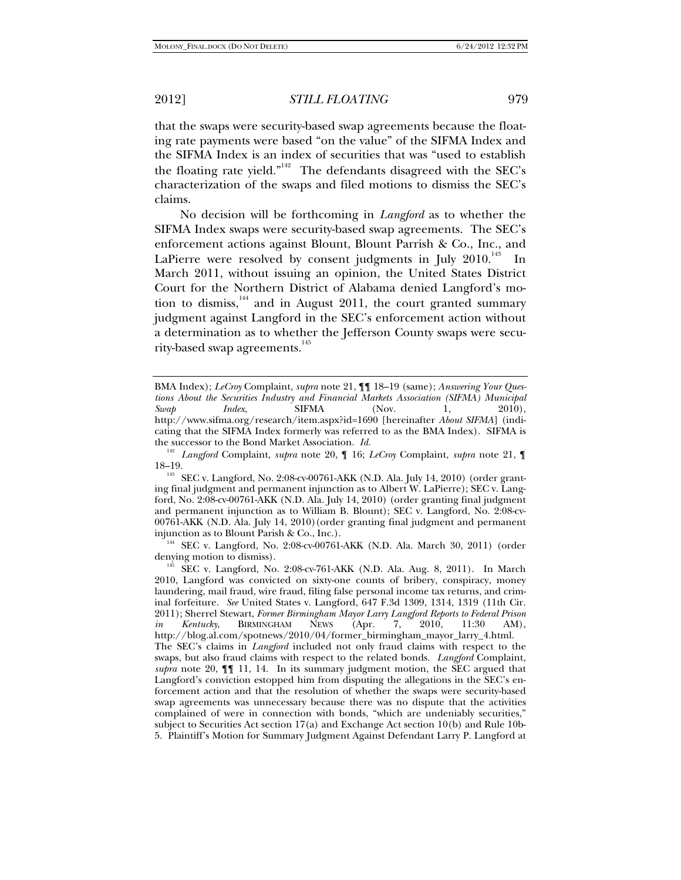claims.

2012] *STILL FLOATING* 979

that the swaps were security-based swap agreements because the floating rate payments were based "on the value" of the SIFMA Index and the SIFMA Index is an index of securities that was "used to establish the floating rate yield."142 The defendants disagreed with the SEC's characterization of the swaps and filed motions to dismiss the SEC's

No decision will be forthcoming in *Langford* as to whether the SIFMA Index swaps were security-based swap agreements. The SEC's enforcement actions against Blount, Blount Parrish & Co., Inc., and LaPierre were resolved by consent judgments in July  $2010$ .<sup>143</sup> In March 2011, without issuing an opinion, the United States District Court for the Northern District of Alabama denied Langford's motion to dismiss, $144$  and in August 2011, the court granted summary judgment against Langford in the SEC's enforcement action without a determination as to whether the Jefferson County swaps were security-based swap agreements.<sup>145</sup>

injunction as to Blount Parish & Co., Inc.).<br><sup>144</sup> SEC v. Langford, No. 2:08-cv-00761-AKK (N.D. Ala. March 30, 2011) (order denying motion to dismiss).

BMA Index); *LeCroy* Complaint, *supra* note 21, ¶¶ 18–19 (same); *Answering Your Questions About the Securities Industry and Financial Markets Association (SIFMA) Municipal Swap Index*, SIFMA (Nov. 1, 2010), http://www.sifma.org/research/item.aspx?id=1690 [hereinafter *About SIFMA*] (indicating that the SIFMA Index formerly was referred to as the BMA Index). SIFMA is the successor to the Bond Market Association. *Id.* 

<sup>142</sup> *Langford* Complaint, *supra* note 20, ¶ 16; *LeCroy* Complaint, *supra* note 21, ¶

<sup>18–19. 143</sup> SEC v. Langford, No. 2:08-cv-00761-AKK (N.D. Ala. July 14, 2010) (order granting final judgment and permanent injunction as to Albert W. LaPierre); SEC v. Langford, No. 2:08-cv-00761-AKK (N.D. Ala. July 14, 2010) (order granting final judgment and permanent injunction as to William B. Blount); SEC v. Langford, No. 2:08-cv-00761-AKK (N.D. Ala. July 14, 2010)(order granting final judgment and permanent

 $145$  SEC v. Langford, No. 2:08-cv-761-AKK (N.D. Ala. Aug. 8, 2011). In March 2010, Langford was convicted on sixty-one counts of bribery, conspiracy, money laundering, mail fraud, wire fraud, filing false personal income tax returns, and criminal forfeiture. *See* United States v. Langford, 647 F.3d 1309, 1314, 1319 (11th Cir. 2011); Sherrel Stewart, *Former Birmingham Mayor Larry Langford Reports to Federal Prison in Kentucky*, BIRMINGHAM NEWS (Apr. 7, 2010, 11:30 AM), http://blog.al.com/spotnews/2010/04/former\_birmingham\_mayor\_larry\_4.html. The SEC's claims in *Langford* included not only fraud claims with respect to the swaps, but also fraud claims with respect to the related bonds. *Langford* Complaint, *supra* note 20,  $\P$  [11, 14. In its summary judgment motion, the SEC argued that Langford's conviction estopped him from disputing the allegations in the SEC's enforcement action and that the resolution of whether the swaps were security-based swap agreements was unnecessary because there was no dispute that the activities complained of were in connection with bonds, "which are undeniably securities," subject to Securities Act section 17(a) and Exchange Act section 10(b) and Rule 10b-5. Plaintiff's Motion for Summary Judgment Against Defendant Larry P. Langford at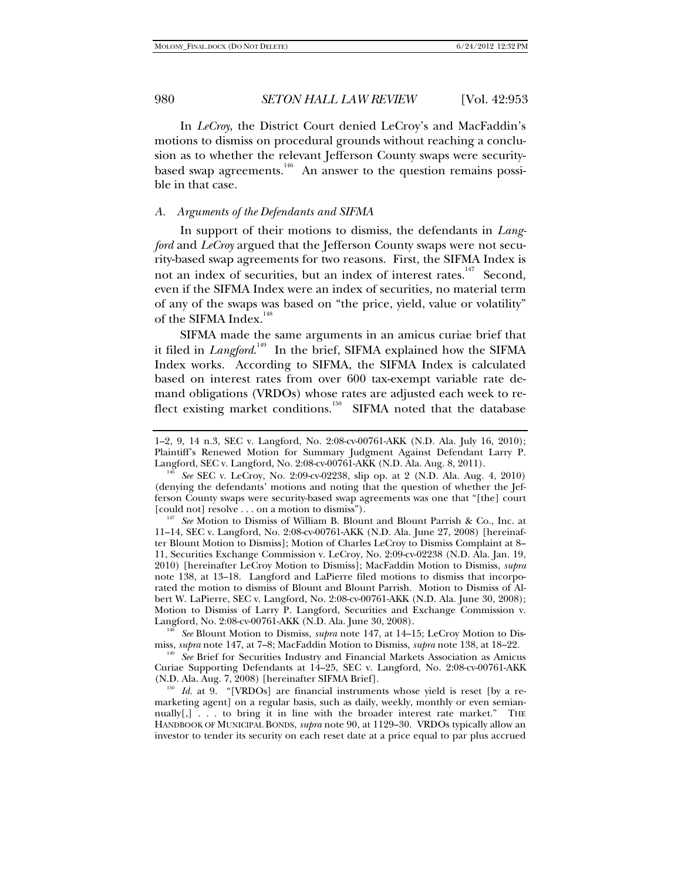In *LeCroy*, the District Court denied LeCroy's and MacFaddin's motions to dismiss on procedural grounds without reaching a conclusion as to whether the relevant Jefferson County swaps were securitybased swap agreements.<sup>146</sup> An answer to the question remains possible in that case.

### *A. Arguments of the Defendants and SIFMA*

In support of their motions to dismiss, the defendants in *Langford* and *LeCroy* argued that the Jefferson County swaps were not security-based swap agreements for two reasons. First, the SIFMA Index is not an index of securities, but an index of interest rates.<sup>147</sup> Second, even if the SIFMA Index were an index of securities, no material term of any of the swaps was based on "the price, yield, value or volatility" of the SIFMA Index.<sup>148</sup>

SIFMA made the same arguments in an amicus curiae brief that it filed in *Langford*.<sup>149</sup> In the brief, SIFMA explained how the SIFMA Index works. According to SIFMA, the SIFMA Index is calculated based on interest rates from over 600 tax-exempt variable rate demand obligations (VRDOs) whose rates are adjusted each week to reflect existing market conditions.<sup>150</sup> SIFMA noted that the database

<sup>148</sup> *See* Blount Motion to Dismiss, *supra* note 147, at 14–15; LeCroy Motion to Dismiss, *supra* note 147, at 7–8; MacFaddin Motion to Dismiss, *supra* note 138, at 18–22.<br><sup>149</sup> See Brief for Securities Industry and Financial Markets Association as Amicus

Curiae Supporting Defendants at 14–25, SEC v. Langford, No. 2:08-cv-00761-AKK

<sup>150</sup> Id. at 9. "[VRDOs] are financial instruments whose yield is reset [by a remarketing agent] on a regular basis, such as daily, weekly, monthly or even semiannually[,] . . . to bring it in line with the broader interest rate market." THE HANDBOOK OF MUNICIPAL BONDS, *supra* note 90, at 1129–30. VRDOs typically allow an investor to tender its security on each reset date at a price equal to par plus accrued

<sup>1–2, 9, 14</sup> n.3, SEC v. Langford, No. 2:08-cv-00761-AKK (N.D. Ala. July 16, 2010); Plaintiff's Renewed Motion for Summary Judgment Against Defendant Larry P. Langford, SEC v. Langford, No. 2:08-cv-00761-AKK (N.D. Ala. Aug. 8, 2011).

<sup>&</sup>lt;sup>146</sup> See SEC v. LeCroy, No. 2:09-cv-02238, slip op. at 2 (N.D. Ala. Aug. 4, 2010) (denying the defendants' motions and noting that the question of whether the Jefferson County swaps were security-based swap agreements was one that "[the] court

<sup>[</sup>could not] resolve . . . on a motion to dismiss"). 147 *See* Motion to Dismiss of William B. Blount and Blount Parrish & Co., Inc. at 11–14, SEC v. Langford, No. 2:08-cv-00761-AKK (N.D. Ala. June 27, 2008) [hereinafter Blount Motion to Dismiss]; Motion of Charles LeCroy to Dismiss Complaint at 8– 11, Securities Exchange Commission v. LeCroy, No. 2:09-cv-02238 (N.D. Ala. Jan. 19, 2010) [hereinafter LeCroy Motion to Dismiss]; MacFaddin Motion to Dismiss, *supra* note 138, at 13–18. Langford and LaPierre filed motions to dismiss that incorporated the motion to dismiss of Blount and Blount Parrish. Motion to Dismiss of Albert W. LaPierre, SEC v. Langford, No. 2:08-cv-00761-AKK (N.D. Ala. June 30, 2008); Motion to Dismiss of Larry P. Langford, Securities and Exchange Commission v. Langford, No. 2:08-cv-00761-AKK (N.D. Ala. June 30, 2008).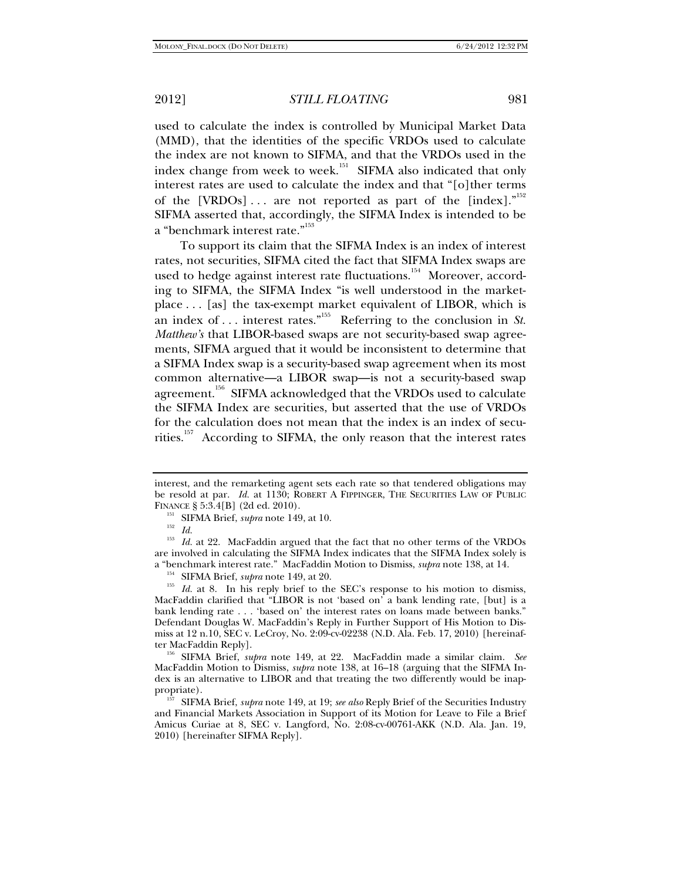used to calculate the index is controlled by Municipal Market Data (MMD), that the identities of the specific VRDOs used to calculate the index are not known to SIFMA, and that the VRDOs used in the index change from week to week.<sup>151</sup> SIFMA also indicated that only interest rates are used to calculate the index and that "[o]ther terms of the [VRDOs]... are not reported as part of the [index]." $152$ SIFMA asserted that, accordingly, the SIFMA Index is intended to be a "benchmark interest rate."<sup>153</sup>

To support its claim that the SIFMA Index is an index of interest rates, not securities, SIFMA cited the fact that SIFMA Index swaps are used to hedge against interest rate fluctuations.<sup>154</sup> Moreover, according to SIFMA, the SIFMA Index "is well understood in the marketplace . . . [as] the tax-exempt market equivalent of LIBOR, which is an index of ... interest rates.<sup>"155</sup> Referring to the conclusion in *St*. *Matthew's* that LIBOR-based swaps are not security-based swap agreements, SIFMA argued that it would be inconsistent to determine that a SIFMA Index swap is a security-based swap agreement when its most common alternative—a LIBOR swap—is not a security-based swap agreement.<sup>156</sup> SIFMA acknowledged that the VRDOs used to calculate the SIFMA Index are securities, but asserted that the use of VRDOs for the calculation does not mean that the index is an index of securities.<sup>157</sup> According to SIFMA, the only reason that the interest rates

interest, and the remarketing agent sets each rate so that tendered obligations may be resold at par. *Id.* at 1130; ROBERT A FIPPINGER, THE SECURITIES LAW OF PUBLIC FINANCE § 5:3.4[B] (2d ed. 2010).<br><sup>151</sup> SIFMA Brief, *supra* note 149, at 10.<br><sup>153</sup> *Id.* at 22. MacFaddin argued that the fact that no other terms of the VRDOs

are involved in calculating the SIFMA Index indicates that the SIFMA Index solely is<br>a "benchmark interest rate." MacFaddin Motion to Dismiss, *supra* note 138, at 14.

<sup>&</sup>lt;sup>154</sup> SIFMA Brief, *supra* note 149, at 20. 155 *Id.* at 8. In his reply brief to the SEC's response to his motion to dismiss, MacFaddin clarified that "LIBOR is not 'based on' a bank lending rate, [but] is a bank lending rate . . . 'based on' the interest rates on loans made between banks." Defendant Douglas W. MacFaddin's Reply in Further Support of His Motion to Dismiss at 12 n.10, SEC v. LeCroy, No. 2:09-cv-02238 (N.D. Ala. Feb. 17, 2010) [hereinaf-

ter MacFaddin Reply]. 156 SIFMA Brief, *supra* note 149, at 22. MacFaddin made a similar claim. *See*  MacFaddin Motion to Dismiss, *supra* note 138, at 16–18 (arguing that the SIFMA Index is an alternative to LIBOR and that treating the two differently would be inap-<br>propriate).

SIFMA Brief, *supra* note 149, at 19; *see also* Reply Brief of the Securities Industry and Financial Markets Association in Support of its Motion for Leave to File a Brief Amicus Curiae at 8, SEC v. Langford, No. 2:08-cv-00761-AKK (N.D. Ala. Jan. 19, 2010) [hereinafter SIFMA Reply].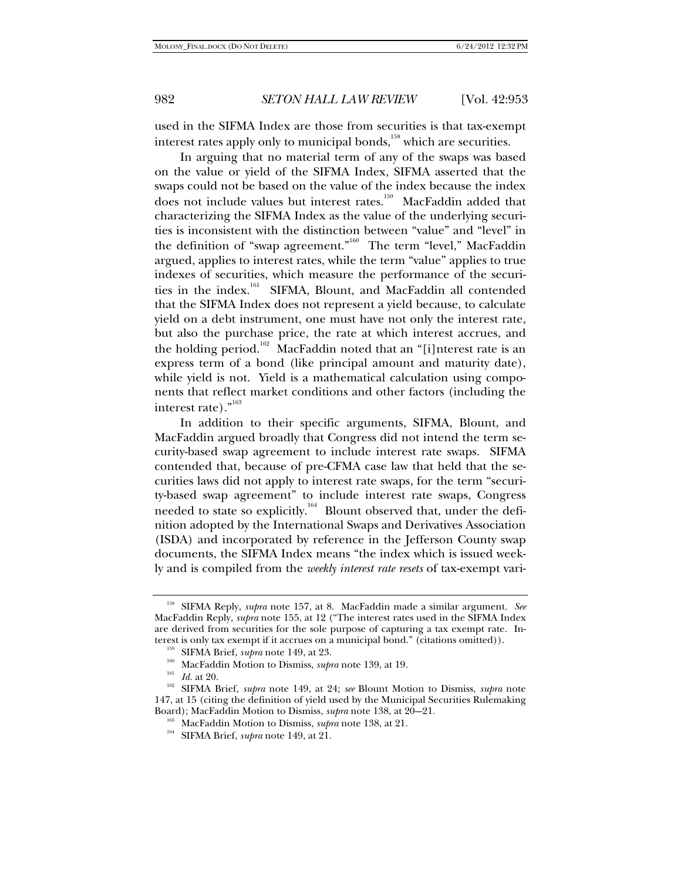used in the SIFMA Index are those from securities is that tax-exempt interest rates apply only to municipal bonds,<sup>158</sup> which are securities.

In arguing that no material term of any of the swaps was based on the value or yield of the SIFMA Index, SIFMA asserted that the swaps could not be based on the value of the index because the index does not include values but interest rates.<sup>159</sup> MacFaddin added that characterizing the SIFMA Index as the value of the underlying securities is inconsistent with the distinction between "value" and "level" in the definition of "swap agreement."<sup>160</sup> The term "level," MacFaddin argued, applies to interest rates, while the term "value" applies to true indexes of securities, which measure the performance of the securities in the index.<sup>161</sup> SIFMA, Blount, and MacFaddin all contended that the SIFMA Index does not represent a yield because, to calculate yield on a debt instrument, one must have not only the interest rate, but also the purchase price, the rate at which interest accrues, and the holding period.<sup>162</sup> MacFaddin noted that an "[i]nterest rate is an express term of a bond (like principal amount and maturity date), while yield is not. Yield is a mathematical calculation using components that reflect market conditions and other factors (including the interest rate)."<sup>163</sup>

In addition to their specific arguments, SIFMA, Blount, and MacFaddin argued broadly that Congress did not intend the term security-based swap agreement to include interest rate swaps. SIFMA contended that, because of pre-CFMA case law that held that the securities laws did not apply to interest rate swaps, for the term "security-based swap agreement" to include interest rate swaps, Congress needed to state so explicitly.<sup>164</sup> Blount observed that, under the definition adopted by the International Swaps and Derivatives Association (ISDA) and incorporated by reference in the Jefferson County swap documents, the SIFMA Index means "the index which is issued weekly and is compiled from the *weekly interest rate resets* of tax-exempt vari-

<sup>163</sup> MacFaddin Motion to Dismiss, *supra* note 138, at 21.<br><sup>164</sup> SIFMA Brief, *supra* note 149, at 21.

<sup>158</sup> SIFMA Reply, *supra* note 157, at 8. MacFaddin made a similar argument. *See* MacFaddin Reply, *supra* note 155, at 12 ("The interest rates used in the SIFMA Index are derived from securities for the sole purpose of capturing a tax exempt rate. Interest is only tax exempt if it accrues on a municipal bond." (citations omitted)).

<sup>&</sup>lt;sup>159</sup> SIFMA Brief, *supra* note 149, at 23.<br><sup>160</sup> MacFaddin Motion to Dismiss, *supra* note 139, at 19.<br><sup>161</sup> Id. at 20.<br><sup>162</sup> SIFMA Brief, *supra* note 149, at 24; *see* Blount Motion to Dismiss, *supra* note 147, at 15 (citing the definition of yield used by the Municipal Securities Rulemaking Board); MacFaddin Motion to Dismiss, *supra* note 138, at 20–21.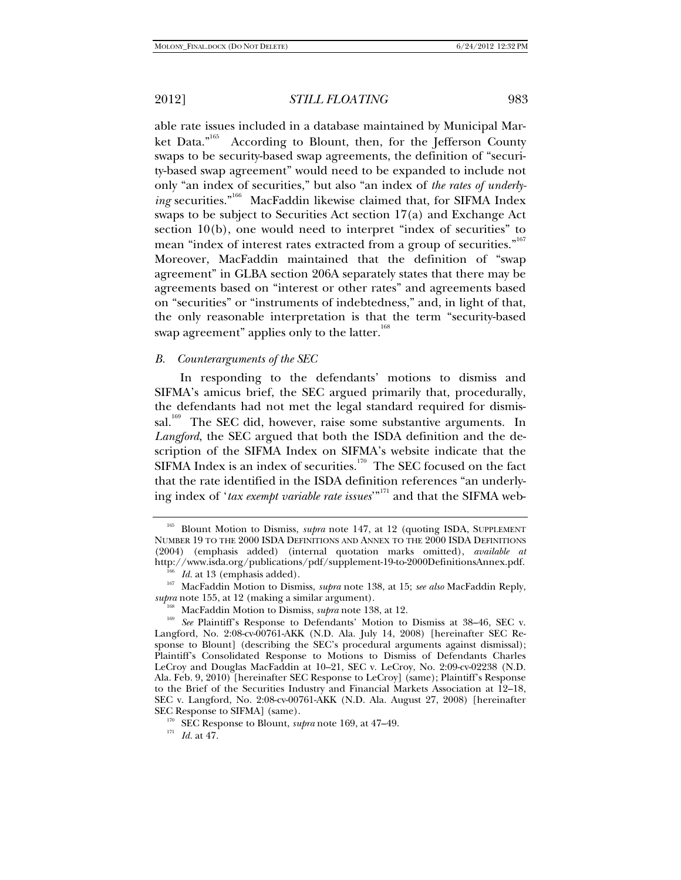able rate issues included in a database maintained by Municipal Market Data."<sup>165</sup> According to Blount, then, for the Jefferson County According to Blount, then, for the Jefferson County swaps to be security-based swap agreements, the definition of "security-based swap agreement" would need to be expanded to include not only "an index of securities," but also "an index of *the rates of underly*ing securities."<sup>166</sup> MacFaddin likewise claimed that, for SIFMA Index swaps to be subject to Securities Act section 17(a) and Exchange Act section  $10(b)$ , one would need to interpret "index of securities" to mean "index of interest rates extracted from a group of securities."<sup>167</sup> Moreover, MacFaddin maintained that the definition of "swap agreement" in GLBA section 206A separately states that there may be agreements based on "interest or other rates" and agreements based on "securities" or "instruments of indebtedness," and, in light of that, the only reasonable interpretation is that the term "security-based swap agreement" applies only to the latter.<sup>168</sup>

#### *B. Counterarguments of the SEC*

In responding to the defendants' motions to dismiss and SIFMA's amicus brief, the SEC argued primarily that, procedurally, the defendants had not met the legal standard required for dismissal.<sup>169</sup> The SEC did, however, raise some substantive arguments. In *Langford*, the SEC argued that both the ISDA definition and the description of the SIFMA Index on SIFMA's website indicate that the  $SIFMA Index$  is an index of securities.<sup>170</sup> The SEC focused on the fact that the rate identified in the ISDA definition references "an underlying index of '*tax exempt variable rate issues*'"<sup>171</sup> and that the SIFMA web-

<sup>&</sup>lt;sup>165</sup> Blount Motion to Dismiss, *supra* note 147, at 12 (quoting ISDA, SUPPLEMENT NUMBER 19 TO THE 2000 ISDA DEFINITIONS AND ANNEX TO THE 2000 ISDA DEFINITIONS (2004) (emphasis added) (internal quotation marks omitted), *available at* 

http://www.isda.org/publications/pdf/supplement-19-to-2000DefinitionsAnnex.pdf.<br><sup>166</sup> *Id.* at 13 (emphasis added).<br><sup>167</sup> MacFaddin Motion to Dismiss, *supra* note 138, at 15; *see also* MacFaddin Reply,<br>*supra* note 155,

<sup>&</sup>lt;sup>168</sup> MacFaddin Motion to Dismiss, *supra* note 138, at 12.<br><sup>169</sup> *See* Plaintiff's Response to Defendants' Motion to Dismiss at 38–46, SEC v. Langford, No. 2:08-cv-00761-AKK (N.D. Ala. July 14, 2008) [hereinafter SEC Response to Blount] (describing the SEC's procedural arguments against dismissal); Plaintiff's Consolidated Response to Motions to Dismiss of Defendants Charles LeCroy and Douglas MacFaddin at 10–21, SEC v. LeCroy, No. 2:09-cv-02238 (N.D. Ala. Feb. 9, 2010) [hereinafter SEC Response to LeCroy] (same); Plaintiff's Response to the Brief of the Securities Industry and Financial Markets Association at 12–18, SEC v. Langford, No. 2:08-cv-00761-AKK (N.D. Ala. August 27, 2008) [hereinafter SEC Response to SIFMA] (same).<br><sup>170</sup> SEC Response to Blount, *supra* note 169, at 47–49.<br><sup>171</sup> *Id.* at 47.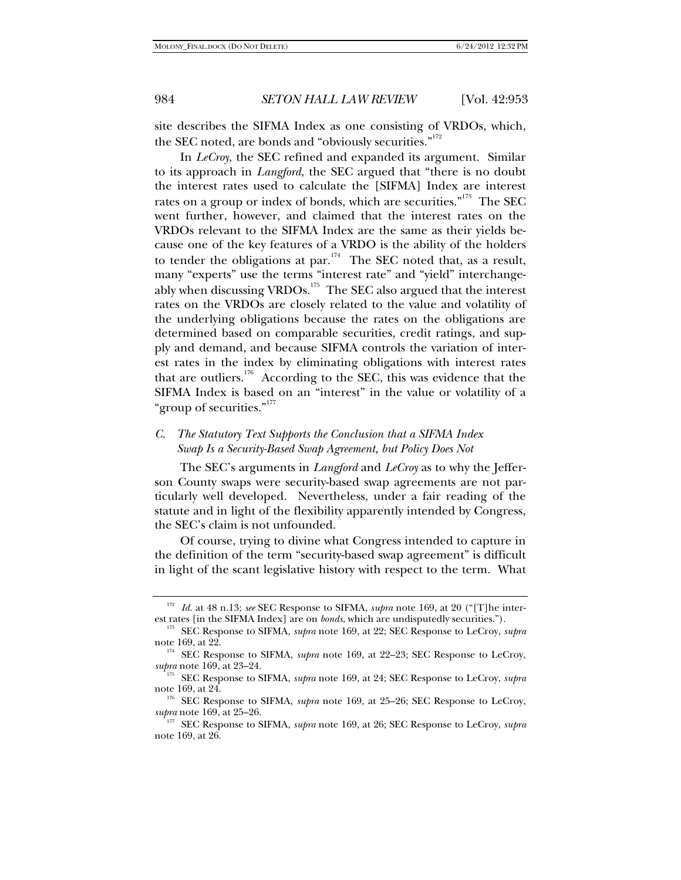site describes the SIFMA Index as one consisting of VRDOs, which, the SEC noted, are bonds and "obviously securities."<sup>172</sup>

In *LeCroy*, the SEC refined and expanded its argument. Similar to its approach in *Langford*, the SEC argued that "there is no doubt the interest rates used to calculate the [SIFMA] Index are interest rates on a group or index of bonds, which are securities."<sup>173</sup> The SEC went further, however, and claimed that the interest rates on the VRDOs relevant to the SIFMA Index are the same as their yields because one of the key features of a VRDO is the ability of the holders to tender the obligations at par.<sup>174</sup> The SEC noted that, as a result, many "experts" use the terms "interest rate" and "yield" interchangeably when discussing VRDOs.<sup>175</sup> The SEC also argued that the interest rates on the VRDOs are closely related to the value and volatility of the underlying obligations because the rates on the obligations are determined based on comparable securities, credit ratings, and supply and demand, and because SIFMA controls the variation of interest rates in the index by eliminating obligations with interest rates that are outliers. $176$  According to the SEC, this was evidence that the SIFMA Index is based on an "interest" in the value or volatility of a "group of securities."<sup>177</sup>

## *C. The Statutory Text Supports the Conclusion that a SIFMA Index Swap Is a Security-Based Swap Agreement, but Policy Does Not*

The SEC's arguments in *Langford* and *LeCroy* as to why the Jefferson County swaps were security-based swap agreements are not particularly well developed. Nevertheless, under a fair reading of the statute and in light of the flexibility apparently intended by Congress, the SEC's claim is not unfounded.

Of course, trying to divine what Congress intended to capture in the definition of the term "security-based swap agreement" is difficult in light of the scant legislative history with respect to the term. What

<sup>172</sup> *Id.* at 48 n.13; *see* SEC Response to SIFMA, *supra* note 169, at 20 ("[T]he inter-

est rates [in the SIFMA Index] are on *bonds*, which are undisputedly securities."). 173 SEC Response to SIFMA, *supra* note 169, at 22; SEC Response to LeCroy, *supra*

note 169, at 22.<br><sup>174</sup> SEC Response to SIFMA, *supra* note 169, at 22–23; SEC Response to LeCroy,

*supra* note 169, at 23–24. 175 SEC Response to SIFMA, *supra* note 169, at 24; SEC Response to LeCroy, *supra* note 169, at 24.

<sup>&</sup>lt;sup>176</sup> SEC Response to SIFMA, *supra* note 169, at 25–26; SEC Response to LeCroy, *supra* note 169, at 25–26.

*supra* note 169, at 25–26. 177 SEC Response to SIFMA, *supra* note 169, at 26; SEC Response to LeCroy, *supra* note 169, at 26.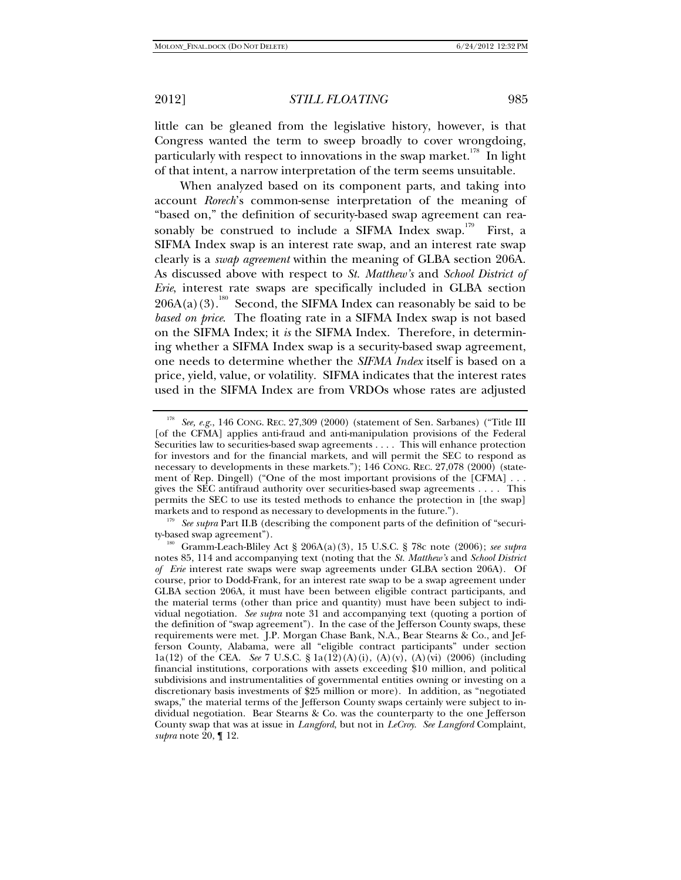little can be gleaned from the legislative history, however, is that Congress wanted the term to sweep broadly to cover wrongdoing, particularly with respect to innovations in the swap market.<sup>178</sup> In light of that intent, a narrow interpretation of the term seems unsuitable.

When analyzed based on its component parts, and taking into account *Rorech*'s common-sense interpretation of the meaning of "based on," the definition of security-based swap agreement can reasonably be construed to include a SIFMA Index swap.<sup>179</sup> First, a SIFMA Index swap is an interest rate swap, and an interest rate swap clearly is a *swap agreement* within the meaning of GLBA section 206A. As discussed above with respect to *St. Matthew's* and *School District of Erie*, interest rate swaps are specifically included in GLBA section  $206A(a)(3).$ <sup>180</sup> Second, the SIFMA Index can reasonably be said to be *based on price*. The floating rate in a SIFMA Index swap is not based on the SIFMA Index; it *is* the SIFMA Index. Therefore, in determining whether a SIFMA Index swap is a security-based swap agreement, one needs to determine whether the *SIFMA Index* itself is based on a price, yield, value, or volatility. SIFMA indicates that the interest rates used in the SIFMA Index are from VRDOs whose rates are adjusted

<sup>179</sup> See supra Part II.B (describing the component parts of the definition of "securi-ty-based swap agreement").

<sup>178</sup> *See, e.g.*, 146 CONG. REC. 27,309 (2000) (statement of Sen. Sarbanes) ("Title III [of the CFMA] applies anti-fraud and anti-manipulation provisions of the Federal Securities law to securities-based swap agreements . . . . This will enhance protection for investors and for the financial markets, and will permit the SEC to respond as necessary to developments in these markets."); 146 CONG. REC. 27,078 (2000) (statement of Rep. Dingell) ("One of the most important provisions of the [CFMA] . . . gives the SEC antifraud authority over securities-based swap agreements . . . . This permits the SEC to use its tested methods to enhance the protection in [the swap] markets and to respond as necessary to developments in the future.").

<sup>&</sup>lt;sup>180</sup> Gramm-Leach-Bliley Act § 206A(a)(3), 15 U.S.C. § 78c note (2006); *see supra* notes 85, 114 and accompanying text (noting that the *St. Matthew's* and *School District of Erie* interest rate swaps were swap agreements under GLBA section 206A). Of course, prior to Dodd-Frank, for an interest rate swap to be a swap agreement under GLBA section 206A, it must have been between eligible contract participants, and the material terms (other than price and quantity) must have been subject to individual negotiation. *See supra* note 31 and accompanying text (quoting a portion of the definition of "swap agreement"). In the case of the Jefferson County swaps, these requirements were met. J.P. Morgan Chase Bank, N.A., Bear Stearns & Co., and Jefferson County, Alabama, were all "eligible contract participants" under section 1a(12) of the CEA. *See* 7 U.S.C. § 1a(12)(A)(i), (A)(v), (A)(vi) (2006) (including financial institutions, corporations with assets exceeding \$10 million, and political subdivisions and instrumentalities of governmental entities owning or investing on a discretionary basis investments of \$25 million or more). In addition, as "negotiated swaps," the material terms of the Jefferson County swaps certainly were subject to individual negotiation. Bear Stearns & Co. was the counterparty to the one Jefferson County swap that was at issue in *Langford*, but not in *LeCroy*. *See Langford* Complaint, *supra* note 20, ¶ 12.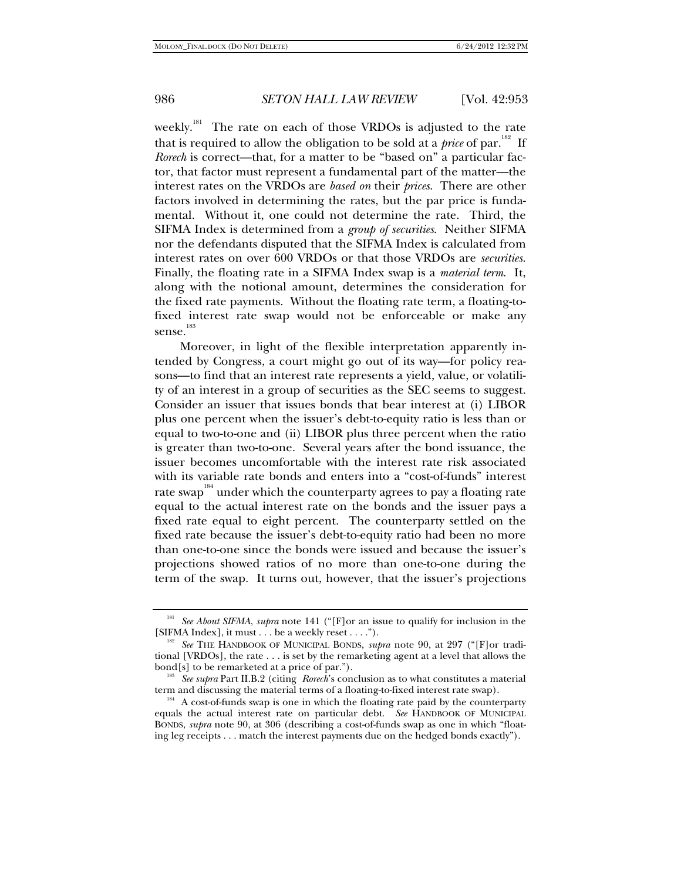weekly.<sup>181</sup> The rate on each of those VRDOs is adjusted to the rate that is required to allow the obligation to be sold at a *price* of par.<sup>182</sup> If *Rorech* is correct—that, for a matter to be "based on" a particular factor, that factor must represent a fundamental part of the matter—the interest rates on the VRDOs are *based on* their *prices*. There are other factors involved in determining the rates, but the par price is fundamental. Without it, one could not determine the rate. Third, the SIFMA Index is determined from a *group of securities*. Neither SIFMA nor the defendants disputed that the SIFMA Index is calculated from interest rates on over 600 VRDOs or that those VRDOs are *securities*. Finally, the floating rate in a SIFMA Index swap is a *material term*. It, along with the notional amount, determines the consideration for the fixed rate payments. Without the floating rate term, a floating-tofixed interest rate swap would not be enforceable or make any sense.<sup>183</sup>

Moreover, in light of the flexible interpretation apparently intended by Congress, a court might go out of its way—for policy reasons—to find that an interest rate represents a yield, value, or volatility of an interest in a group of securities as the SEC seems to suggest. Consider an issuer that issues bonds that bear interest at (i) LIBOR plus one percent when the issuer's debt-to-equity ratio is less than or equal to two-to-one and (ii) LIBOR plus three percent when the ratio is greater than two-to-one. Several years after the bond issuance, the issuer becomes uncomfortable with the interest rate risk associated with its variable rate bonds and enters into a "cost-of-funds" interest rate swap<sup>184</sup> under which the counterparty agrees to pay a floating rate equal to the actual interest rate on the bonds and the issuer pays a fixed rate equal to eight percent. The counterparty settled on the fixed rate because the issuer's debt-to-equity ratio had been no more than one-to-one since the bonds were issued and because the issuer's projections showed ratios of no more than one-to-one during the term of the swap. It turns out, however, that the issuer's projections

<sup>181</sup> *See About SIFMA*, *supra* note 141 ("[F]or an issue to qualify for inclusion in the [SIFMA Index], it must . . . be a weekly reset . . . ."). 182 *See* THE HANDBOOK OF MUNICIPAL BONDS, *supra* note 90, at 297 ("[F]or tradi-

tional [VRDOs], the rate . . . is set by the remarketing agent at a level that allows the bond[s] to be remarketed at a price of par.").

<sup>&</sup>lt;sup>183</sup> See supra Part II.B.2 (citing *Rorech*'s conclusion as to what constitutes a material term and discussing the material terms of a floating-to-fixed interest rate swap).

 $184$  A cost-of-funds swap is one in which the floating rate paid by the counterparty equals the actual interest rate on particular debt. *See* HANDBOOK OF MUNICIPAL BONDS, *supra* note 90, at 306 (describing a cost-of-funds swap as one in which "floating leg receipts . . . match the interest payments due on the hedged bonds exactly").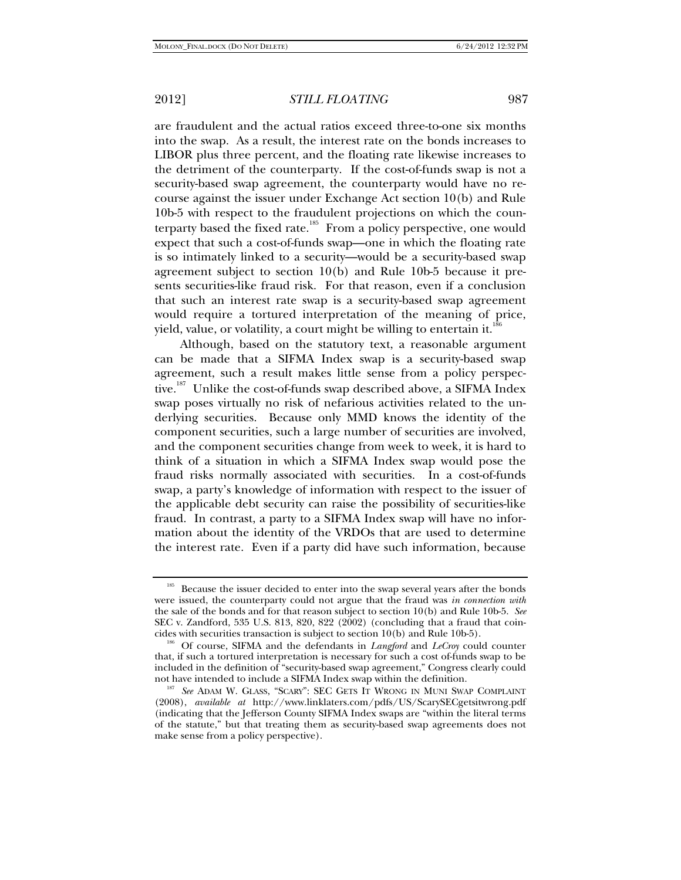are fraudulent and the actual ratios exceed three-to-one six months into the swap. As a result, the interest rate on the bonds increases to LIBOR plus three percent, and the floating rate likewise increases to the detriment of the counterparty. If the cost-of-funds swap is not a security-based swap agreement, the counterparty would have no recourse against the issuer under Exchange Act section 10(b) and Rule 10b-5 with respect to the fraudulent projections on which the counterparty based the fixed rate.<sup>185</sup> From a policy perspective, one would expect that such a cost-of-funds swap—one in which the floating rate is so intimately linked to a security—would be a security-based swap agreement subject to section 10(b) and Rule 10b-5 because it presents securities-like fraud risk. For that reason, even if a conclusion that such an interest rate swap is a security-based swap agreement would require a tortured interpretation of the meaning of price, yield, value, or volatility, a court might be willing to entertain it.<sup>18</sup>

Although, based on the statutory text, a reasonable argument can be made that a SIFMA Index swap is a security-based swap agreement, such a result makes little sense from a policy perspective.<sup>187</sup> Unlike the cost-of-funds swap described above, a SIFMA Index swap poses virtually no risk of nefarious activities related to the underlying securities. Because only MMD knows the identity of the component securities, such a large number of securities are involved, and the component securities change from week to week, it is hard to think of a situation in which a SIFMA Index swap would pose the fraud risks normally associated with securities. In a cost-of-funds swap, a party's knowledge of information with respect to the issuer of the applicable debt security can raise the possibility of securities-like fraud. In contrast, a party to a SIFMA Index swap will have no information about the identity of the VRDOs that are used to determine the interest rate. Even if a party did have such information, because

<sup>&</sup>lt;sup>185</sup> Because the issuer decided to enter into the swap several years after the bonds were issued, the counterparty could not argue that the fraud was *in connection with* the sale of the bonds and for that reason subject to section 10(b) and Rule 10b-5. *See* SEC v. Zandford, 535 U.S. 813, 820, 822 (2002) (concluding that a fraud that coin-<br>cides with securities transaction is subject to section 10(b) and Rule 10b-5).

<sup>&</sup>lt;sup>186</sup> Of course, SIFMA and the defendants in *Langford* and *LeCroy* could counter that, if such a tortured interpretation is necessary for such a cost of-funds swap to be included in the definition of "security-based swap agreement," Congress clearly could not have intended to include a SIFMA Index swap within the definition. 187 *See* ADAM W. GLASS, "SCARY": SEC GETS IT WRONG IN MUNI SWAP COMPLAINT

<sup>(2008),</sup> *available at* http://www.linklaters.com/pdfs/US/ScarySECgetsitwrong.pdf (indicating that the Jefferson County SIFMA Index swaps are "within the literal terms of the statute," but that treating them as security-based swap agreements does not make sense from a policy perspective).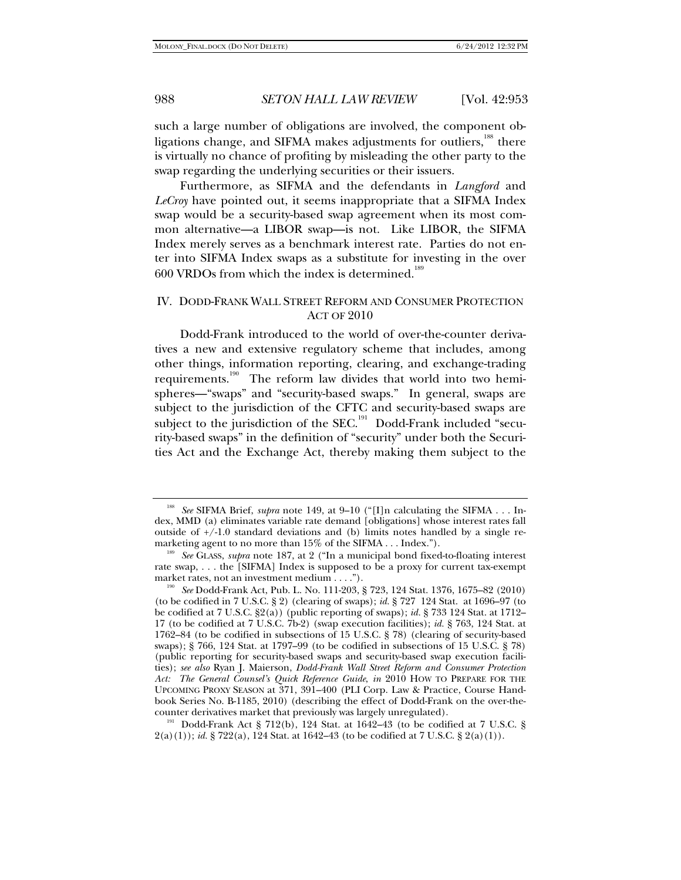such a large number of obligations are involved, the component obligations change, and SIFMA makes adjustments for outliers,<sup>188</sup> there is virtually no chance of profiting by misleading the other party to the swap regarding the underlying securities or their issuers.

Furthermore, as SIFMA and the defendants in *Langford* and *LeCroy* have pointed out, it seems inappropriate that a SIFMA Index swap would be a security-based swap agreement when its most common alternative—a LIBOR swap—is not. Like LIBOR, the SIFMA Index merely serves as a benchmark interest rate. Parties do not enter into SIFMA Index swaps as a substitute for investing in the over  $600$  VRDOs from which the index is determined.<sup>189</sup>

# IV. DODD-FRANK WALL STREET REFORM AND CONSUMER PROTECTION ACT OF 2010

Dodd-Frank introduced to the world of over-the-counter derivatives a new and extensive regulatory scheme that includes, among other things, information reporting, clearing, and exchange-trading requirements.<sup>190</sup> The reform law divides that world into two hemispheres—"swaps" and "security-based swaps." In general, swaps are subject to the jurisdiction of the CFTC and security-based swaps are subject to the jurisdiction of the SEC.<sup>191</sup> Dodd-Frank included "security-based swaps" in the definition of "security" under both the Securities Act and the Exchange Act, thereby making them subject to the

counter derivatives market that previously was largely unregulated). 191 Dodd-Frank Act § 712(b), 124 Stat. at 1642–43 (to be codified at 7 U.S.C. § 2(a)(1)); *id.* § 722(a), 124 Stat. at 1642–43 (to be codified at 7 U.S.C. § 2(a)(1)).

<sup>&</sup>lt;sup>188</sup> See SIFMA Brief, *supra* note 149, at 9-10 ("[I]n calculating the SIFMA . . . Index, MMD (a) eliminates variable rate demand [obligations] whose interest rates fall outside of  $+/-1.0$  standard deviations and (b) limits notes handled by a single remarketing agent to no more than  $15\%$  of the SIFMA . . . Index.").

<sup>&</sup>lt;sup>189</sup> See GLASS, *supra* note 187, at 2 ("In a municipal bond fixed-to-floating interest rate swap, . . . the [SIFMA] Index is supposed to be a proxy for current tax-exempt

market rates, not an investment medium . . . ."). 190 *See* Dodd-Frank Act, Pub. L. No. 111-203, § 723, 124 Stat. 1376, 1675–82 (2010) (to be codified in 7 U.S.C. § 2) (clearing of swaps); *id.* § 727 124 Stat. at 1696–97 (to be codified at 7 U.S.C. §2(a)) (public reporting of swaps); *id.* § 733 124 Stat. at 1712– 17 (to be codified at 7 U.S.C. 7b-2) (swap execution facilities); *id.* § 763, 124 Stat. at 1762–84 (to be codified in subsections of 15 U.S.C. § 78) (clearing of security-based swaps); § 766, 124 Stat. at 1797–99 (to be codified in subsections of 15 U.S.C. § 78) (public reporting for security-based swaps and security-based swap execution facilities); *see also* Ryan J. Maierson, *Dodd-Frank Wall Street Reform and Consumer Protection Act: The General Counsel's Quick Reference Guide*, *in* 2010 HOW TO PREPARE FOR THE UPCOMING PROXY SEASON at 371, 391–400 (PLI Corp. Law & Practice, Course Handbook Series No. B-1185, 2010) (describing the effect of Dodd-Frank on the over-the-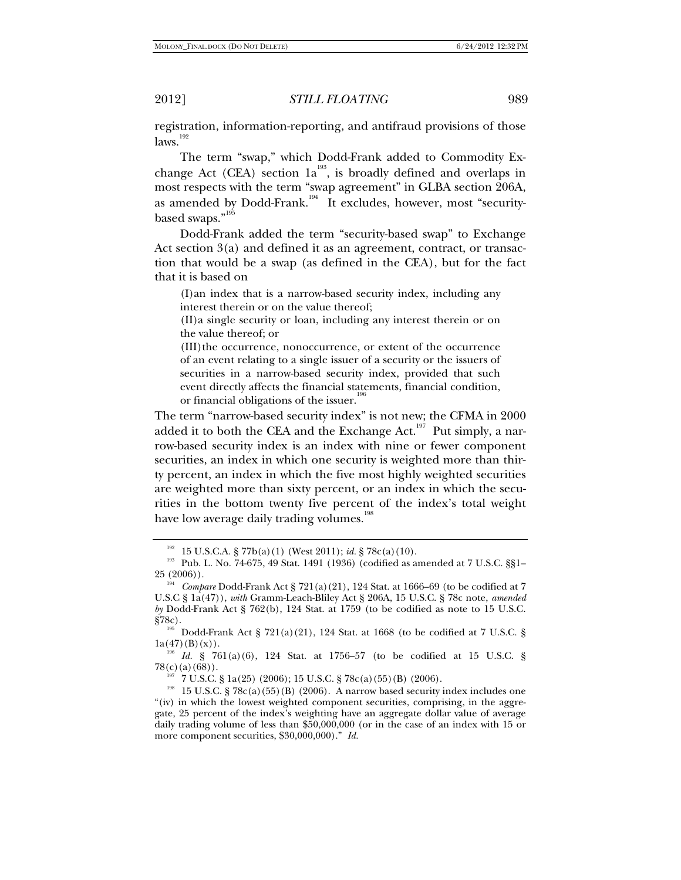registration, information-reporting, and antifraud provisions of those  $laws.$ <sup>192</sup>

The term "swap," which Dodd-Frank added to Commodity Exchange Act (CEA) section  $1a^{193}$ , is broadly defined and overlaps in most respects with the term "swap agreement" in GLBA section 206A, as amended by Dodd-Frank.<sup>194</sup> It excludes, however, most "securitybased swaps."<sup>195</sup>

Dodd-Frank added the term "security-based swap" to Exchange Act section 3(a) and defined it as an agreement, contract, or transaction that would be a swap (as defined in the CEA), but for the fact that it is based on

(I)an index that is a narrow-based security index, including any interest therein or on the value thereof;

(II)a single security or loan, including any interest therein or on the value thereof; or

(III)the occurrence, nonoccurrence, or extent of the occurrence of an event relating to a single issuer of a security or the issuers of securities in a narrow-based security index, provided that such event directly affects the financial statements, financial condition, or financial obligations of the issuer.<sup>19</sup>

The term "narrow-based security index" is not new; the CFMA in 2000 added it to both the CEA and the Exchange Act.<sup>197</sup> Put simply, a narrow-based security index is an index with nine or fewer component securities, an index in which one security is weighted more than thirty percent, an index in which the five most highly weighted securities are weighted more than sixty percent, or an index in which the securities in the bottom twenty five percent of the index's total weight have low average daily trading volumes.<sup>198</sup>

<sup>&</sup>lt;sup>192</sup> 15 U.S.C.A. § 77b(a)(1) (West 2011); *id.* § 78c(a)(10).<br><sup>193</sup> Pub. L. No. 74-675, 49 Stat. 1491 (1936) (codified as amended at 7 U.S.C. §§1–<br>25 (2006)).

<sup>&</sup>lt;sup>194</sup> Compare Dodd-Frank Act § 721(a)(21), 124 Stat. at 1666–69 (to be codified at 7 U.S.C § 1a(47)), *with* Gramm-Leach-Bliley Act § 206A, 15 U.S.C. § 78c note, *amended by* Dodd-Frank Act § 762(b), 124 Stat. at 1759 (to be codified as note to 15 U.S.C.

 $$78c$ ).<br><sup>195</sup> Dodd-Frank Act § 721(a)(21), 124 Stat. at 1668 (to be codified at 7 U.S.C. § 1a(47)(B)(x)).

<sup>&</sup>lt;sup>196</sup> Id. § 761(a)(6), 124 Stat. at 1756–57 (to be codified at 15 U.S.C. § 78(c)(a)(68)).

<sup>&</sup>lt;sup>197</sup> 7 U.S.C. § 1a(25) (2006); 15 U.S.C. § 78c(a)(55)(B) (2006).<br><sup>198</sup> 15 U.S.C. § 78c(a)(55)(B) (2006). A narrow based security index includes one "(iv) in which the lowest weighted component securities, comprising, in the aggregate, 25 percent of the index's weighting have an aggregate dollar value of average daily trading volume of less than \$50,000,000 (or in the case of an index with 15 or more component securities, \$30,000,000)." *Id.*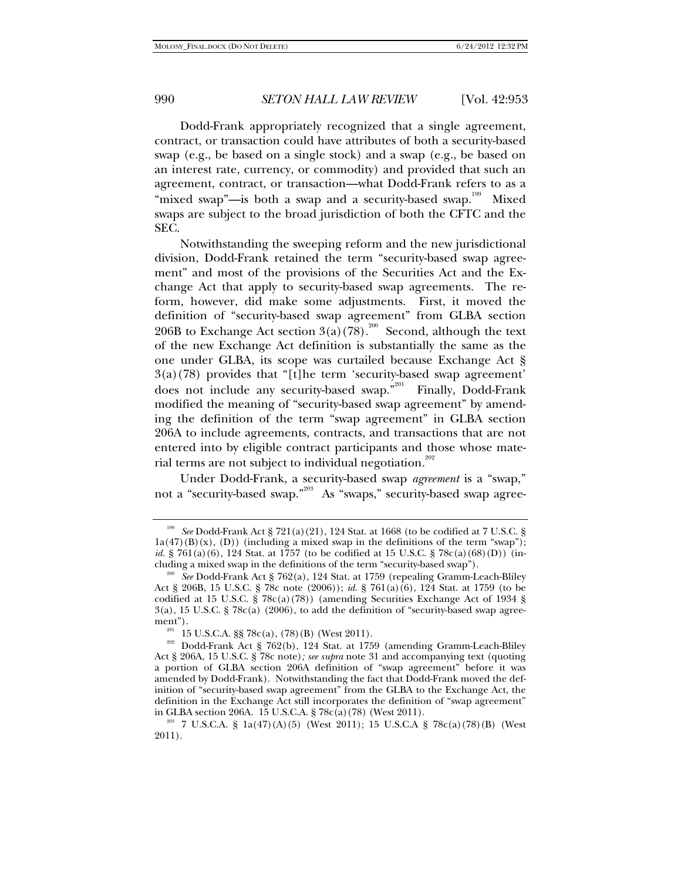Dodd-Frank appropriately recognized that a single agreement, contract, or transaction could have attributes of both a security-based swap (e.g., be based on a single stock) and a swap (e.g., be based on an interest rate, currency, or commodity) and provided that such an agreement, contract, or transaction—what Dodd-Frank refers to as a "mixed swap"—is both a swap and a security-based swap.<sup>199</sup> Mixed swaps are subject to the broad jurisdiction of both the CFTC and the SEC.

Notwithstanding the sweeping reform and the new jurisdictional division, Dodd-Frank retained the term "security-based swap agreement" and most of the provisions of the Securities Act and the Exchange Act that apply to security-based swap agreements. The reform, however, did make some adjustments. First, it moved the definition of "security-based swap agreement" from GLBA section 206B to Exchange Act section  $3(a)(78)$ <sup>200</sup> Second, although the text of the new Exchange Act definition is substantially the same as the one under GLBA, its scope was curtailed because Exchange Act § 3(a)(78) provides that "[t]he term 'security-based swap agreement' does not include any security-based swap."<sup>201</sup> Finally, Dodd-Frank modified the meaning of "security-based swap agreement" by amending the definition of the term "swap agreement" in GLBA section 206A to include agreements, contracts, and transactions that are not entered into by eligible contract participants and those whose material terms are not subject to individual negotiation.<sup>202</sup>

Under Dodd-Frank, a security-based swap *agreement* is a "swap," not a "security-based swap."<sup>203</sup> As "swaps," security-based swap agree-

<sup>199</sup> *See* Dodd-Frank Act § 721(a)(21), 124 Stat. at 1668 (to be codified at 7 U.S.C. §  $1a(47)(B)(x)$ , (D)) (including a mixed swap in the definitions of the term "swap"); *id.* § 761(a)(6), 124 Stat. at 1757 (to be codified at 15 U.S.C. § 78c(a)(68)(D)) (including a mixed swap in the definitions of the term "security-based swap"). 200 *See* Dodd-Frank Act § 762(a), 124 Stat. at 1759 (repealing Gramm-Leach-Bliley

Act § 206B, 15 U.S.C. § 78c note (2006)); *id.* § 761(a)(6), 124 Stat. at 1759 (to be codified at 15 U.S.C. § 78c(a)(78)) (amending Securities Exchange Act of 1934 §  $3(a)$ , 15 U.S.C. § 78c(a) (2006), to add the definition of "security-based swap agreement").

<sup>&</sup>lt;sup>201</sup> 15 U.S.C.A. §§ 78c(a), (78)(B) (West 2011). <br><sup>202</sup> Dodd-Frank Act § 762(b), 124 Stat. at 1759 (amending Gramm-Leach-Bliley Act § 206A, 15 U.S.C. § 78c note)*; see supra* note 31 and accompanying text (quoting a portion of GLBA section 206A definition of "swap agreement" before it was amended by Dodd-Frank). Notwithstanding the fact that Dodd-Frank moved the definition of "security-based swap agreement" from the GLBA to the Exchange Act, the definition in the Exchange Act still incorporates the definition of "swap agreement" in GLBA section 206A. 15 U.S.C.A. §  $78c(a)(78)$  (West 2011).

<sup>&</sup>lt;sup>203</sup> 7 U.S.C.A. § 1a(47)(A)(5) (West 2011); 15 U.S.C.A § 78c(a)(78)(B) (West 2011).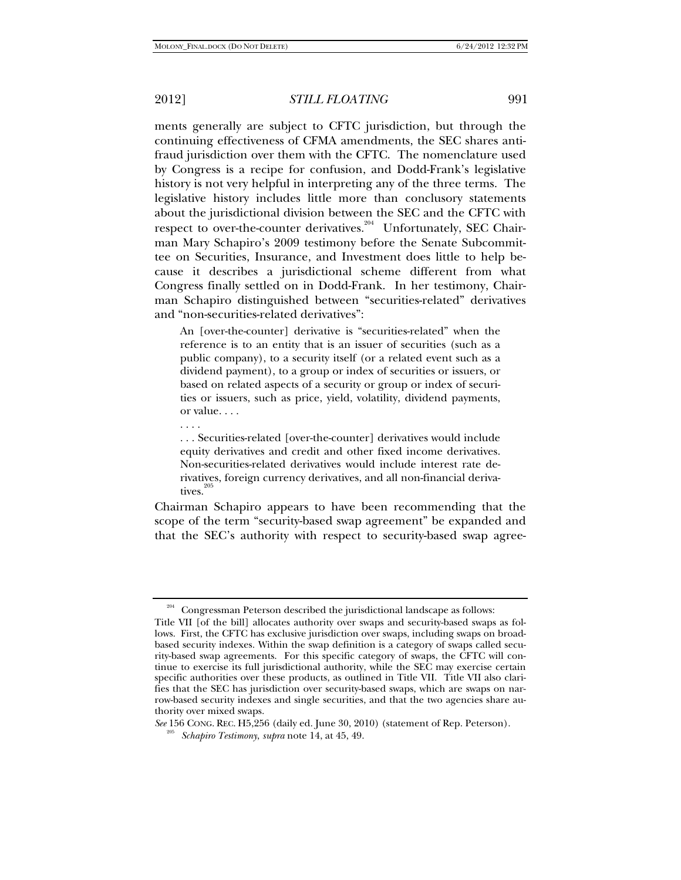. . . .

2012] *STILL FLOATING* 991

ments generally are subject to CFTC jurisdiction, but through the continuing effectiveness of CFMA amendments, the SEC shares antifraud jurisdiction over them with the CFTC. The nomenclature used by Congress is a recipe for confusion, and Dodd-Frank's legislative history is not very helpful in interpreting any of the three terms. The legislative history includes little more than conclusory statements about the jurisdictional division between the SEC and the CFTC with respect to over-the-counter derivatives.<sup>204</sup> Unfortunately, SEC Chairman Mary Schapiro's 2009 testimony before the Senate Subcommittee on Securities, Insurance, and Investment does little to help because it describes a jurisdictional scheme different from what Congress finally settled on in Dodd-Frank. In her testimony, Chairman Schapiro distinguished between "securities-related" derivatives and "non-securities-related derivatives":

An [over-the-counter] derivative is "securities-related" when the reference is to an entity that is an issuer of securities (such as a public company), to a security itself (or a related event such as a dividend payment), to a group or index of securities or issuers, or based on related aspects of a security or group or index of securities or issuers, such as price, yield, volatility, dividend payments, or value. . . .

. . . Securities-related [over-the-counter] derivatives would include equity derivatives and credit and other fixed income derivatives. Non-securities-related derivatives would include interest rate derivatives, foreign currency derivatives, and all non-financial derivatives.

Chairman Schapiro appears to have been recommending that the scope of the term "security-based swap agreement" be expanded and that the SEC's authority with respect to security-based swap agree-

<sup>&</sup>lt;sup>204</sup> Congressman Peterson described the jurisdictional landscape as follows:

Title VII [of the bill] allocates authority over swaps and security-based swaps as follows. First, the CFTC has exclusive jurisdiction over swaps, including swaps on broadbased security indexes. Within the swap definition is a category of swaps called security-based swap agreements. For this specific category of swaps, the CFTC will continue to exercise its full jurisdictional authority, while the SEC may exercise certain specific authorities over these products, as outlined in Title VII. Title VII also clarifies that the SEC has jurisdiction over security-based swaps, which are swaps on narrow-based security indexes and single securities, and that the two agencies share authority over mixed swaps.

*See* 156 CONG. REC. H5,256 (daily ed. June 30, 2010) (statement of Rep. Peterson). 205 *Schapiro Testimony*, *supra* note 14, at 45, 49.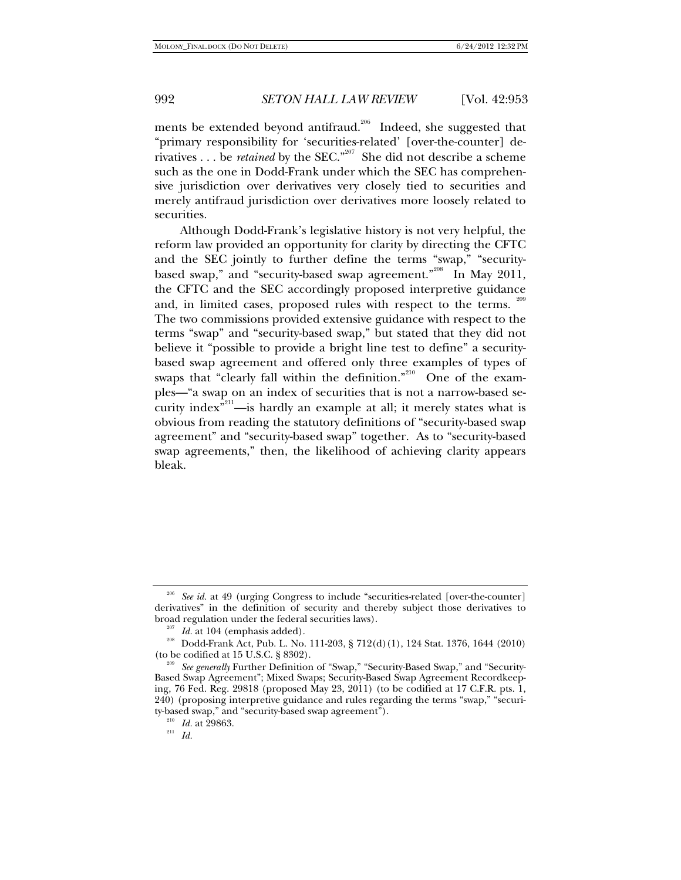ments be extended beyond antifraud.<sup>206</sup> Indeed, she suggested that "primary responsibility for 'securities-related' [over-the-counter] derivatives  $\ldots$  be *retained* by the SEC."<sup>207</sup> She did not describe a scheme such as the one in Dodd-Frank under which the SEC has comprehensive jurisdiction over derivatives very closely tied to securities and merely antifraud jurisdiction over derivatives more loosely related to securities.

Although Dodd-Frank's legislative history is not very helpful, the reform law provided an opportunity for clarity by directing the CFTC and the SEC jointly to further define the terms "swap," "securitybased swap," and "security-based swap agreement."<sup>208</sup> In May 2011, the CFTC and the SEC accordingly proposed interpretive guidance and, in limited cases, proposed rules with respect to the terms. The two commissions provided extensive guidance with respect to the terms "swap" and "security-based swap," but stated that they did not believe it "possible to provide a bright line test to define" a securitybased swap agreement and offered only three examples of types of swaps that "clearly fall within the definition."<sup>210</sup> One of the examples—"a swap on an index of securities that is not a narrow-based security index $\sum_{n=1}^{\infty}$  —is hardly an example at all; it merely states what is obvious from reading the statutory definitions of "security-based swap agreement" and "security-based swap" together. As to "security-based swap agreements," then, the likelihood of achieving clarity appears bleak.

<sup>&</sup>lt;sup>206</sup> See id. at 49 (urging Congress to include "securities-related [over-the-counter] derivatives" in the definition of security and thereby subject those derivatives to

broad regulation under the federal securities laws).<br><sup>207</sup> Id. at 104 (emphasis added).<br><sup>208</sup> Dodd-Frank Act, Pub. L. No. 111-203, § 712(d)(1), 124 Stat. 1376, 1644 (2010)<br>(to be codified at 15 U.S.C. § 8302).

<sup>&</sup>lt;sup>209</sup> See generally Further Definition of "Swap," "Security-Based Swap," and "Security-Based Swap Agreement"; Mixed Swaps; Security-Based Swap Agreement Recordkeeping, 76 Fed. Reg. 29818 (proposed May 23, 2011) (to be codified at 17 C.F.R. pts. 1, 240) (proposing interpretive guidance and rules regarding the terms "swap," "security-based swap," and "security-based swap agreement"). 210 *Id.* at 29863. 211 *Id.*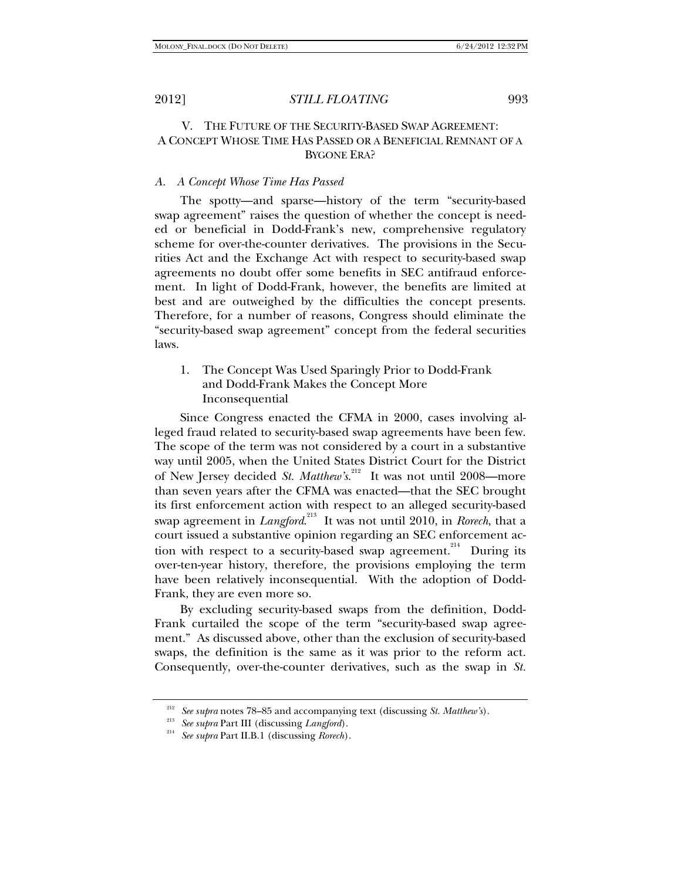# V. THE FUTURE OF THE SECURITY-BASED SWAP AGREEMENT: A CONCEPT WHOSE TIME HAS PASSED OR A BENEFICIAL REMNANT OF A BYGONE ERA?

### *A. A Concept Whose Time Has Passed*

The spotty—and sparse—history of the term "security-based swap agreement" raises the question of whether the concept is needed or beneficial in Dodd-Frank's new, comprehensive regulatory scheme for over-the-counter derivatives. The provisions in the Securities Act and the Exchange Act with respect to security-based swap agreements no doubt offer some benefits in SEC antifraud enforcement. In light of Dodd-Frank, however, the benefits are limited at best and are outweighed by the difficulties the concept presents. Therefore, for a number of reasons, Congress should eliminate the "security-based swap agreement" concept from the federal securities laws.

1. The Concept Was Used Sparingly Prior to Dodd-Frank and Dodd-Frank Makes the Concept More Inconsequential

Since Congress enacted the CFMA in 2000, cases involving alleged fraud related to security-based swap agreements have been few. The scope of the term was not considered by a court in a substantive way until 2005, when the United States District Court for the District of New Jersey decided *St. Matthew's*.<sup>212</sup> It was not until 2008—more than seven years after the CFMA was enacted—that the SEC brought its first enforcement action with respect to an alleged security-based swap agreement in *Langford*.<sup>213</sup> It was not until 2010, in *Rorech*, that a court issued a substantive opinion regarding an SEC enforcement action with respect to a security-based swap agreement.<sup>214</sup> During its over-ten-year history, therefore, the provisions employing the term have been relatively inconsequential. With the adoption of Dodd-Frank, they are even more so.

By excluding security-based swaps from the definition, Dodd-Frank curtailed the scope of the term "security-based swap agreement." As discussed above, other than the exclusion of security-based swaps, the definition is the same as it was prior to the reform act. Consequently, over-the-counter derivatives, such as the swap in *St.* 

<sup>212</sup> *See supra* notes 78–85 and accompanying text (discussing *St. Matthew's*). 213 *See supra* Part III (discussing *Langford*). 214 *See supra* Part II.B.1 (discussing *Rorech*).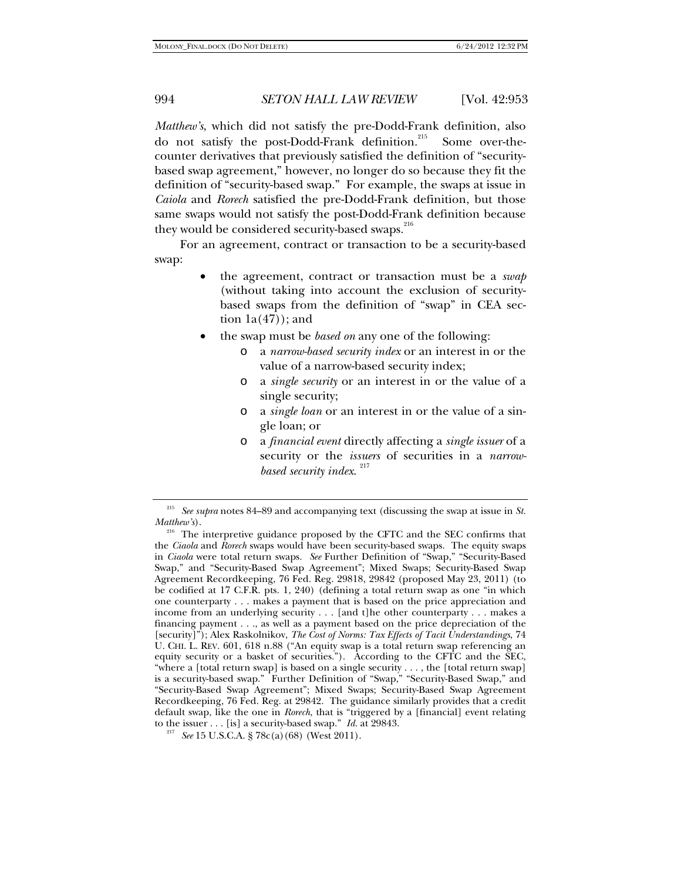*Matthew's*, which did not satisfy the pre-Dodd-Frank definition, also do not satisfy the post-Dodd-Frank definition.<sup>215</sup> Some over-thecounter derivatives that previously satisfied the definition of "securitybased swap agreement," however, no longer do so because they fit the definition of "security-based swap." For example, the swaps at issue in *Caiola* and *Rorech* satisfied the pre-Dodd-Frank definition, but those same swaps would not satisfy the post-Dodd-Frank definition because they would be considered security-based swaps.<sup>216</sup>

For an agreement, contract or transaction to be a security-based swap:

- the agreement, contract or transaction must be a *swap*  (without taking into account the exclusion of securitybased swaps from the definition of "swap" in CEA section  $1a(47)$ ; and
- the swap must be *based on* any one of the following:
	- o a *narrow-based security index* or an interest in or the value of a narrow-based security index;
	- o a *single security* or an interest in or the value of a single security;
	- o a *single loan* or an interest in or the value of a single loan; or
	- o a *financial event* directly affecting a *single issuer* of a security or the *issuers* of securities in a *narrowbased security index*. 217

<sup>215</sup> *See supra* notes 84–89 and accompanying text (discussing the swap at issue in *St. Matthew's*). <sup>216</sup> The interpretive guidance proposed by the CFTC and the SEC confirms that

the *Ciaola* and *Rorech* swaps would have been security-based swaps. The equity swaps in *Ciaola* were total return swaps. *See* Further Definition of "Swap," "Security-Based Swap," and "Security-Based Swap Agreement"; Mixed Swaps; Security-Based Swap Agreement Recordkeeping, 76 Fed. Reg. 29818, 29842 (proposed May 23, 2011) (to be codified at 17 C.F.R. pts. 1, 240) (defining a total return swap as one "in which one counterparty . . . makes a payment that is based on the price appreciation and income from an underlying security . . . [and t]he other counterparty . . . makes a financing payment . . ., as well as a payment based on the price depreciation of the [security]"); Alex Raskolnikov, *The Cost of Norms: Tax Effects of Tacit Understandings*, 74 U. CHI. L. REV. 601, 618 n.88 ("An equity swap is a total return swap referencing an equity security or a basket of securities."). According to the CFTC and the SEC, "where a [total return swap] is based on a single security  $\dots$ , the [total return swap] is a security-based swap." Further Definition of "Swap," "Security-Based Swap," and "Security-Based Swap Agreement"; Mixed Swaps; Security-Based Swap Agreement Recordkeeping, 76 Fed. Reg. at 29842. The guidance similarly provides that a credit default swap, like the one in *Rorech*, that is "triggered by a [financial] event relating to the issuer . . . [is] a security-based swap." *Id.* at 29843.

<sup>&</sup>lt;sup>217</sup> See 15 U.S.C.A. § 78c(a)(68) (West 2011).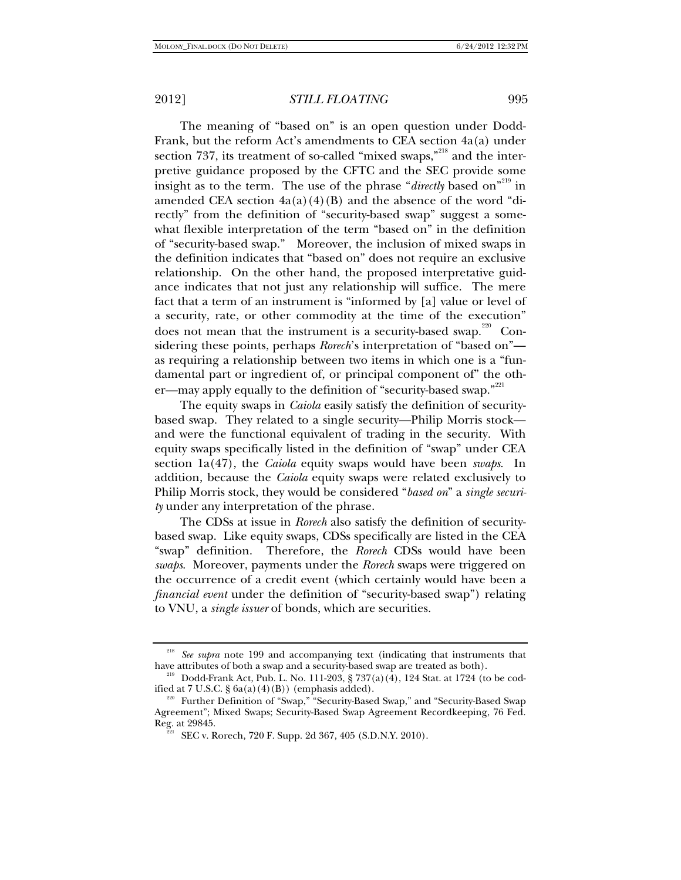The meaning of "based on" is an open question under Dodd-Frank, but the reform Act's amendments to CEA section 4a(a) under section 737, its treatment of so-called "mixed swaps,"<sup>218</sup> and the interpretive guidance proposed by the CFTC and the SEC provide some insight as to the term. The use of the phrase "*directly* based on"<sup>219</sup> in amended CEA section  $4a(a)(4)(B)$  and the absence of the word "directly" from the definition of "security-based swap" suggest a somewhat flexible interpretation of the term "based on" in the definition of "security-based swap." Moreover, the inclusion of mixed swaps in the definition indicates that "based on" does not require an exclusive relationship. On the other hand, the proposed interpretative guidance indicates that not just any relationship will suffice. The mere fact that a term of an instrument is "informed by [a] value or level of a security, rate, or other commodity at the time of the execution" does not mean that the instrument is a security-based swap.<sup> $220$ </sup> Considering these points, perhaps *Rorech*'s interpretation of "based on" as requiring a relationship between two items in which one is a "fundamental part or ingredient of, or principal component of" the other—may apply equally to the definition of "security-based swap."<sup>221</sup>

The equity swaps in *Caiola* easily satisfy the definition of securitybased swap. They related to a single security—Philip Morris stock and were the functional equivalent of trading in the security. With equity swaps specifically listed in the definition of "swap" under CEA section 1a(47), the *Caiola* equity swaps would have been *swaps*. In addition, because the *Caiola* equity swaps were related exclusively to Philip Morris stock, they would be considered "*based on*" a *single security* under any interpretation of the phrase.

The CDSs at issue in *Rorech* also satisfy the definition of securitybased swap. Like equity swaps, CDSs specifically are listed in the CEA "swap" definition. Therefore, the *Rorech* CDSs would have been *swaps*. Moreover, payments under the *Rorech* swaps were triggered on the occurrence of a credit event (which certainly would have been a *financial event* under the definition of "security-based swap") relating to VNU, a *single issuer* of bonds, which are securities.

<sup>&</sup>lt;sup>218</sup> See supra note 199 and accompanying text (indicating that instruments that have attributes of both a swap and a security-based swap are treated as both).<br><sup>219</sup> Dodd-Frank Act, Pub. L. No. 111-203, § 737(a)(4), 124 Stat. at 1724 (to be cod-

ified at 7 U.S.C. § 6a(a)(4)(B)) (emphasis added).<br><sup>220</sup> Further Definition of "Swap," "Security-Based Swap," and "Security-Based Swap

Agreement"; Mixed Swaps; Security-Based Swap Agreement Recordkeeping, 76 Fed.

 $\overline{\text{SEC}}$  v. Rorech, 720 F. Supp. 2d 367, 405 (S.D.N.Y. 2010).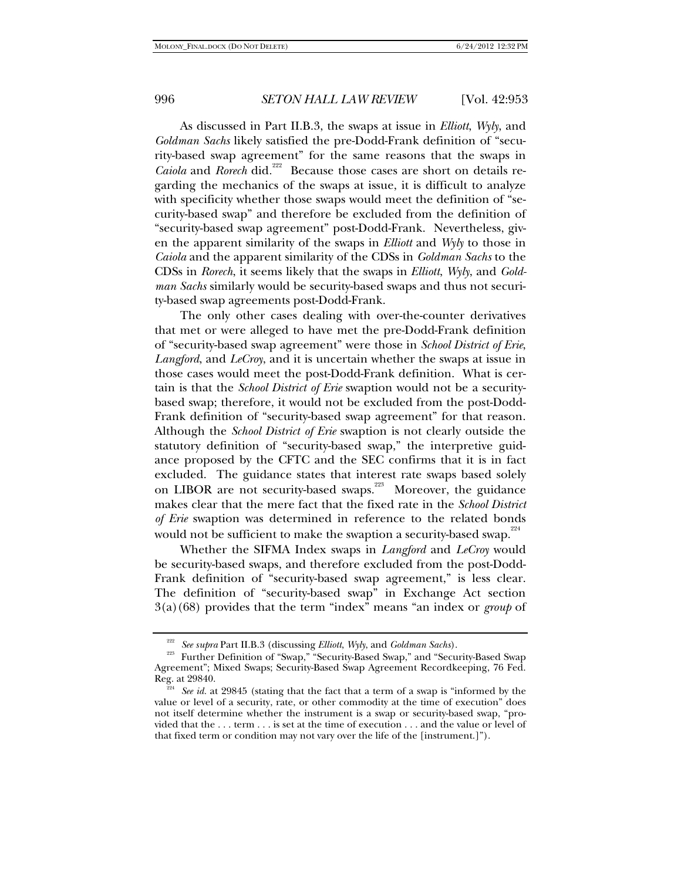As discussed in Part II.B.3, the swaps at issue in *Elliott*, *Wyly*, and *Goldman Sachs* likely satisfied the pre-Dodd-Frank definition of "security-based swap agreement" for the same reasons that the swaps in *Caiola* and *Rorech* did*.* 222 Because those cases are short on details regarding the mechanics of the swaps at issue, it is difficult to analyze with specificity whether those swaps would meet the definition of "security-based swap" and therefore be excluded from the definition of "security-based swap agreement" post-Dodd-Frank. Nevertheless, given the apparent similarity of the swaps in *Elliott* and *Wyly* to those in *Caiola* and the apparent similarity of the CDSs in *Goldman Sachs* to the CDSs in *Rorech*, it seems likely that the swaps in *Elliott*, *Wyly*, and *Goldman Sachs* similarly would be security-based swaps and thus not security-based swap agreements post-Dodd-Frank.

The only other cases dealing with over-the-counter derivatives that met or were alleged to have met the pre-Dodd-Frank definition of "security-based swap agreement" were those in *School District of Erie*, *Langford*, and *LeCroy*, and it is uncertain whether the swaps at issue in those cases would meet the post-Dodd-Frank definition. What is certain is that the *School District of Erie* swaption would not be a securitybased swap; therefore, it would not be excluded from the post-Dodd-Frank definition of "security-based swap agreement" for that reason. Although the *School District of Erie* swaption is not clearly outside the statutory definition of "security-based swap," the interpretive guidance proposed by the CFTC and the SEC confirms that it is in fact excluded. The guidance states that interest rate swaps based solely on LIBOR are not security-based swaps.<sup>223</sup> Moreover, the guidance makes clear that the mere fact that the fixed rate in the *School District of Erie* swaption was determined in reference to the related bonds would not be sufficient to make the swaption a security-based swap. $2^{24}$ 

Whether the SIFMA Index swaps in *Langford* and *LeCroy* would be security-based swaps, and therefore excluded from the post-Dodd-Frank definition of "security-based swap agreement," is less clear. The definition of "security-based swap" in Exchange Act section 3(a)(68) provides that the term "index" means "an index or *group* of

<sup>&</sup>lt;sup>222</sup> See supra Part II.B.3 (discussing *Elliott*, *Wyly*, and *Goldman Sachs*).<br><sup>223</sup> Further Definition of "Swap," "Security-Based Swap," and "Security-Based Swap Agreement"; Mixed Swaps; Security-Based Swap Agreement Recordkeeping, 76 Fed.

Reg. at 29840. 224 *See id.* at 29845 (stating that the fact that a term of a swap is "informed by the value or level of a security, rate, or other commodity at the time of execution" does not itself determine whether the instrument is a swap or security-based swap, "provided that the . . . term . . . is set at the time of execution . . . and the value or level of that fixed term or condition may not vary over the life of the [instrument.]").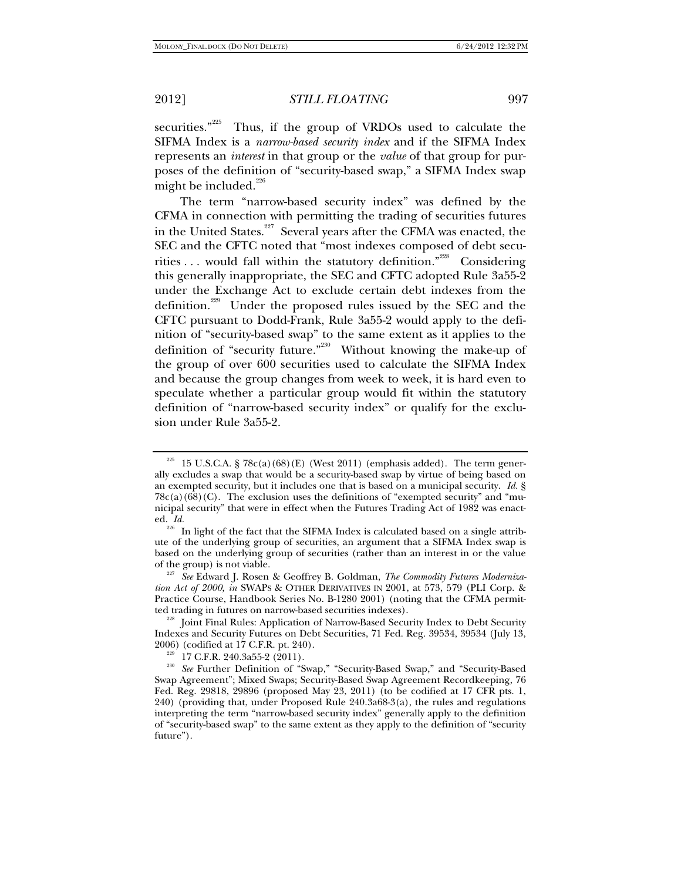securities." $225$  Thus, if the group of VRDOs used to calculate the SIFMA Index is a *narrow-based security index* and if the SIFMA Index represents an *interest* in that group or the *value* of that group for purposes of the definition of "security-based swap," a SIFMA Index swap might be included. $^{226}$ 

The term "narrow-based security index" was defined by the CFMA in connection with permitting the trading of securities futures in the United States.<sup>227</sup> Several years after the CFMA was enacted, the SEC and the CFTC noted that "most indexes composed of debt securities  $\dots$  would fall within the statutory definition."<sup>228</sup> Considering this generally inappropriate, the SEC and CFTC adopted Rule 3a55-2 under the Exchange Act to exclude certain debt indexes from the definition.<sup>229</sup> Under the proposed rules issued by the SEC and the CFTC pursuant to Dodd-Frank, Rule 3a55-2 would apply to the definition of "security-based swap" to the same extent as it applies to the definition of "security future."<sup>230</sup> Without knowing the make-up of the group of over 600 securities used to calculate the SIFMA Index and because the group changes from week to week, it is hard even to speculate whether a particular group would fit within the statutory definition of "narrow-based security index" or qualify for the exclusion under Rule 3a55-2.

 $225$  15 U.S.C.A. § 78c(a)(68)(E) (West 2011) (emphasis added). The term generally excludes a swap that would be a security-based swap by virtue of being based on an exempted security, but it includes one that is based on a municipal security. *Id.* §  $78c(a)(68)(C)$ . The exclusion uses the definitions of "exempted security" and "municipal security" that were in effect when the Futures Trading Act of 1982 was enacted. *Id.*

<sup>&</sup>lt;sup>226</sup> In light of the fact that the SIFMA Index is calculated based on a single attribute of the underlying group of securities, an argument that a SIFMA Index swap is based on the underlying group of securities (rather than an interest in or the value

of the group) is not viable. 227 *See* Edward J. Rosen & Geoffrey B. Goldman, *The Commodity Futures Modernization Act of 2000, in* SWAPS & OTHER DERIVATIVES IN 2001, at 573, 579 (PLI Corp. & Practice Course, Handbook Series No. B-1280 2001) (noting that the CFMA permitted trading in futures on narrow-based securities indexes).

<sup>&</sup>lt;sup>228</sup> Joint Final Rules: Application of Narrow-Based Security Index to Debt Security Indexes and Security Futures on Debt Securities, 71 Fed. Reg. 39534, 39534 (July 13,

<sup>2006) (</sup>codified at 17 C.F.R. pt. 240). 229 17 C.F.R. 240.3a55-2 (2011). 230 *See* Further Definition of "Swap," "Security-Based Swap," and "Security-Based Swap Agreement"; Mixed Swaps; Security-Based Swap Agreement Recordkeeping, 76 Fed. Reg. 29818, 29896 (proposed May 23, 2011) (to be codified at 17 CFR pts. 1, 240) (providing that, under Proposed Rule 240.3a68-3(a), the rules and regulations interpreting the term "narrow-based security index" generally apply to the definition of "security-based swap" to the same extent as they apply to the definition of "security future").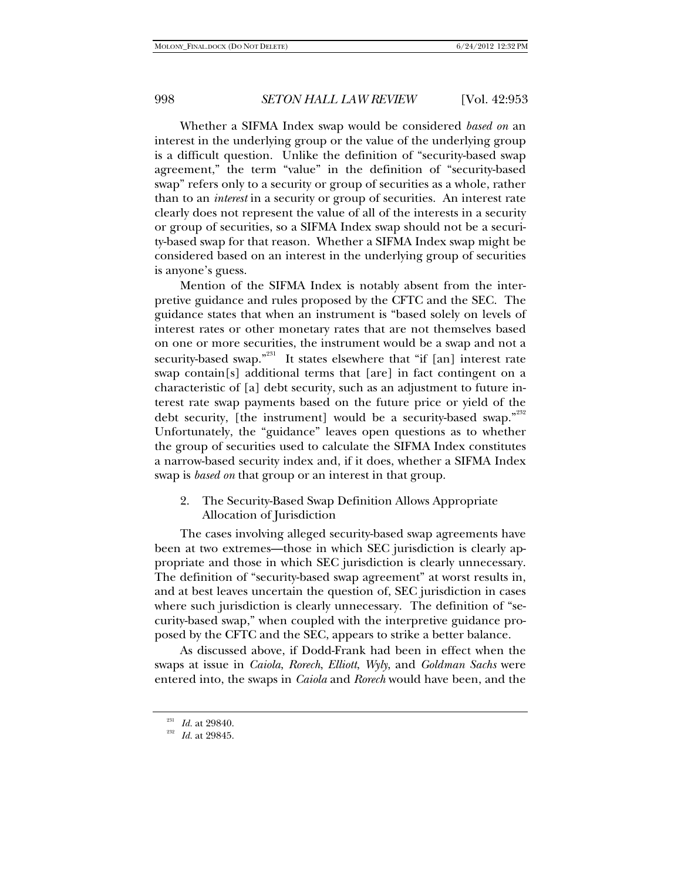Whether a SIFMA Index swap would be considered *based on* an interest in the underlying group or the value of the underlying group is a difficult question. Unlike the definition of "security-based swap agreement," the term "value" in the definition of "security-based swap" refers only to a security or group of securities as a whole, rather than to an *interest* in a security or group of securities. An interest rate clearly does not represent the value of all of the interests in a security or group of securities, so a SIFMA Index swap should not be a security-based swap for that reason. Whether a SIFMA Index swap might be considered based on an interest in the underlying group of securities is anyone's guess.

Mention of the SIFMA Index is notably absent from the interpretive guidance and rules proposed by the CFTC and the SEC. The guidance states that when an instrument is "based solely on levels of interest rates or other monetary rates that are not themselves based on one or more securities, the instrument would be a swap and not a security-based swap."<sup>231</sup> It states elsewhere that "if  $\lceil$ an $\rceil$  interest rate swap contain[s] additional terms that [are] in fact contingent on a characteristic of [a] debt security, such as an adjustment to future interest rate swap payments based on the future price or yield of the debt security, [the instrument] would be a security-based swap."<sup>232</sup> Unfortunately, the "guidance" leaves open questions as to whether the group of securities used to calculate the SIFMA Index constitutes a narrow-based security index and, if it does, whether a SIFMA Index swap is *based on* that group or an interest in that group.

2. The Security-Based Swap Definition Allows Appropriate Allocation of Jurisdiction

The cases involving alleged security-based swap agreements have been at two extremes—those in which SEC jurisdiction is clearly appropriate and those in which SEC jurisdiction is clearly unnecessary. The definition of "security-based swap agreement" at worst results in, and at best leaves uncertain the question of, SEC jurisdiction in cases where such jurisdiction is clearly unnecessary. The definition of "security-based swap," when coupled with the interpretive guidance proposed by the CFTC and the SEC, appears to strike a better balance.

As discussed above, if Dodd-Frank had been in effect when the swaps at issue in *Caiola*, *Rorech*, *Elliott*, *Wyly*, and *Goldman Sachs* were entered into, the swaps in *Caiola* and *Rorech* would have been, and the

<sup>&</sup>lt;sup>231</sup> *Id.* at 29840.<br><sup>232</sup> *Id.* at 29845.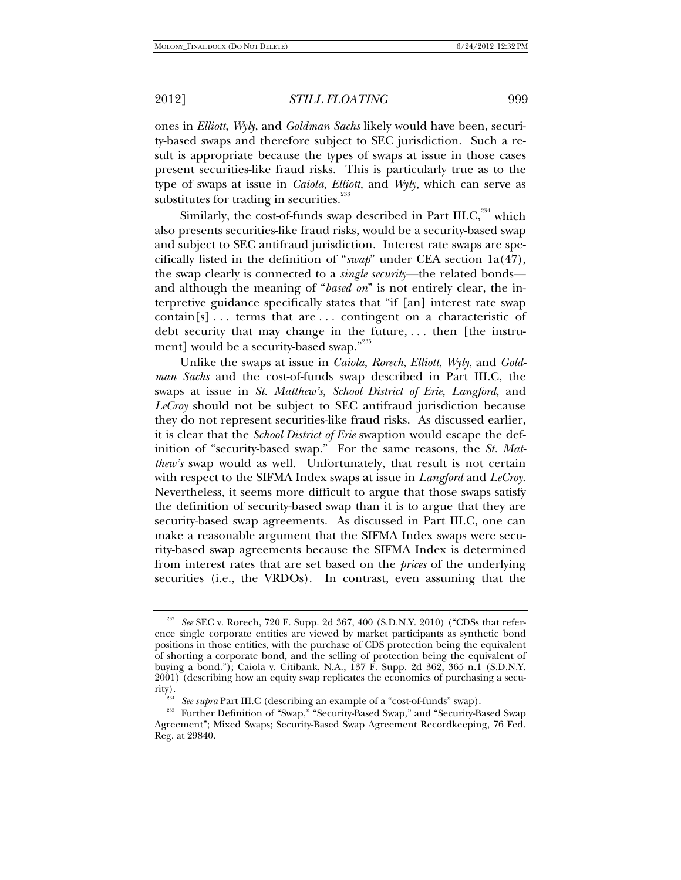ones in *Elliott*, *Wyly*, and *Goldman Sachs* likely would have been, security-based swaps and therefore subject to SEC jurisdiction. Such a result is appropriate because the types of swaps at issue in those cases present securities-like fraud risks. This is particularly true as to the type of swaps at issue in *Caiola*, *Elliott*, and *Wyly*, which can serve as substitutes for trading in securities.<sup>233</sup>

Similarly, the cost-of-funds swap described in Part III.C, $^{234}$  which also presents securities-like fraud risks, would be a security-based swap and subject to SEC antifraud jurisdiction. Interest rate swaps are specifically listed in the definition of "*swap*" under CEA section 1a(47), the swap clearly is connected to a *single security*—the related bonds and although the meaning of "*based on*" is not entirely clear, the interpretive guidance specifically states that "if [an] interest rate swap contain[s] . . . terms that are . . . contingent on a characteristic of debt security that may change in the future, . . . then [the instrument] would be a security-based swap."235

Unlike the swaps at issue in *Caiola*, *Rorech*, *Elliott*, *Wyly*, and *Goldman Sachs* and the cost-of-funds swap described in Part III.C, the swaps at issue in *St. Matthew's*, *School District of Erie*, *Langford*, and *LeCroy* should not be subject to SEC antifraud jurisdiction because they do not represent securities-like fraud risks. As discussed earlier, it is clear that the *School District of Erie* swaption would escape the definition of "security-based swap." For the same reasons, the *St. Matthew's* swap would as well. Unfortunately, that result is not certain with respect to the SIFMA Index swaps at issue in *Langford* and *LeCroy*. Nevertheless, it seems more difficult to argue that those swaps satisfy the definition of security-based swap than it is to argue that they are security-based swap agreements. As discussed in Part III.C, one can make a reasonable argument that the SIFMA Index swaps were security-based swap agreements because the SIFMA Index is determined from interest rates that are set based on the *prices* of the underlying securities (i.e., the VRDOs). In contrast, even assuming that the

<sup>233</sup> *See* SEC v. Rorech, 720 F. Supp. 2d 367, 400 (S.D.N.Y. 2010) ("CDSs that reference single corporate entities are viewed by market participants as synthetic bond positions in those entities, with the purchase of CDS protection being the equivalent of shorting a corporate bond, and the selling of protection being the equivalent of buying a bond."); Caiola v. Citibank, N.A., 137 F. Supp. 2d 362, 365 n.1 (S.D.N.Y. 2001) (describing how an equity swap replicates the economics of purchasing a security).

<sup>&</sup>lt;sup>234</sup> See supra Part III.C (describing an example of a "cost-of-funds" swap).<br><sup>235</sup> Further Definition of "Swap," "Security-Based Swap," and "Security-Based Swap Agreement"; Mixed Swaps; Security-Based Swap Agreement Recordkeeping, 76 Fed. Reg. at 29840.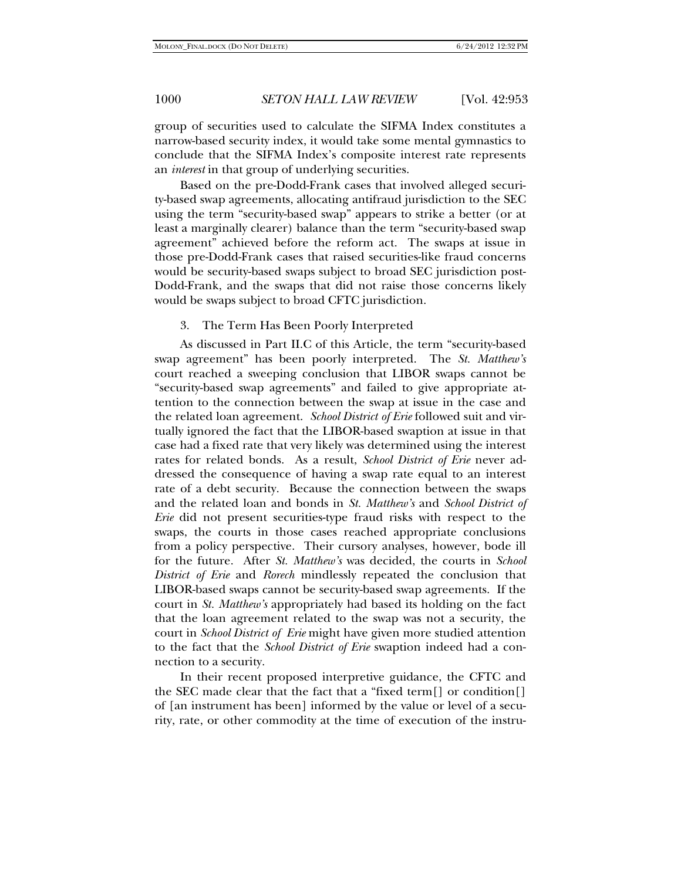group of securities used to calculate the SIFMA Index constitutes a narrow-based security index, it would take some mental gymnastics to conclude that the SIFMA Index's composite interest rate represents an *interest* in that group of underlying securities.

Based on the pre-Dodd-Frank cases that involved alleged security-based swap agreements, allocating antifraud jurisdiction to the SEC using the term "security-based swap" appears to strike a better (or at least a marginally clearer) balance than the term "security-based swap agreement" achieved before the reform act. The swaps at issue in those pre-Dodd-Frank cases that raised securities-like fraud concerns would be security-based swaps subject to broad SEC jurisdiction post-Dodd-Frank, and the swaps that did not raise those concerns likely would be swaps subject to broad CFTC jurisdiction.

#### 3. The Term Has Been Poorly Interpreted

As discussed in Part II.C of this Article, the term "security-based swap agreement" has been poorly interpreted. The *St. Matthew's* court reached a sweeping conclusion that LIBOR swaps cannot be "security-based swap agreements" and failed to give appropriate attention to the connection between the swap at issue in the case and the related loan agreement. *School District of Erie* followed suit and virtually ignored the fact that the LIBOR-based swaption at issue in that case had a fixed rate that very likely was determined using the interest rates for related bonds. As a result, *School District of Erie* never addressed the consequence of having a swap rate equal to an interest rate of a debt security. Because the connection between the swaps and the related loan and bonds in *St. Matthew's* and *School District of Erie* did not present securities-type fraud risks with respect to the swaps, the courts in those cases reached appropriate conclusions from a policy perspective. Their cursory analyses, however, bode ill for the future. After *St. Matthew's* was decided, the courts in *School District of Erie* and *Rorech* mindlessly repeated the conclusion that LIBOR-based swaps cannot be security-based swap agreements. If the court in *St. Matthew's* appropriately had based its holding on the fact that the loan agreement related to the swap was not a security, the court in *School District of Erie* might have given more studied attention to the fact that the *School District of Erie* swaption indeed had a connection to a security.

In their recent proposed interpretive guidance, the CFTC and the SEC made clear that the fact that a "fixed term[] or condition[] of [an instrument has been] informed by the value or level of a security, rate, or other commodity at the time of execution of the instru-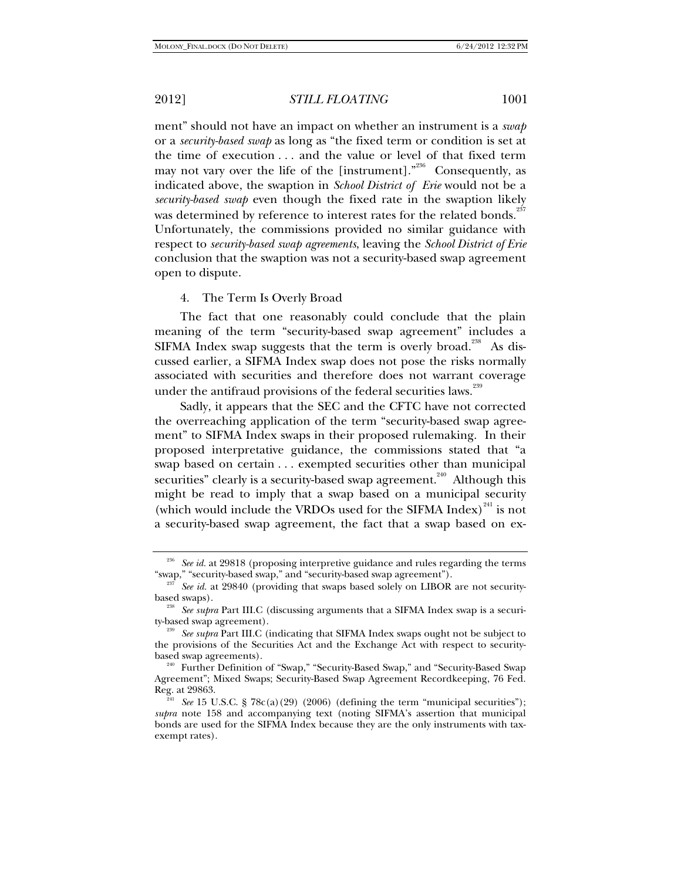ment" should not have an impact on whether an instrument is a *swap* or a *security-based swap* as long as "the fixed term or condition is set at the time of execution . . . and the value or level of that fixed term may not vary over the life of the [instrument].<sup> $^{236}$ </sup> Consequently, as indicated above, the swaption in *School District of Erie* would not be a *security-based swap* even though the fixed rate in the swaption likely was determined by reference to interest rates for the related bonds.<sup>237</sup> Unfortunately, the commissions provided no similar guidance with respect to *security-based swap agreements*, leaving the *School District of Erie*  conclusion that the swaption was not a security-based swap agreement open to dispute.

4. The Term Is Overly Broad

The fact that one reasonably could conclude that the plain meaning of the term "security-based swap agreement" includes a SIFMA Index swap suggests that the term is overly broad.<sup>238</sup> As discussed earlier, a SIFMA Index swap does not pose the risks normally associated with securities and therefore does not warrant coverage under the antifraud provisions of the federal securities laws.<sup>239</sup>

Sadly, it appears that the SEC and the CFTC have not corrected the overreaching application of the term "security-based swap agreement" to SIFMA Index swaps in their proposed rulemaking. In their proposed interpretative guidance, the commissions stated that "a swap based on certain . . . exempted securities other than municipal securities" clearly is a security-based swap agreement.<sup>240</sup> Although this might be read to imply that a swap based on a municipal security (which would include the VRDOs used for the SIFMA Index) $^{241}$  is not a security-based swap agreement, the fact that a swap based on ex-

<sup>&</sup>lt;sup>236</sup> See id. at 29818 (proposing interpretive guidance and rules regarding the terms "swap," "security-based swap," and "security-based swap agreement").

See id. at 29840 (providing that swaps based solely on LIBOR are not securitybased swaps). 238 *See supra* Part III.C (discussing arguments that a SIFMA Index swap is a securi-

ty-based swap agreement). 239 *See supra* Part III.C (indicating that SIFMA Index swaps ought not be subject to

the provisions of the Securities Act and the Exchange Act with respect to securitybased swap agreements).<br><sup>240</sup> Further Definition of "Swap," "Security-Based Swap," and "Security-Based Swap

Agreement"; Mixed Swaps; Security-Based Swap Agreement Recordkeeping, 76 Fed.

See 15 U.S.C. § 78c(a)(29) (2006) (defining the term "municipal securities"); *supra* note 158 and accompanying text (noting SIFMA's assertion that municipal bonds are used for the SIFMA Index because they are the only instruments with taxexempt rates).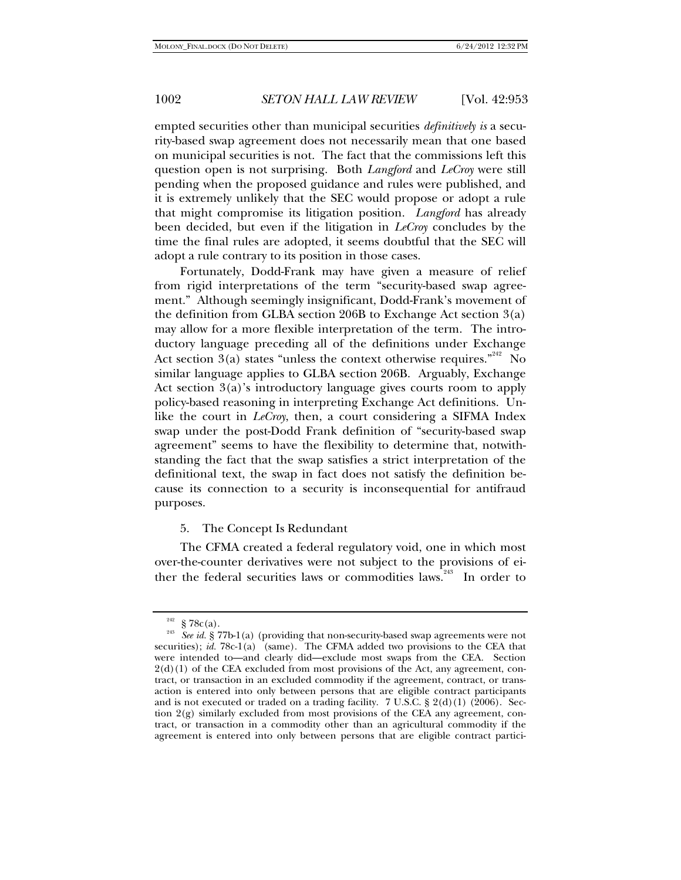empted securities other than municipal securities *definitively is* a security-based swap agreement does not necessarily mean that one based on municipal securities is not. The fact that the commissions left this question open is not surprising. Both *Langford* and *LeCroy* were still pending when the proposed guidance and rules were published, and it is extremely unlikely that the SEC would propose or adopt a rule that might compromise its litigation position. *Langford* has already been decided, but even if the litigation in *LeCroy* concludes by the time the final rules are adopted, it seems doubtful that the SEC will adopt a rule contrary to its position in those cases.

Fortunately, Dodd-Frank may have given a measure of relief from rigid interpretations of the term "security-based swap agreement." Although seemingly insignificant, Dodd-Frank's movement of the definition from GLBA section 206B to Exchange Act section 3(a) may allow for a more flexible interpretation of the term. The introductory language preceding all of the definitions under Exchange Act section 3(a) states "unless the context otherwise requires." No similar language applies to GLBA section 206B. Arguably, Exchange Act section 3(a)'s introductory language gives courts room to apply policy-based reasoning in interpreting Exchange Act definitions. Unlike the court in *LeCroy*, then, a court considering a SIFMA Index swap under the post-Dodd Frank definition of "security-based swap agreement" seems to have the flexibility to determine that, notwithstanding the fact that the swap satisfies a strict interpretation of the definitional text, the swap in fact does not satisfy the definition because its connection to a security is inconsequential for antifraud purposes.

### 5. The Concept Is Redundant

The CFMA created a federal regulatory void, one in which most over-the-counter derivatives were not subject to the provisions of either the federal securities laws or commodities laws.<sup>243</sup> In order to

<sup>&</sup>lt;sup>242</sup> § 78c(a).<br><sup>243</sup> See id. § 77b-1(a) (providing that non-security-based swap agreements were not securities); *id.* 78c-1(a) (same). The CFMA added two provisions to the CEA that were intended to—and clearly did—exclude most swaps from the CEA. Section  $2(d)(1)$  of the CEA excluded from most provisions of the Act, any agreement, contract, or transaction in an excluded commodity if the agreement, contract, or transaction is entered into only between persons that are eligible contract participants and is not executed or traded on a trading facility. 7 U.S.C. § 2(d)(1) (2006). Section 2(g) similarly excluded from most provisions of the CEA any agreement, contract, or transaction in a commodity other than an agricultural commodity if the agreement is entered into only between persons that are eligible contract partici-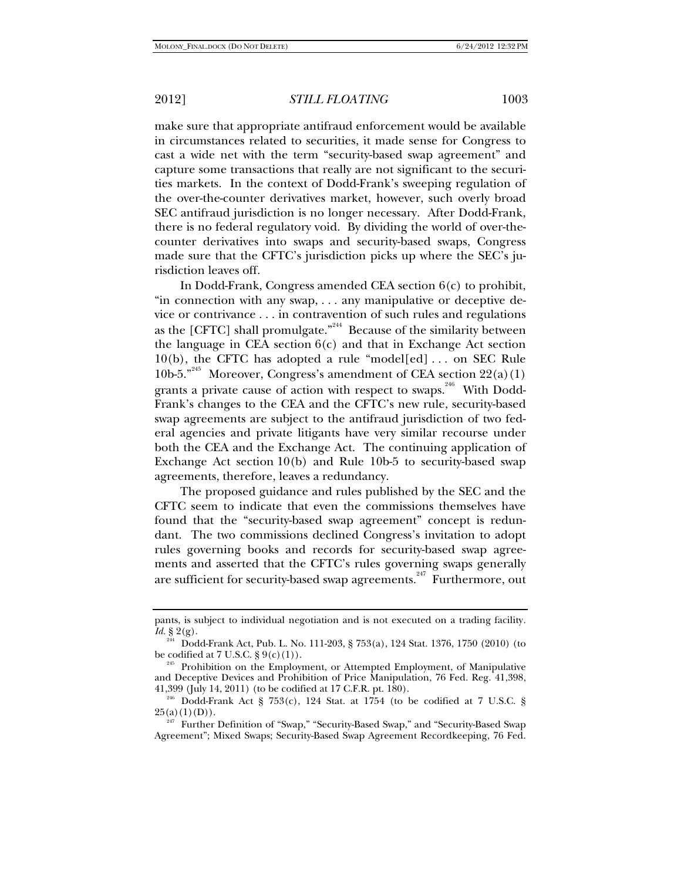make sure that appropriate antifraud enforcement would be available in circumstances related to securities, it made sense for Congress to cast a wide net with the term "security-based swap agreement" and capture some transactions that really are not significant to the securities markets. In the context of Dodd-Frank's sweeping regulation of the over-the-counter derivatives market, however, such overly broad SEC antifraud jurisdiction is no longer necessary. After Dodd-Frank, there is no federal regulatory void. By dividing the world of over-thecounter derivatives into swaps and security-based swaps, Congress made sure that the CFTC's jurisdiction picks up where the SEC's jurisdiction leaves off.

In Dodd-Frank, Congress amended CEA section 6(c) to prohibit, "in connection with any swap, . . . any manipulative or deceptive device or contrivance . . . in contravention of such rules and regulations as the  $[CFTC]$  shall promulgate.<sup> $344$ </sup> Because of the similarity between the language in CEA section  $6(c)$  and that in Exchange Act section 10(b), the CFTC has adopted a rule "model[ed] . . . on SEC Rule 10b-5."<sup>245</sup> Moreover, Congress's amendment of CEA section  $22(a)(1)$ grants a private cause of action with respect to swaps. <sup>246</sup> With Dodd-Frank's changes to the CEA and the CFTC's new rule, security-based swap agreements are subject to the antifraud jurisdiction of two federal agencies and private litigants have very similar recourse under both the CEA and the Exchange Act. The continuing application of Exchange Act section 10(b) and Rule 10b-5 to security-based swap agreements, therefore, leaves a redundancy.

The proposed guidance and rules published by the SEC and the CFTC seem to indicate that even the commissions themselves have found that the "security-based swap agreement" concept is redundant. The two commissions declined Congress's invitation to adopt rules governing books and records for security-based swap agreements and asserted that the CFTC's rules governing swaps generally are sufficient for security-based swap agreements.<sup>247</sup> Furthermore, out

pants, is subject to individual negotiation and is not executed on a trading facility*. Id.* § 2(g).

<sup>&</sup>lt;sup>244</sup> Dodd-Frank Act, Pub. L. No. 111-203, § 753(a), 124 Stat. 1376, 1750 (2010) (to be codified at 7 U.S.C. § 9(c)(1)).

<sup>&</sup>lt;sup>245</sup> Prohibition on the Employment, or Attempted Employment, of Manipulative and Deceptive Devices and Prohibition of Price Manipulation, 76 Fed. Reg. 41,398, 41,399 (July 14, 2011) (to be codified at 17 C.F.R. pt. 180).

<sup>&</sup>lt;sup>246</sup> Dodd-Frank Act § 753(c), 124 Stat. at 1754 (to be codified at 7 U.S.C. § 25(a)(1)(D)).

Further Definition of "Swap," "Security-Based Swap," and "Security-Based Swap Agreement"; Mixed Swaps; Security-Based Swap Agreement Recordkeeping, 76 Fed.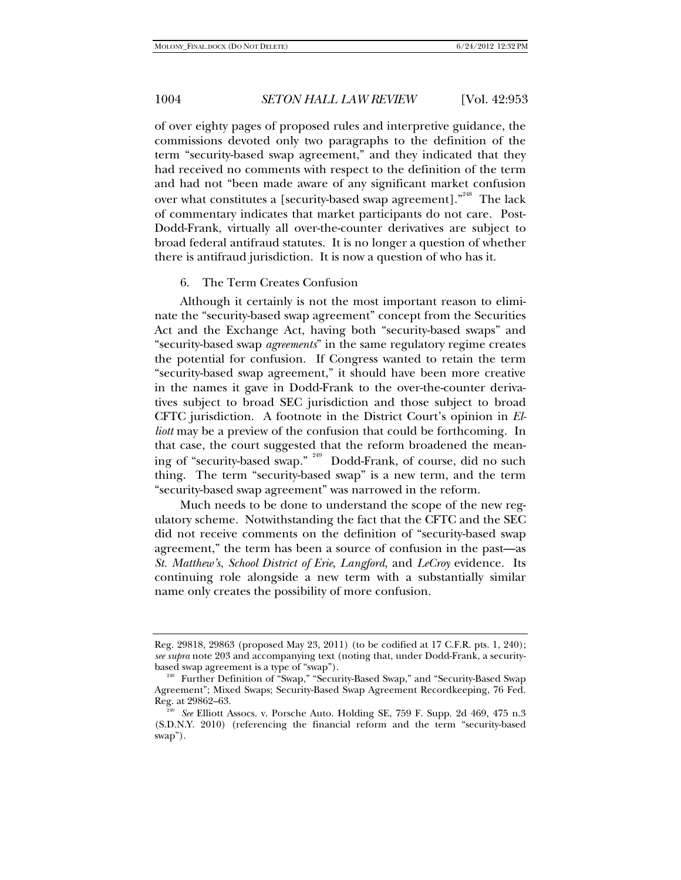of over eighty pages of proposed rules and interpretive guidance, the commissions devoted only two paragraphs to the definition of the term "security-based swap agreement," and they indicated that they had received no comments with respect to the definition of the term and had not "been made aware of any significant market confusion over what constitutes a [security-based swap agreement]."<sup>248</sup> The lack of commentary indicates that market participants do not care. Post-Dodd-Frank, virtually all over-the-counter derivatives are subject to broad federal antifraud statutes. It is no longer a question of whether there is antifraud jurisdiction. It is now a question of who has it.

#### 6. The Term Creates Confusion

Although it certainly is not the most important reason to eliminate the "security-based swap agreement" concept from the Securities Act and the Exchange Act, having both "security-based swaps" and "security-based swap *agreements*" in the same regulatory regime creates the potential for confusion. If Congress wanted to retain the term "security-based swap agreement," it should have been more creative in the names it gave in Dodd-Frank to the over-the-counter derivatives subject to broad SEC jurisdiction and those subject to broad CFTC jurisdiction. A footnote in the District Court's opinion in *Elliott* may be a preview of the confusion that could be forthcoming. In that case, the court suggested that the reform broadened the meaning of "security-based swap." 249 Dodd-Frank, of course, did no such thing. The term "security-based swap" is a new term, and the term "security-based swap agreement" was narrowed in the reform.

Much needs to be done to understand the scope of the new regulatory scheme. Notwithstanding the fact that the CFTC and the SEC did not receive comments on the definition of "security-based swap agreement," the term has been a source of confusion in the past—as *St. Matthew's*, *School District of Erie*, *Langford*, and *LeCroy* evidence. Its continuing role alongside a new term with a substantially similar name only creates the possibility of more confusion.

Reg. 29818, 29863 (proposed May 23, 2011) (to be codified at 17 C.F.R. pts. 1, 240); *see supra* note 203 and accompanying text (noting that, under Dodd-Frank, a security-

based swap agreement is a type of "swap").<br><sup>248</sup> Further Definition of "Swap," "Security-Based Swap," and "Security-Based Swap Agreement"; Mixed Swaps; Security-Based Swap Agreement Recordkeeping, 76 Fed.

<sup>&</sup>lt;sup>249</sup> See Elliott Assocs. v. Porsche Auto. Holding SE, 759 F. Supp. 2d 469, 475 n.3 (S.D.N.Y. 2010) (referencing the financial reform and the term "security-based swap").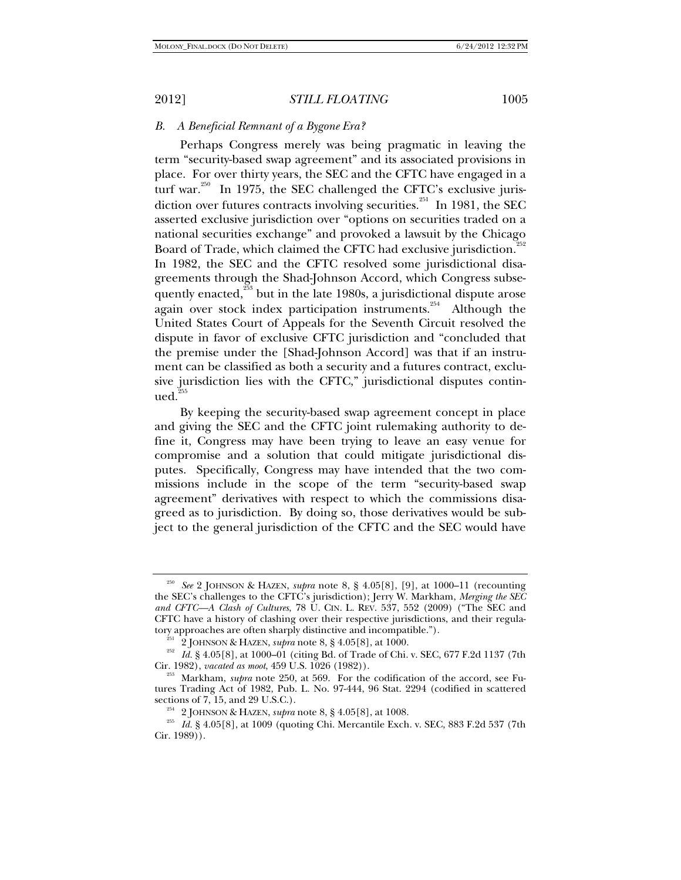### *B. A Beneficial Remnant of a Bygone Era?*

Perhaps Congress merely was being pragmatic in leaving the term "security-based swap agreement" and its associated provisions in place. For over thirty years, the SEC and the CFTC have engaged in a turf war.<sup>250</sup> In 1975, the SEC challenged the CFTC's exclusive jurisdiction over futures contracts involving securities.<sup>251</sup> In 1981, the SEC asserted exclusive jurisdiction over "options on securities traded on a national securities exchange" and provoked a lawsuit by the Chicago Board of Trade, which claimed the CFTC had exclusive jurisdiction.<sup>25</sup> In 1982, the SEC and the CFTC resolved some jurisdictional disagreements through the Shad-Johnson Accord, which Congress subsequently enacted, $^{253}$  but in the late 1980s, a jurisdictional dispute arose again over stock index participation instruments.<sup>254</sup> Although the United States Court of Appeals for the Seventh Circuit resolved the dispute in favor of exclusive CFTC jurisdiction and "concluded that the premise under the [Shad-Johnson Accord] was that if an instrument can be classified as both a security and a futures contract, exclusive jurisdiction lies with the CFTC," jurisdictional disputes contin $ued.<sup>2</sup>$ 

By keeping the security-based swap agreement concept in place and giving the SEC and the CFTC joint rulemaking authority to define it, Congress may have been trying to leave an easy venue for compromise and a solution that could mitigate jurisdictional disputes. Specifically, Congress may have intended that the two commissions include in the scope of the term "security-based swap agreement" derivatives with respect to which the commissions disagreed as to jurisdiction. By doing so, those derivatives would be subject to the general jurisdiction of the CFTC and the SEC would have

<sup>250</sup> *See* 2 JOHNSON & HAZEN, *supra* note 8, § 4.05[8], [9], at 1000–11 (recounting the SEC's challenges to the CFTC's jurisdiction); Jerry W. Markham, *Merging the SEC and CFTC—A Clash of Cultures*, 78 U. CIN. L. REV. 537, 552 (2009) ("The SEC and CFTC have a history of clashing over their respective jurisdictions, and their regula-<br>tory approaches are often sharply distinctive and incompatible.").

<sup>&</sup>lt;sup>251</sup> 2 JOHNSON & HAZEN, *supra* note 8, § 4.05[8], at 1000.<br><sup>252</sup> Id. § 4.05[8], at 1000–01 (citing Bd. of Trade of Chi. v. SEC, 677 F.2d 1137 (7th Cir. 1982), *vacated as moot*, 459 U.S. 1026 (1982)). 253 Markham, *supra* note 250, at 569. For the codification of the accord, see Fu-

tures Trading Act of 1982, Pub. L. No. 97-444, 96 Stat. 2294 (codified in scattered

sections of 7, 15, and 29 U.S.C.). <sup>254</sup> 2 JOHNSON & HAZEN, *supra* note 8, § 4.05[8], at 1008.<br><sup>255</sup> *Id.* § 4.05[8], at 1009 (quoting Chi. Mercantile Exch. v. SEC, 883 F.2d 537 (7th Cir. 1989)).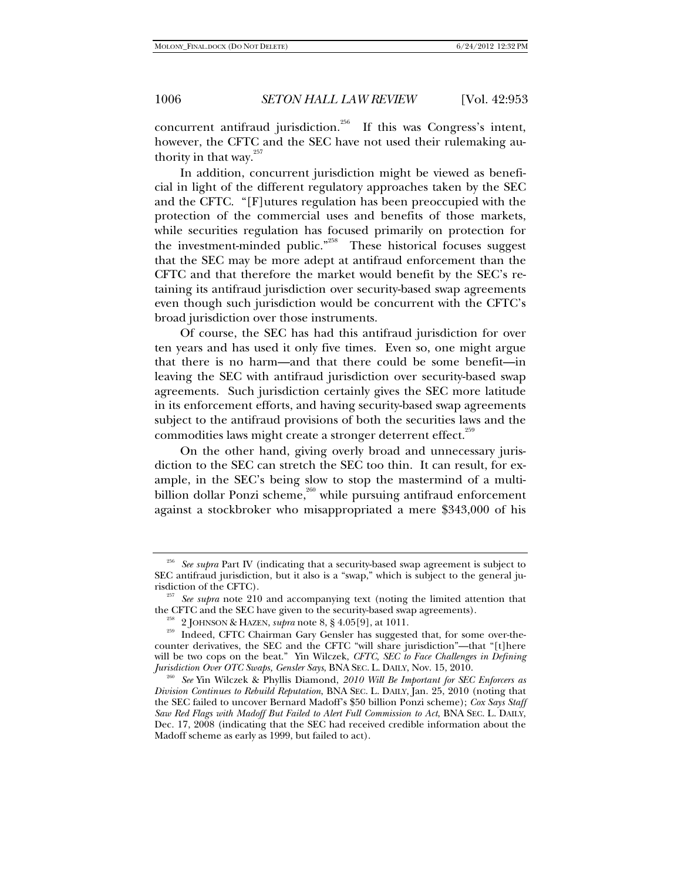concurrent antifraud jurisdiction.<sup>256</sup> If this was Congress's intent, however, the CFTC and the SEC have not used their rulemaking authority in that way. $257$ 

In addition, concurrent jurisdiction might be viewed as beneficial in light of the different regulatory approaches taken by the SEC and the CFTC. "[F]utures regulation has been preoccupied with the protection of the commercial uses and benefits of those markets, while securities regulation has focused primarily on protection for the investment-minded public."<sup>258</sup> These historical focuses suggest that the SEC may be more adept at antifraud enforcement than the CFTC and that therefore the market would benefit by the SEC's retaining its antifraud jurisdiction over security-based swap agreements even though such jurisdiction would be concurrent with the CFTC's broad jurisdiction over those instruments.

Of course, the SEC has had this antifraud jurisdiction for over ten years and has used it only five times. Even so, one might argue that there is no harm—and that there could be some benefit—in leaving the SEC with antifraud jurisdiction over security-based swap agreements. Such jurisdiction certainly gives the SEC more latitude in its enforcement efforts, and having security-based swap agreements subject to the antifraud provisions of both the securities laws and the commodities laws might create a stronger deterrent effect.<sup>259</sup>

On the other hand, giving overly broad and unnecessary jurisdiction to the SEC can stretch the SEC too thin. It can result, for example, in the SEC's being slow to stop the mastermind of a multibillion dollar Ponzi scheme,<sup>260</sup> while pursuing antifraud enforcement against a stockbroker who misappropriated a mere \$343,000 of his

<sup>256</sup> *See supra* Part IV (indicating that a security-based swap agreement is subject to SEC antifraud jurisdiction, but it also is a "swap," which is subject to the general ju-

<sup>&</sup>lt;sup>257</sup> See supra note 210 and accompanying text (noting the limited attention that the CFTC and the SEC have given to the security-based swap agreements).

<sup>&</sup>lt;sup>258</sup> 2 JOHNSON & HAZEN, *supra* note 8, § 4.05[9], at 1011.<br><sup>259</sup> Indeed, CFTC Chairman Gary Gensler has suggested that, for some over-thecounter derivatives, the SEC and the CFTC "will share jurisdiction"—that "[t]here will be two cops on the beat." Yin Wilczek, *CFTC, SEC to Face Challenges in Defining Jurisdiction Over OTC Swaps, Gensler Says*, BNA SEC. L. DAILY, Nov. 15, 2010. 260 *See* Yin Wilczek & Phyllis Diamond, *2010 Will Be Important for SEC Enforcers as* 

*Division Continues to Rebuild Reputation*, BNA SEC. L. DAILY, Jan. 25, 2010 (noting that the SEC failed to uncover Bernard Madoff's \$50 billion Ponzi scheme); *Cox Says Staff Saw Red Flags with Madoff But Failed to Alert Full Commission to Act*, BNA SEC. L. DAILY, Dec. 17, 2008 (indicating that the SEC had received credible information about the Madoff scheme as early as 1999, but failed to act).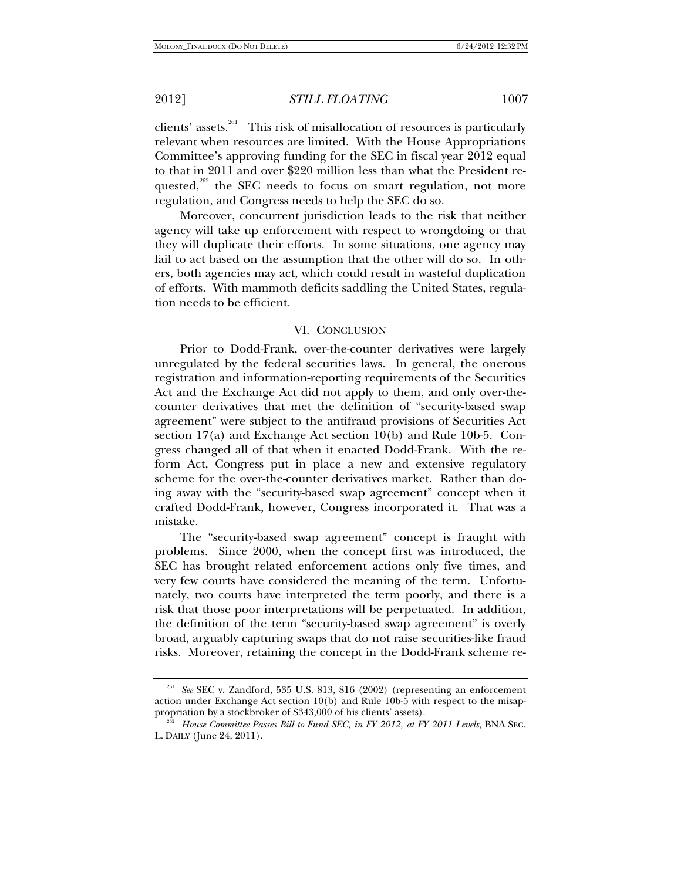clients' assets.<sup>261</sup> This risk of misallocation of resources is particularly relevant when resources are limited. With the House Appropriations Committee's approving funding for the SEC in fiscal year 2012 equal to that in 2011 and over \$220 million less than what the President requested, $262$  the SEC needs to focus on smart regulation, not more regulation, and Congress needs to help the SEC do so.

Moreover, concurrent jurisdiction leads to the risk that neither agency will take up enforcement with respect to wrongdoing or that they will duplicate their efforts. In some situations, one agency may fail to act based on the assumption that the other will do so. In others, both agencies may act, which could result in wasteful duplication of efforts. With mammoth deficits saddling the United States, regulation needs to be efficient.

#### VI. CONCLUSION

Prior to Dodd-Frank, over-the-counter derivatives were largely unregulated by the federal securities laws. In general, the onerous registration and information-reporting requirements of the Securities Act and the Exchange Act did not apply to them, and only over-thecounter derivatives that met the definition of "security-based swap agreement" were subject to the antifraud provisions of Securities Act section 17(a) and Exchange Act section 10(b) and Rule 10b-5. Congress changed all of that when it enacted Dodd-Frank. With the reform Act, Congress put in place a new and extensive regulatory scheme for the over-the-counter derivatives market. Rather than doing away with the "security-based swap agreement" concept when it crafted Dodd-Frank, however, Congress incorporated it. That was a mistake.

The "security-based swap agreement" concept is fraught with problems. Since 2000, when the concept first was introduced, the SEC has brought related enforcement actions only five times, and very few courts have considered the meaning of the term. Unfortunately, two courts have interpreted the term poorly, and there is a risk that those poor interpretations will be perpetuated. In addition, the definition of the term "security-based swap agreement" is overly broad, arguably capturing swaps that do not raise securities-like fraud risks. Moreover, retaining the concept in the Dodd-Frank scheme re-

See SEC v. Zandford, 535 U.S. 813, 816 (2002) (representing an enforcement action under Exchange Act section  $10(b)$  and Rule  $10b-5$  with respect to the misap-<br>propriation by a stockbroker of \$343,000 of his clients' assets).

propriation by a stockbroker of \$343,000 of his clients' assets). 262 *House Committee Passes Bill to Fund SEC, in FY 2012, at FY 2011 Levels*, BNA SEC. L. DAILY (June 24, 2011).